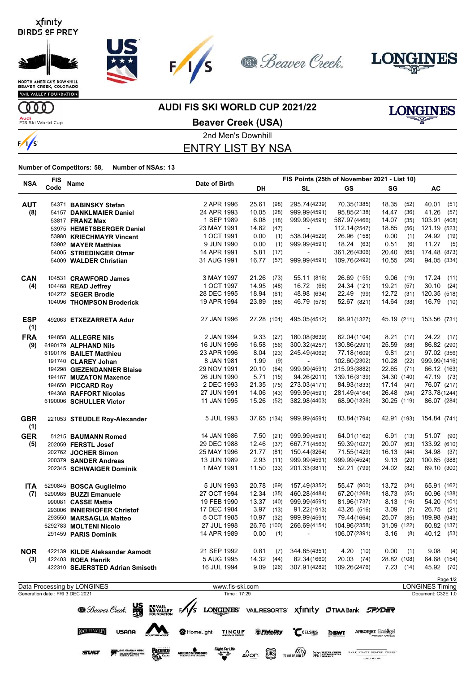









VAIL VALLEY FOUNDATION

**OOO** 

 $\sqrt{s}$ 

**Audi**<br>FIS Ski World Cup

**AUDI FIS SKI WORLD CUP 2021/22**



**Beaver Creek (USA)**

### 2nd Men's Downhill ENTRY LIST BY NSA

**Number of Competitors: 58, Number of NSAs: 13**

|                   | <b>FIS</b>                      |                                                                                   |                                                                               | FIS Points (25th of November 2021 - List 10) |          |                          |                                                |              |          |                                    |
|-------------------|---------------------------------|-----------------------------------------------------------------------------------|-------------------------------------------------------------------------------|----------------------------------------------|----------|--------------------------|------------------------------------------------|--------------|----------|------------------------------------|
| <b>NSA</b>        | Code                            | <b>Name</b>                                                                       | Date of Birth                                                                 | DH                                           |          | <b>SL</b>                | <b>GS</b>                                      | SG           |          | AC                                 |
| <b>AUT</b>        |                                 | 54371 BABINSKY Stefan                                                             | 2 APR 1996                                                                    | 25.61                                        | (98)     | 295.74 (4239)            | 70.35(1385)                                    | 18.35        | (52)     | 40.01<br>(51)                      |
| (8)               |                                 | 54157 DANKLMAIER Daniel                                                           | 24 APR 1993                                                                   | 10.05                                        | (28)     | 999.99(4591)             | 95.85(2138)                                    | 14.47        | (36)     | 41.26<br>(57)                      |
|                   |                                 | 53817 <b>FRANZ Max</b>                                                            | 1 SEP 1989                                                                    | 6.08                                         | (18)     | 999.99(4591)             | 587.97(4466)                                   | 14.07        | (35)     | 103.91 (408)                       |
|                   |                                 | 53975 HEMETSBERGER Daniel                                                         | 23 MAY 1991                                                                   | 14.82                                        | (47)     | ÷,                       | 112.14(2547)                                   | 18.85        | (56)     | 121.19 (523)                       |
|                   |                                 | 53980 KRIECHMAYR Vincent                                                          | 1 OCT 1991                                                                    | 0.00                                         | (1)      | 538.04(4529)             | 26.96 (158)                                    | 0.00         | (1)      | 24.92 (19)                         |
|                   |                                 | 53902 MAYER Matthias                                                              | 9 JUN 1990                                                                    | 0.00                                         | (1)      | 999.99(4591)             | 18.24 (63)                                     | 0.51         | (6)      | 11.27<br>(5)                       |
|                   |                                 | 54005 STRIEDINGER Otmar                                                           | 14 APR 1991                                                                   | 5.81                                         | (17)     | $\overline{\phantom{a}}$ | 361.26(4306)                                   | 20.40        | (65)     | 174.48 (873)                       |
|                   |                                 | 54009 WALDER Christian                                                            | 31 AUG 1991                                                                   | 16.77                                        | (57)     | 999.99(4591)             | 109.76(2492)                                   | 10.55        | (26)     | 94.05 (334)                        |
| <b>CAN</b>        |                                 | 104531 CRAWFORD James                                                             | 3 MAY 1997                                                                    | 21.26                                        | (73)     | 55.11 (816)              | 26.69 (155)                                    | 9.06         | (19)     | 17.24 (11)                         |
| (4)               |                                 | 104468 READ Jeffrey                                                               | 1 OCT 1997                                                                    | 14.95                                        | (48)     | 16.72 (66)               | 24.34 (121)                                    | 19.21        | (57)     | 30.10<br>(24)                      |
|                   |                                 | 104272 SEGER Brodie                                                               | 28 DEC 1995                                                                   | 18.94                                        | (61)     | 48.98 (634)              | 22.49 (99)                                     | 12.72        | (31)     | 120.35 (518)                       |
|                   |                                 | 104096 THOMPSON Broderick                                                         | 19 APR 1994                                                                   | 23.89                                        | (88)     | 46.79 (578)              | 52.67 (821)                                    | 14.64        | (38)     | 16.79 (10)                         |
| <b>ESP</b><br>(1) |                                 | 492063 ETXEZARRETA Adur                                                           | 27 JAN 1996                                                                   | 27.28 (101)                                  |          | 495.05(4512)             | 68.91(1327)                                    | 45.19 (211)  |          | 153.56 (731)                       |
| <b>FRA</b>        |                                 | 194858 ALLEGRE Nils                                                               | 2 JAN 1994                                                                    | 9.33                                         | (27)     | 180.08(3639)             | 62.04(1104)                                    | 8.21         | (17)     | 24.22 (17)                         |
| (9)               |                                 | 6190179 ALPHAND Nils                                                              | 16 JUN 1996                                                                   | 16.58                                        | (56)     | 300.32(4257)             | 130.86(2991)                                   | 25.59        | (88)     | 86.82 (290)                        |
|                   |                                 | 6190176 BAILET Matthieu                                                           | 23 APR 1996                                                                   | 8.04                                         | (23)     | 245.49(4062)             | 77.18(1609)                                    | 9.81         | (21)     | 97.02 (356)                        |
|                   |                                 | 191740 CLAREY Johan                                                               | 8 JAN 1981                                                                    | 1.99                                         | (9)      |                          | 102.60(2302)                                   | 10.28        | (22)     | 999.99(1416)                       |
|                   |                                 | 194298 GIEZENDANNER Blaise                                                        | 29 NOV 1991                                                                   | 20.10                                        | (64)     | 999.99(4591)             | 215.93(3882)                                   | 22.65 (71)   |          | 66.12 (163)                        |
|                   |                                 | 194167 MUZATON Maxence                                                            | 26 JUN 1990                                                                   | 5.71                                         | (15)     | 94.26(2011)              | 139.16(3139)                                   | 34.30 (140)  |          | 47.19 (73)                         |
|                   |                                 | 194650 PICCARD Roy                                                                | 2 DEC 1993                                                                    | 21.35                                        | (75)     | 273.03(4171)             | 84.93(1833)                                    | $17.14$ (47) |          | 76.07 (217)                        |
|                   |                                 | 194368 RAFFORT Nicolas                                                            | 27 JUN 1991                                                                   | 14.06                                        | (43)     | 999.99(4591)             | 281.49(4164)                                   | 26.48        | (94)     | 273.78(1244)                       |
|                   |                                 | 6190006 SCHULLER Victor                                                           | 11 JAN 1995                                                                   | 15.26                                        | (52)     | 382.98(4403)             | 68.90(1326)                                    | 30.25 (119)  |          | 86.07 (284)                        |
| <b>GBR</b><br>(1) |                                 | 221053 STEUDLE Roy-Alexander                                                      | 5 JUL 1993                                                                    | 37.65 (134)                                  |          | 999.99(4591)             | 83.84(1794)                                    | 42.91 (193)  |          | 154.84 (741)                       |
| <b>GER</b>        |                                 | 51215 BAUMANN Romed                                                               | 14 JAN 1986                                                                   | 7.50                                         | (21)     | 999.99(4591)             | 64.01(1162)                                    | 6.91         | (13)     | 51.07 (90)                         |
| (5)               |                                 | 202059 FERSTL Josef                                                               | 29 DEC 1988                                                                   | 12.46                                        | (37)     | 667.71(4563)             | 59.39(1027)                                    | 20.07        | (63)     | 133.92 (610)                       |
|                   |                                 | 202762 JOCHER Simon                                                               | 25 MAY 1996                                                                   | 21.77                                        | (81)     | 150.44(3264)             | 71.55(1429)                                    | 16.13        | (44)     | 34.98 (37)                         |
|                   |                                 | 200379 SANDER Andreas                                                             | 13 JUN 1989                                                                   | 2.93                                         | (11)     | 999.99(4591)             | 999.99(4524)                                   | 9.13         | (20)     | 100.85 (388)                       |
|                   |                                 | 202345 SCHWAIGER Dominik                                                          | 1 MAY 1991                                                                    | 11.50                                        | (33)     | 201.33(3811)             | 52.21 (799)                                    | 24.02        | (82)     | 89.10 (300)                        |
| <b>ITA</b>        |                                 | 6290845 BOSCA Guglielmo                                                           | 5 JUN 1993                                                                    | 20.78                                        | (69)     | 157.49(3352)             | 55.47 (900)                                    | 13.72        | (34)     | 65.91 (162)                        |
| (7)               |                                 | 6290985 BUZZI Emanuele                                                            | 27 OCT 1994                                                                   | 12.34                                        | (35)     | 460.28(4484)             | 67.20(1268)                                    | 18.73        | (55)     | 60.96 (138)                        |
|                   |                                 | 990081 CASSE Mattia                                                               | 19 FEB 1990                                                                   | 13.37                                        | (40)     | 999.99(4591)             | 81.96(1737)                                    | 8.13         | (16)     | 54.20 (101)                        |
|                   |                                 | 293006 INNERHOFER Christof                                                        | 17 DEC 1984                                                                   | $3.97$ (13)                                  |          | 91.22(1913)              | 43.26 (516)                                    | 3.09         | (7)      | 26.75 (21)                         |
|                   |                                 | 293550 MARSAGLIA Matteo                                                           | 5 OCT 1985                                                                    | 10.97                                        | (32)     | 999.99(4591)             | 79.44(1664)                                    | 25.07        | (85)     | 189.98 (943)                       |
|                   |                                 | 6292783 MOLTENI Nicolo                                                            | 27 JUL 1998                                                                   | 26.76 (100)                                  |          | 266.69(4154)             | 104.96(2358)                                   | 31.09 (122)  |          | 60.82 (137)                        |
|                   |                                 | 291459 PARIS Dominik                                                              | 14 APR 1989                                                                   | 0.00                                         | (1)      | <b>Contract Contract</b> | 106.07(2391)                                   | $3.16$ (8)   |          | 40.12 (53)                         |
| <b>NOR</b>        |                                 | 422139 KILDE Aleksander Aamodt                                                    | 21 SEP 1992                                                                   | 0.81                                         |          | $(7)$ 344.85 $(4351)$    | 4.20(10)                                       | 0.00         | (1)      | $9.08$ (4)                         |
| (3)               |                                 | 422403 ROEA Henrik                                                                | 5 AUG 1995                                                                    | 14.32(44)                                    |          | 82.34(1660)              | $20.03$ (74)                                   | 28.82 (108)  |          | 64.68 (154)                        |
|                   |                                 | 422310 SEJERSTED Adrian Smiseth                                                   | 16 JUL 1994                                                                   |                                              | 9.09(26) | 307.91(4282)             | 109.26(2476)                                   |              | 7.23(14) | 45.92 (70)                         |
|                   |                                 | Data Processing by LONGINES                                                       | www.fis-ski.com                                                               |                                              |          |                          |                                                |              |          | Page 1/2<br><b>LONGINES Timing</b> |
|                   | Generation date: FRI 3 DEC 2021 |                                                                                   | Time: 17:29                                                                   |                                              |          |                          |                                                |              |          | Document: C32E 1.0                 |
|                   |                                 | <b>B</b> . Beaver Creek.<br>WAIL<br>FOUNDATION F<br>USANA<br><b>NATURE VALLEY</b> | HomeLight TINCUP <b><i>Hidelity</i></b> CELSIUS <b>DEWT</b> ARBORIET Ecologel |                                              |          |                          | LONGINES VAILRESORTS Xfinity OTIAA Bank SPYDER |              |          |                                    |

ARRIGONI WOOD

**SUILT** 

AOD **S** TOWA OF VALLEY **SEE THE TANK THAT BEATER**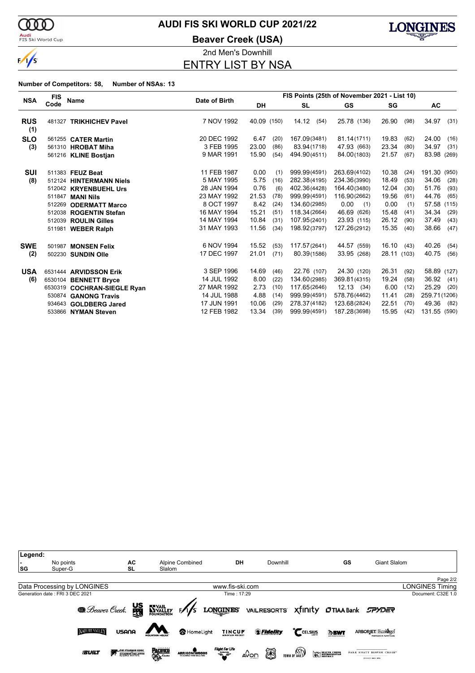

<mark>Audi</mark><br>FIS Ski World Cup

# **AUDI FIS SKI WORLD CUP 2021/22**

**Beaver Creek (USA)**



2nd Men's Downhill ENTRY LIST BY NSA

| <b>NSA</b>        | <b>FIS</b> |                             | Date of Birth | FIS Points (25th of November 2021 - List 10) |      |               |              |             |      |               |       |
|-------------------|------------|-----------------------------|---------------|----------------------------------------------|------|---------------|--------------|-------------|------|---------------|-------|
|                   | Code       | Name                        |               | <b>DH</b>                                    |      | <b>SL</b>     | GS           | SG          |      | <b>AC</b>     |       |
| <b>RUS</b><br>(1) | 481327     | <b>TRIKHICHEV Pavel</b>     | 7 NOV 1992    | 40.09 (150)                                  |      | 14.12<br>(54) | 25.78 (136)  | 26.90       | (98) | 34.97         | (31)  |
| <b>SLO</b>        |            | 561255 <b>CATER Martin</b>  | 20 DEC 1992   | 6.47                                         | (20) | 167.09(3481)  | 81.14(1711)  | 19.83       | (62) | 24.00         | (16)  |
| (3)               |            | 561310 HROBAT Miha          | 3 FEB 1995    | 23.00                                        | (86) | 83.94(1718)   | 47.93 (663)  | 23.34       | (80) | 34.97         | (31)  |
|                   |            | 561216 KLINE Bostjan        | 9 MAR 1991    | 15.90                                        | (54) | 494.90(4511)  | 84.00(1803)  | 21.57       | (67) | 83.98 (269)   |       |
| SUI               |            | 511383 FEUZ Beat            | 11 FEB 1987   | 0.00                                         | (1)  | 999.99(4591)  | 263.69(4102) | 10.38       | (24) | 191.30        | (950) |
| (8)               |            | 512124 HINTERMANN Niels     | 5 MAY 1995    | 5.75                                         | (16) | 282.38(4195)  | 234.36(3990) | 18.49       | (53) | 34.06         | (28)  |
|                   |            | 512042 KRYENBUEHL Urs       | 28 JAN 1994   | 0.76                                         | (6)  | 402.36(4428)  | 164.40(3480) | 12.04       | (30) | 51.76         | (93)  |
|                   |            | 511847 MANI Nils            | 23 MAY 1992   | 21.53                                        | (78) | 999.99(4591)  | 116.90(2662) | 19.56       | (61) | 44.76         | (65)  |
|                   | 512269     | <b>ODERMATT Marco</b>       | 8 OCT 1997    | 8.42                                         | (24) | 134.60(2985)  | 0.00<br>(1)  | 0.00        | (1)  | 57.58         | (115) |
|                   |            | 512038 ROGENTIN Stefan      | 16 MAY 1994   | 15.21                                        | (51) | 118.34(2664)  | 46.69 (626)  | 15.48       | (41) | 34.34         | (29)  |
|                   |            | 512039 ROULIN Gilles        | 14 MAY 1994   | 10.84                                        | (31) | 107.95(2401)  | 23.93 (115)  | 26.12       | (90) | 37.49         | (43)  |
|                   |            | 511981 WEBER Ralph          | 31 MAY 1993   | 11.56                                        | (34) | 198.92(3797)  | 127.26(2912) | 15.35       | (40) | 38.66         | (47)  |
| <b>SWE</b>        | 501987     | <b>MONSEN Felix</b>         | 6 NOV 1994    | 15.52                                        | (53) | 117.57(2641)  | 44.57 (559)  | 16.10(43)   |      | 40.26         | (54)  |
| (2)               |            | 502230 SUNDIN Olle          | 17 DEC 1997   | 21.01                                        | (71) | 80.39(1586)   | 33.95 (268)  | 28.11 (103) |      | 40.75         | (56)  |
| <b>USA</b>        |            | 6531444 ARVIDSSON Erik      | 3 SEP 1996    | 14.69                                        | (46) | 22.76 (107)   | 24.30 (120)  | 26.31       | (92) | 58.89 (127)   |       |
| (6)               |            | 6530104 BENNETT Bryce       | 14 JUL 1992   | 8.00                                         | (22) | 134.60(2985)  | 369.81(4315) | 19.24       | (58) | 36.92         | (41)  |
|                   |            | 6530319 COCHRAN-SIEGLE Ryan | 27 MAR 1992   | 2.73                                         | (10) | 117.65(2646)  | 12.13(34)    | 6.00        | (12) | 25.29         | (20)  |
|                   |            | 530874 GANONG Travis        | 14 JUL 1988   | 4.88                                         | (14) | 999.99(4591)  | 578.76(4462) | 11.41       | (28) | 259.71 (1206) |       |
|                   |            | 934643 GOLDBERG Jared       | 17 JUN 1991   | 10.06                                        | (29) | 278.37(4182)  | 123.68(2824) | 22.51       | (70) | 49.36         | (82)  |
|                   |            | 533866 NYMAN Steven         | 12 FEB 1982   | 13.34                                        | (39) | 999.99(4591)  | 187.28(3698) | 15.95       | (42) | 131.55 (590)  |       |

| Legend: |                                 |                     |                                              |                            |                                       |                                              |             |                          |                        |
|---------|---------------------------------|---------------------|----------------------------------------------|----------------------------|---------------------------------------|----------------------------------------------|-------------|--------------------------|------------------------|
|         | No points                       | AC                  | Alpine Combined                              | DH                         | Downhill                              |                                              | GS          | Giant Slalom             |                        |
| SG      | Super-G                         | <b>SL</b>           | Slalom                                       |                            |                                       |                                              |             |                          |                        |
|         |                                 |                     |                                              |                            |                                       |                                              |             |                          | Page 2/2               |
|         | Data Processing by LONGINES     |                     |                                              | www.fis-ski.com            |                                       |                                              |             |                          | <b>LONGINES Timing</b> |
|         | Generation date: FRI 3 DEC 2021 |                     |                                              | Time: 17:29                |                                       |                                              |             |                          | Document: C32E 1.0     |
|         |                                 |                     | <b>Beaver Creek.</b> US NYALLEY F/S LONGINES |                            | VAILRESORTS XTINIty OTIAA Bank SPYDER |                                              |             |                          |                        |
|         | <b>NATURE VALLEY</b>            | USANA               |                                              | HomeLight<br><b>TINCUP</b> | <i><b><i><u>SFidelity</u></i></b></i> | CCELSIUS                                     | <b>DBWT</b> | <b>ARBORJET Ecologel</b> |                        |
|         | <b><i>SCILT</i></b>             | THE STEADMAN CLINIC | <b>PACIFICS</b><br>ARRIGONIWOODS             | Flight For Life            | $\circledR$<br>⊿Von                   | TOWN OF VAIL<br><b>WELL BEST DESCRIPTION</b> |             | SECONT AND IPA           |                        |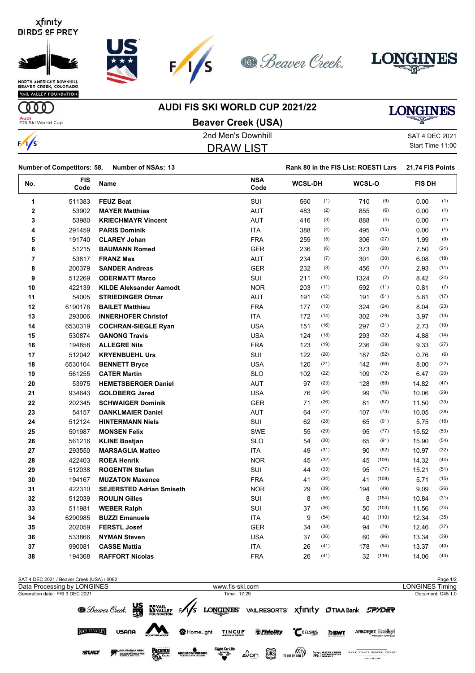







VAIL VALLEY FOUNDATION

#### **AUDI FIS SKI WORLD CUP 2021/22**

# **LONGINES**

**OOO Audi**<br>FIS Ski World Cup

 $\frac{1}{s}$ 

| <b>Beaver Creek (USA)</b> |                |
|---------------------------|----------------|
| 2nd Men's Downhill        | SAT 4 DEC 2021 |

 $F/I/S$ 

|  | SAT 4 DEC 2021   |
|--|------------------|
|  | Start Time 11:00 |

| $\frac{1}{s}$  |                                   |                                 | <b>DRAW LIST</b>   |                                      |      |        |       | Start Time 11:00 |      |
|----------------|-----------------------------------|---------------------------------|--------------------|--------------------------------------|------|--------|-------|------------------|------|
|                | <b>Number of Competitors: 58,</b> | <b>Number of NSAs: 13</b>       |                    | Rank 80 in the FIS List: ROESTI Lars |      |        |       | 21.74 FIS Points |      |
| No.            | <b>FIS</b><br>Code                | Name                            | <b>NSA</b><br>Code | <b>WCSL-DH</b>                       |      | WCSL-O |       | <b>FIS DH</b>    |      |
| 1              | 511383                            | <b>FEUZ Beat</b>                | SUI                | 560                                  | (1)  | 710    | (9)   | 0.00             | (1)  |
| $\mathbf 2$    | 53902                             | <b>MAYER Matthias</b>           | <b>AUT</b>         | 483                                  | (2)  | 855    | (6)   | 0.00             | (1)  |
| 3              | 53980                             | <b>KRIECHMAYR Vincent</b>       | <b>AUT</b>         | 416                                  | (3)  | 888    | (4)   | 0.00             | (1)  |
| 4              | 291459                            | <b>PARIS Dominik</b>            | ITA                | 388                                  | (4)  | 495    | (15)  | 0.00             | (1)  |
| 5              | 191740                            | <b>CLAREY Johan</b>             | <b>FRA</b>         | 259                                  | (5)  | 306    | (27)  | 1.99             | (9)  |
| 6              | 51215                             | <b>BAUMANN Romed</b>            | <b>GER</b>         | 236                                  | (6)  | 373    | (20)  | 7.50             | (21) |
| $\overline{7}$ | 53817                             | <b>FRANZ Max</b>                | <b>AUT</b>         | 234                                  | (7)  | 301    | (30)  | 6.08             | (18) |
| 8              | 200379                            | <b>SANDER Andreas</b>           | <b>GER</b>         | 232                                  | (8)  | 456    | (17)  | 2.93             | (11) |
| 9              | 512269                            | <b>ODERMATT Marco</b>           | SUI                | 211                                  | (10) | 1324   | (2)   | 8.42             | (24) |
| 10             | 422139                            | <b>KILDE Aleksander Aamodt</b>  | <b>NOR</b>         | 203                                  | (11) | 592    | (11)  | 0.81             | (7)  |
| 11             | 54005                             | <b>STRIEDINGER Otmar</b>        | <b>AUT</b>         | 191                                  | (12) | 191    | (51)  | 5.81             | (17) |
| 12             | 6190176                           | <b>BAILET Matthieu</b>          | <b>FRA</b>         | 177                                  | (13) | 324    | (24)  | 8.04             | (23) |
| 13             | 293006                            | <b>INNERHOFER Christof</b>      | <b>ITA</b>         | 172                                  | (14) | 302    | (29)  | 3.97             | (13) |
| 14             | 6530319                           | <b>COCHRAN-SIEGLE Ryan</b>      | <b>USA</b>         | 151                                  | (16) | 297    | (31)  | 2.73             | (10) |
| 15             | 530874                            | <b>GANONG Travis</b>            | <b>USA</b>         | 124                                  | (18) | 293    | (32)  | 4.88             | (14) |
| 16             | 194858                            | <b>ALLEGRE Nils</b>             | <b>FRA</b>         | 123                                  | (19) | 236    | (39)  | 9.33             | (27) |
| 17             | 512042                            | <b>KRYENBUEHL Urs</b>           | SUI                | 122                                  | (20) | 187    | (52)  | 0.76             | (6)  |
| 18             | 6530104                           | <b>BENNETT Bryce</b>            | <b>USA</b>         | 120                                  | (21) | 142    | (66)  | 8.00             | (22) |
| 19             | 561255                            | <b>CATER Martin</b>             | <b>SLO</b>         | 102                                  | (22) | 109    | (72)  | 6.47             | (20) |
| 20             | 53975                             | <b>HEMETSBERGER Daniel</b>      | <b>AUT</b>         | 97                                   | (23) | 128    | (69)  | 14.82            | (47) |
| 21             | 934643                            | <b>GOLDBERG Jared</b>           | <b>USA</b>         | 76                                   | (24) | 99     | (76)  | 10.06            | (29) |
| 22             | 202345                            | <b>SCHWAIGER Dominik</b>        | <b>GER</b>         | 71                                   | (26) | 81     | (87)  | 11.50            | (33) |
| 23             | 54157                             | <b>DANKLMAIER Daniel</b>        | <b>AUT</b>         | 64                                   | (27) | 107    | (73)  | 10.05            | (28) |
| 24             | 512124                            | <b>HINTERMANN Niels</b>         | SUI                | 62                                   | (28) | 65     | (91)  | 5.75             | (16) |
| 25             | 501987                            | <b>MONSEN Felix</b>             | SWE                | 55                                   | (29) | 95     | (77)  | 15.52            | (53) |
| 26             | 561216                            | <b>KLINE Bostjan</b>            | <b>SLO</b>         | 54                                   | (30) | 65     | (91)  | 15.90            | (54) |
| 27             | 293550                            | <b>MARSAGLIA Matteo</b>         | <b>ITA</b>         | 49                                   | (31) | 90     | (82)  | 10.97            | (32) |
| 28             | 422403                            | <b>ROEA Henrik</b>              | <b>NOR</b>         | 45                                   | (32) | 45     | (106) | 14.32            | (44) |
| 29             | 512038                            | <b>ROGENTIN Stefan</b>          | SUI                | 44                                   | (33) | 95     | (77)  | 15.21            | (51) |
| 30             | 194167                            | <b>MUZATON Maxence</b>          | <b>FRA</b>         | 41                                   | (34) | 41     | (108) | 5.71             | (15) |
| 31             | 422310                            | <b>SEJERSTED Adrian Smiseth</b> | <b>NOR</b>         | 29                                   | (39) | 194    | (49)  | 9.09             | (26) |
| 32             | 512039                            | <b>ROULIN Gilles</b>            | SUI                | 8                                    | (55) | 8      | (154) | 10.84            | (31) |
| 33             | 511981                            | <b>WEBER Ralph</b>              | SUI                | 37                                   | (36) | 50     | (103) | 11.56            | (34) |
| 34             | 6290985                           | <b>BUZZI Emanuele</b>           | <b>ITA</b>         | 9                                    | (54) | 40     | (110) | 12.34            | (35) |

| SAT 4 DEC 2021 / Beaver Creek (USA) / 0082                   |                                                                                                                           | Page 1/2               |
|--------------------------------------------------------------|---------------------------------------------------------------------------------------------------------------------------|------------------------|
| Data Processing by LONGINES                                  | www.fis-ski.com                                                                                                           | <b>LONGINES Timing</b> |
| Generation date: FRI 3 DEC 2021                              | Time: 17:29                                                                                                               | Document: C45 1.0      |
|                                                              | <b>@</b> Beaver Creek. WE WALLEY FAS LONGINES VAILRESORTS X finity OTIAA Bank CPYDER                                      |                        |
| <b>NATURE VALLEY</b><br>USANA                                | CELSIUS<br><b><i><u><i></i></u></i></b> Fidelity<br>HomeLight<br><b>TINCUP</b><br><b>DBWT</b><br><b>ARBORJET Ecologel</b> |                        |
| <b>Pacifics</b><br>THE STEADMAN CUNIC<br><b><i>SCILT</i></b> | Flight For Life<br>TOWN OF VALLEY<br>ARRIGONI WOODS<br>∡0ലെ ്<br><b>EXPERIENCE</b><br>SECONT AND IPA                      |                        |

 202059 **FERSTL Josef** GER 34 (38) 94 (79) 12.46 (37) 533866 **NYMAN Steven** USA 37 (36) 60 (96) 13.34 (39) 990081 **CASSE Mattia** ITA 26 (41) 178 (54) 13.37 (40) 194368 **RAFFORT Nicolas** FRA 26 (41) 32 (116) 14.06 (43)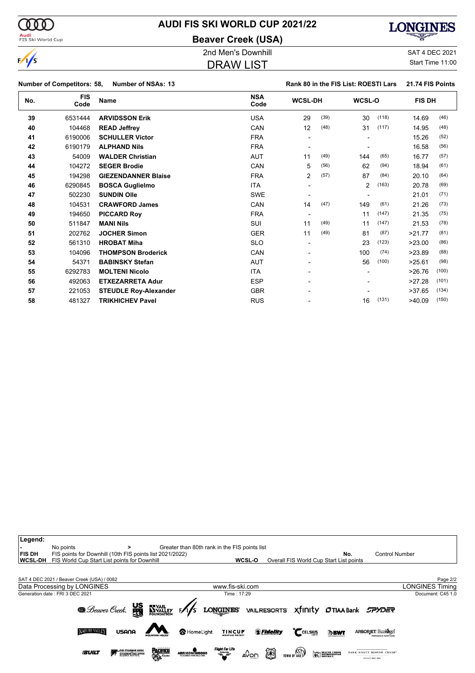

# **AUDI FIS SKI WORLD CUP 2021/22**

**Beaver Creek (USA)**

# **LONGINES**

DRAW LIST

2nd Men's Downhill SAT 4 DEC 2021 Start Time 11:00

|     | Number of Competitors: 58, | <b>Number of NSAs: 13</b>    |                    |                          |      | Rank 80 in the FIS List: ROESTI Lars |       | 21.74 FIS Points |       |
|-----|----------------------------|------------------------------|--------------------|--------------------------|------|--------------------------------------|-------|------------------|-------|
| No. | <b>FIS</b><br>Code         | <b>Name</b>                  | <b>NSA</b><br>Code | <b>WCSL-DH</b>           |      | WCSL-O                               |       | <b>FIS DH</b>    |       |
| 39  | 6531444                    | <b>ARVIDSSON Erik</b>        | <b>USA</b>         | 29                       | (39) | 30                                   | (118) | 14.69            | (46)  |
| 40  | 104468                     | <b>READ Jeffrey</b>          | CAN                | 12                       | (48) | 31                                   | (117) | 14.95            | (48)  |
| 41  | 6190006                    | <b>SCHULLER Victor</b>       | <b>FRA</b>         | $\blacksquare$           |      |                                      |       | 15.26            | (52)  |
| 42  | 6190179                    | <b>ALPHAND Nils</b>          | <b>FRA</b>         | $\overline{a}$           |      |                                      |       | 16.58            | (56)  |
| 43  | 54009                      | <b>WALDER Christian</b>      | <b>AUT</b>         | 11                       | (49) | 144                                  | (65)  | 16.77            | (57)  |
| 44  | 104272                     | <b>SEGER Brodie</b>          | CAN                | 5                        | (56) | 62                                   | (94)  | 18.94            | (61)  |
| 45  | 194298                     | <b>GIEZENDANNER Blaise</b>   | <b>FRA</b>         | $\overline{2}$           | (57) | 87                                   | (84)  | 20.10            | (64)  |
| 46  | 6290845                    | <b>BOSCA Guglielmo</b>       | <b>ITA</b>         | $\blacksquare$           |      | $\overline{2}$                       | (163) | 20.78            | (69)  |
| 47  | 502230                     | <b>SUNDIN Olle</b>           | <b>SWE</b>         |                          |      |                                      |       | 21.01            | (71)  |
| 48  | 104531                     | <b>CRAWFORD James</b>        | CAN                | 14                       | (47) | 149                                  | (61)  | 21.26            | (73)  |
| 49  | 194650                     | <b>PICCARD Roy</b>           | <b>FRA</b>         | $\blacksquare$           |      | 11                                   | (147) | 21.35            | (75)  |
| 50  | 511847                     | <b>MANI Nils</b>             | SUI                | 11                       | (49) | 11                                   | (147) | 21.53            | (78)  |
| 51  | 202762                     | <b>JOCHER Simon</b>          | <b>GER</b>         | 11                       | (49) | 81                                   | (87)  | >21.77           | (81)  |
| 52  | 561310                     | <b>HROBAT Miha</b>           | <b>SLO</b>         | $\blacksquare$           |      | 23                                   | (123) | >23.00           | (86)  |
| 53  | 104096                     | <b>THOMPSON Broderick</b>    | CAN                | ۰                        |      | 100                                  | (74)  | >23.89           | (88)  |
| 54  | 54371                      | <b>BABINSKY Stefan</b>       | <b>AUT</b>         | $\overline{\phantom{0}}$ |      | 56                                   | (100) | >25.61           | (98)  |
| 55  | 6292783                    | <b>MOLTENI Nicolo</b>        | <b>ITA</b>         | $\overline{\phantom{0}}$ |      |                                      |       | >26.76           | (100) |
| 56  | 492063                     | <b>ETXEZARRETA Adur</b>      | <b>ESP</b>         |                          |      |                                      |       | >27.28           | (101) |
| 57  | 221053                     | <b>STEUDLE Roy-Alexander</b> | <b>GBR</b>         |                          |      |                                      |       | >37.65           | (134) |
| 58  | 481327                     | <b>TRIKHICHEV Pavel</b>      | <b>RUS</b>         |                          |      | 16                                   | (131) | >40.09           | (150) |

| Legend:<br><b>FIS DH</b><br><b>WCSL-DH</b> | No points<br>FIS points for Downhill (10th FIS points list 2021/2022)<br>FIS World Cup Start List points for Downhill | >                                                            | Greater than 80th rank in the FIS points list<br>WCSL-O                 |                           | No.<br>Overall FIS World Cup Start List points | <b>Control Number</b>    |
|--------------------------------------------|-----------------------------------------------------------------------------------------------------------------------|--------------------------------------------------------------|-------------------------------------------------------------------------|---------------------------|------------------------------------------------|--------------------------|
|                                            | SAT 4 DEC 2021 / Beaver Creek (USA) / 0082                                                                            |                                                              |                                                                         |                           |                                                | Page 2/2                 |
|                                            | Data Processing by LONGINES                                                                                           |                                                              | www.fis-ski.com                                                         |                           |                                                | <b>LONGINES Timing</b>   |
|                                            | Generation date: FRI 3 DEC 2021                                                                                       |                                                              | Time: 17:29                                                             |                           |                                                | Document: C45 1.0        |
|                                            |                                                                                                                       |                                                              | <b>@</b> Beaver Creek. We Foundation F/1/5 LONGINES VAILRESORTS Xfinity |                           | <b>OTIAA Bank SPYDER</b>                       |                          |
|                                            | <b>NATURE VALLEY</b><br>USANA                                                                                         |                                                              | TINCUP<br>HomeLight                                                     | <i><b>SFidelity</b></i>   | CCELSIUS<br><b>DBWT</b>                        | <b>ARBORJET Ecologel</b> |
|                                            | <b><i>SCILT</i></b>                                                                                                   | <b>PACIFICI</b><br>THE STEADMAN CLINIC<br>STEADMAN PHILIPPON | <b>Flight For Life</b><br>ARRIGONIWOODS<br>$\equiv$                     | 涵<br>TOWN OF VAIL<br>∆Von | <b>SECTION</b>                                 | SECONT AND IPS           |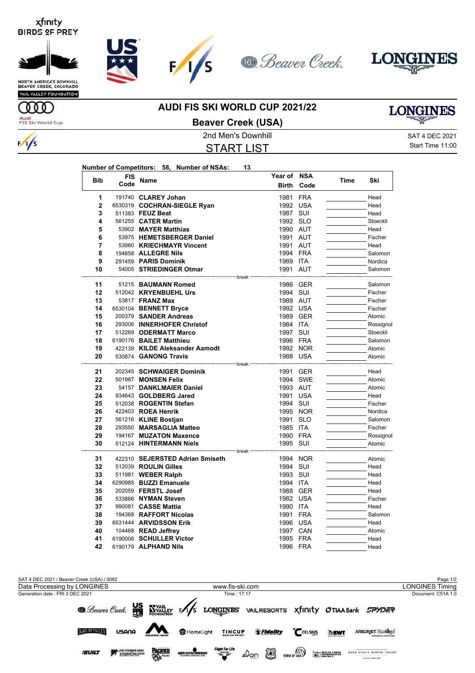









**NORTH AMERICA'S DOWNHILL<br>BEAVER CREEK, COLORADO** VAIL VALLEY FOUNDATION

MO

 $\frac{1}{s}$ 

**Audi**<br>FIS Ski World Cup

#### **AUDI FIS SKI WORLD CUP 2021/22**



### **Beaver Creek (USA)**

START LIST

2nd Men's Downhill 30 and 2021 SAT 4 DEC 2021 Start Time 11:00

|                |            | Number of Competitors: 58, Number of NSAs: | 13                     |            |      |           |
|----------------|------------|--------------------------------------------|------------------------|------------|------|-----------|
|                | <b>FIS</b> |                                            | <b>Year of</b>         | <b>NSA</b> |      |           |
| <b>Bib</b>     | Code       | <b>Name</b>                                | <b>Birth</b>           | Code       | Time | Ski       |
| 1              |            | 191740 CLAREY Johan                        | 1981                   | <b>FRA</b> |      | Head      |
| $\overline{2}$ |            | 6530319 COCHRAN-SIEGLE Ryan                |                        | 1992 USA   |      | Head      |
| 3              |            | 511383 FEUZ Beat                           |                        | 1987 SUI   |      | Head      |
| 4              |            | 561255 CATER Martin                        |                        | 1992 SLO   |      | Stoeckli  |
| 5              |            | 53902 MAYER Matthias                       |                        | 1990 AUT   |      | Head      |
| 6              |            | 53975 HEMETSBERGER Daniel                  |                        | 1991 AUT   |      | Fischer   |
| 7              |            | 53980 KRIECHMAYR Vincent                   | 1991                   | AUT        |      | Head      |
| 8              |            | 194858 ALLEGRE Nils                        |                        | 1994 FRA   |      | Salomon   |
| 9              |            | 291459 PARIS Dominik                       |                        | 1989 ITA   |      | Nordica   |
| 10             |            | 54005 STRIEDINGER Otmar                    |                        | 1991 AUT   |      | Salomon   |
| 11             |            | 51215 BAUMANN Romed                        | break                  | 1986 GER   |      | Salomon   |
| 12             |            | 512042 KRYENBUEHL Urs                      | 1994                   | SUI        |      | Fischer   |
| 13             |            | 53817 <b>FRANZ Max</b>                     |                        | 1989 AUT   |      | Fischer   |
| 14             |            | 6530104 BENNETT Bryce                      |                        | 1992 USA   |      | Fischer   |
| 15             |            | 200379 SANDER Andreas                      |                        | 1989 GER   |      | Atomic    |
| 16             |            | 293006 INNERHOFER Christof                 |                        | 1984 ITA   |      | Rossignol |
| 17             |            | 512269 ODERMATT Marco                      |                        | 1997 SUI   |      | Stoeckli  |
| 18             |            | 6190176 BAILET Matthieu                    |                        | 1996 FRA   |      | Salomon   |
| 19             |            | 422139 KILDE Aleksander Aamodt             |                        | 1992 NOR   |      | Atomic    |
| 20             |            | 530874 GANONG Travis                       |                        | 1988 USA   |      | Atomic    |
|                |            |                                            | ' <sup>---</sup> hreak |            |      |           |
| 21             |            | 202345 SCHWAIGER Dominik                   |                        | 1991 GER   |      | Head      |
| 22             |            | 501987 MONSEN Felix                        | 1994                   | <b>SWE</b> |      | Atomic    |
| 23             |            | 54157 DANKLMAIER Daniel                    |                        | 1993 AUT   |      | Atomic    |
| 24             |            | 934643 GOLDBERG Jared                      | 1991                   | USA        |      | Head      |
| 25             |            | 512038 ROGENTIN Stefan                     |                        | 1994 SUI   |      | Fischer   |
| 26             |            | 422403 ROEA Henrik                         |                        | 1995 NOR   |      | Nordica   |
| 27             |            | 561216 KLINE Bostjan                       | 1991                   | <b>SLO</b> |      | Salomon   |
| 28             |            | 293550 MARSAGLIA Matteo                    |                        | 1985 ITA   |      | Fischer   |
| 29             |            | 194167 MUZATON Maxence                     |                        | 1990 FRA   |      | Rossignol |
| 30             |            | 512124 HINTERMANN Niels                    | ---- break             | 1995 SUI   |      | Atomic    |
| 31             |            | 422310 SEJERSTED Adrian Smiseth            | 1994                   | <b>NOR</b> |      | Atomic    |
| 32             |            | 512039 ROULIN Gilles                       |                        | 1994 SUI   |      | Head      |
| 33             |            | 511981 <b>WEBER Ralph</b>                  |                        | 1993 SUI   |      | Head      |
| 34             |            | 6290985 BUZZI Emanuele                     |                        | 1994 ITA   |      | Head      |
| 35             |            | 202059 FERSTL Josef                        |                        | 1988 GER   |      | Head      |
| 36             |            | 533866 NYMAN Steven                        |                        | 1982 USA   |      | Fischer   |
| 37             |            | 990081 CASSE Mattia                        |                        | 1990 ITA   |      | Head      |
| 38             |            | 194368 RAFFORT Nicolas                     |                        | 1991 FRA   |      | Salomon   |
| 39             |            | 6531444 ARVIDSSON Erik                     |                        | 1996 USA   |      | Head      |
| 40             |            | 104468 READ Jeffrey                        |                        | 1997 CAN   |      | Atomic    |
| 41             |            | 6190006 SCHULLER Victor                    |                        | 1995 FRA   |      | Head      |
| 42             |            | 6190179 ALPHAND Nils                       | 1996                   | <b>FRA</b> |      | Head      |

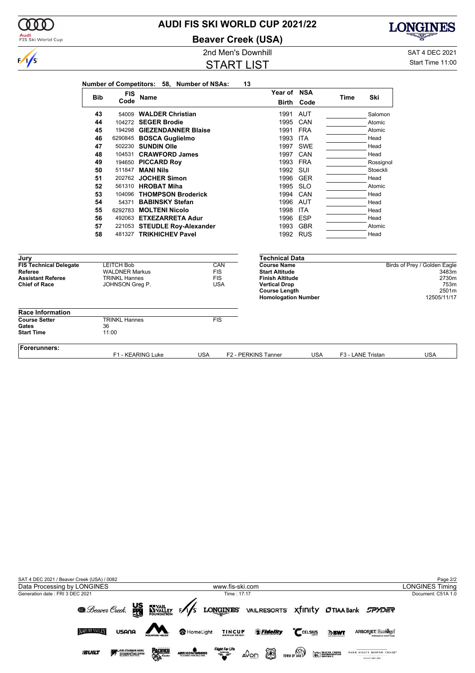|                               | <b>Bib</b> | <b>FIS</b><br>Code    | <b>Name</b>                  |            | Year of NSA                                        | <b>Birth Code</b> | <b>Time</b> | Ski                          |       |
|-------------------------------|------------|-----------------------|------------------------------|------------|----------------------------------------------------|-------------------|-------------|------------------------------|-------|
|                               | 43         |                       | 54009 WALDER Christian       |            |                                                    | 1991 AUT          |             | Salomon                      |       |
|                               | 44         |                       | 104272 SEGER Brodie          |            |                                                    | 1995 CAN          |             | Atomic                       |       |
|                               | 45         |                       | 194298 GIEZENDANNER Blaise   |            | 1991                                               | <b>FRA</b>        |             | Atomic                       |       |
|                               | 46         |                       | 6290845 BOSCA Guglielmo      |            | 1993                                               | <b>ITA</b>        |             | Head                         |       |
|                               | 47         |                       | 502230 SUNDIN Olle           |            | 1997                                               | SWE               |             | Head                         |       |
|                               | 48         |                       | 104531 CRAWFORD James        |            | 1997                                               | CAN               |             | Head                         |       |
|                               | 49         |                       | 194650 PICCARD Roy           |            | 1993                                               | <b>FRA</b>        |             | Rossignol                    |       |
|                               | 50         |                       | 511847 MANI Nils             |            | 1992                                               | SUI               |             | Stoeckli                     |       |
|                               | 51         |                       | 202762 JOCHER Simon          |            | 1996                                               | <b>GER</b>        |             | Head                         |       |
|                               | 52         |                       | 561310 HROBAT Miha           |            | 1995                                               | <b>SLO</b>        |             | Atomic                       |       |
|                               | 53         |                       | 104096 THOMPSON Broderick    |            | 1994                                               | CAN               |             | Head                         |       |
|                               | 54         |                       | 54371 BABINSKY Stefan        |            | 1996                                               | AUT               |             | Head                         |       |
|                               | 55         |                       | 6292783 MOLTENI Nicolo       |            | 1998                                               | <b>ITA</b>        |             | Head                         |       |
|                               | 56         |                       | 492063 ETXEZARRETA Adur      |            | 1996                                               | <b>ESP</b>        |             | Head                         |       |
|                               | 57         |                       | 221053 STEUDLE Roy-Alexander |            | 1993                                               | <b>GBR</b>        |             | Atomic                       |       |
|                               | 58         |                       | 481327 TRIKHICHEV Pavel      |            |                                                    | 1992 RUS          |             | Head                         |       |
| Jury                          |            |                       |                              |            | <b>Technical Data</b>                              |                   |             |                              |       |
| <b>FIS Technical Delegate</b> |            | <b>LEITCH Bob</b>     |                              | CAN        | <b>Course Name</b>                                 |                   |             | Birds of Prey / Golden Eagle |       |
| Referee                       |            | <b>WALDNER Markus</b> |                              | <b>FIS</b> | <b>Start Altitude</b>                              |                   |             |                              | 3483m |
| <b>Assistant Referee</b>      |            | <b>TRINKL Hannes</b>  |                              | <b>FIS</b> | <b>Finish Altitude</b>                             |                   |             |                              | 2730m |
| <b>Chief of Race</b>          |            | JOHNSON Greg P.       |                              | <b>USA</b> | <b>Vertical Drop</b>                               |                   |             |                              | 753m  |
|                               |            |                       |                              |            | <b>Course Length</b><br><b>Homologation Number</b> |                   |             | 12505/11/17                  | 2501m |
| <b>Race Information</b>       |            |                       |                              |            |                                                    |                   |             |                              |       |
| <b>Course Setter</b>          |            | <b>TRINKL Hannes</b>  |                              | <b>FIS</b> |                                                    |                   |             |                              |       |
| Gates<br><b>Start Time</b>    |            | 36<br>11:00           |                              |            |                                                    |                   |             |                              |       |





**Beaver Creek (USA)**

START LIST

2nd Men's Downhill and SAT 4 DEC 2021 Start Time 11:00

**LONGINES** 



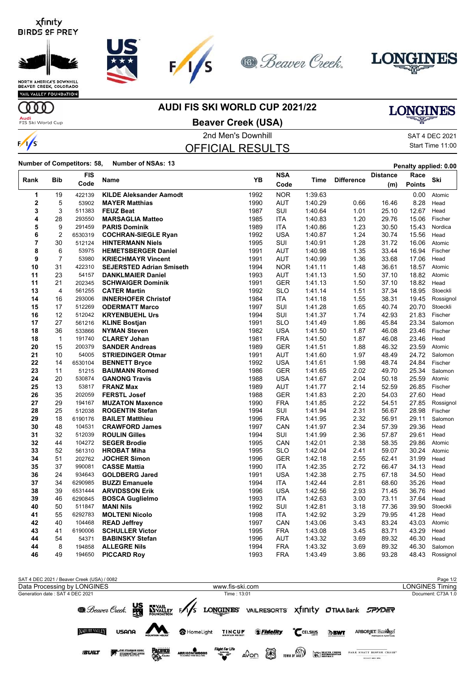







VAIL VALLEY FOUNDATION

**AUDI FIS SKI WORLD CUP 2021/22**

# **LONGINES**

**Audi**<br>FIS Ski World Cup

**ULLE** 

 $\frac{1}{s}$ 

### **Beaver Creek (USA)**

### 2nd Men's Downhill 30 and 2021 SAT 4 DEC 2021 OFFICIAL RESULTS

Start Time 11:00

**Number of Competitors: 58, Number of NSAs: <sup>13</sup> Penalty applied: 0.00**

|      |                         | <b>FIS</b>                |                                                 | YB           | <b>NSA</b>        |                    |                   | <b>Distance</b> | Race           | Ski                |
|------|-------------------------|---------------------------|-------------------------------------------------|--------------|-------------------|--------------------|-------------------|-----------------|----------------|--------------------|
| Rank | <b>Bib</b>              | Code                      | Name                                            |              | Code              | Time               | <b>Difference</b> | (m)             | <b>Points</b>  |                    |
|      | 1<br>19                 | 422139                    | <b>KILDE Aleksander Aamodt</b>                  | 1992         | <b>NOR</b>        | 1:39.63            |                   |                 | 0.00           | Atomic             |
|      | $\overline{\mathbf{2}}$ | 5<br>53902                | <b>MAYER Matthias</b>                           | 1990         | <b>AUT</b>        | 1:40.29            | 0.66              | 16.46           | 8.28           | Head               |
|      | 3                       | 3<br>511383               | <b>FEUZ Beat</b>                                | 1987         | SUI               | 1:40.64            | 1.01              | 25.10           | 12.67          | Head               |
|      | 4<br>28                 | 293550                    | <b>MARSAGLIA Matteo</b>                         | 1985         | <b>ITA</b>        | 1:40.83            | 1.20              | 29.76           | 15.06          | Fischer            |
|      | 5                       | 9<br>291459               | <b>PARIS Dominik</b>                            | 1989         | ITA               | 1:40.86            | 1.23              | 30.50           | 15.43          | Nordica            |
|      | 6                       | $\overline{2}$<br>6530319 | <b>COCHRAN-SIEGLE Ryan</b>                      | 1992         | <b>USA</b>        | 1:40.87            | 1.24              | 30.74           | 15.56          | Head               |
|      | 7<br>30                 | 512124                    | <b>HINTERMANN Niels</b>                         | 1995         | SUI               | 1:40.91            | 1.28              | 31.72           | 16.06          | Atomic             |
|      | 8                       | 6<br>53975                | <b>HEMETSBERGER Daniel</b>                      | 1991         | <b>AUT</b>        | 1:40.98            | 1.35              | 33.44           | 16.94          | Fischer            |
|      | 9                       | $\overline{7}$<br>53980   | <b>KRIECHMAYR Vincent</b>                       | 1991         | <b>AUT</b>        | 1:40.99            | 1.36              | 33.68           | 17.06          | Head               |
|      | 10<br>31                | 422310                    | <b>SEJERSTED Adrian Smiseth</b>                 | 1994         | <b>NOR</b>        | 1:41.11            | 1.48              | 36.61           | 18.57          | Atomic             |
|      | 23<br>11                | 54157                     | <b>DANKLMAIER Daniel</b>                        | 1993         | <b>AUT</b>        | 1:41.13            | 1.50              | 37.10           | 18.82          | Atomic             |
|      | 11<br>21                | 202345                    | <b>SCHWAIGER Dominik</b>                        | 1991         | <b>GER</b>        | 1:41.13            | 1.50              | 37.10           | 18.82          | Head               |
|      | 13                      | 4<br>561255               | <b>CATER Martin</b>                             | 1992         | <b>SLO</b>        | 1.41.14            | 1.51              | 37.34           | 18.95          | Stoeckli           |
|      | 14<br>16                | 293006                    | <b>INNERHOFER Christof</b>                      | 1984         | ITA               | 1.41.18            | 1.55              | 38.31           | 19.45          | Rossignol          |
|      | 17<br>15                | 512269                    | <b>ODERMATT Marco</b>                           | 1997         | SUI               | 1.41.28            | 1.65              | 40.74           | 20.70          | Stoeckli           |
|      | 12<br>16                | 512042                    | <b>KRYENBUEHL Urs</b>                           | 1994         | <b>SUI</b>        | 1:41.37            | 1.74              | 42.93           | 21.83          | Fischer            |
|      | 27<br>17                | 561216                    | <b>KLINE Bostjan</b>                            | 1991         | <b>SLO</b>        | 1:41.49            | 1.86              | 45.84           | 23.34          | Salomon            |
|      | 36<br>18                | 533866                    | <b>NYMAN Steven</b>                             | 1982         | <b>USA</b>        | 1:41.50            | 1.87              | 46.08           | 23.46          | Fischer            |
|      | 18                      | $\mathbf{1}$<br>191740    | <b>CLAREY Johan</b>                             | 1981         | <b>FRA</b>        | 1:41.50            | 1.87              | 46.08           | 23.46          | Head               |
|      | 15<br>20                | 200379                    | <b>SANDER Andreas</b>                           | 1989         | <b>GER</b>        | 1.41.51            | 1.88              | 46.32           | 23.59          | Atomic             |
|      | 21<br>10                | 54005                     | <b>STRIEDINGER Otmar</b>                        | 1991         | AUT               | 1:41.60            | 1.97              | 48.49           | 24.72          | Salomon            |
|      | 22<br>14                | 6530104                   | <b>BENNETT Bryce</b>                            | 1992         | <b>USA</b>        | 1:41.61            | 1.98              | 48.74           | 24.84          | Fischer            |
|      | 23<br>11                | 51215                     | <b>BAUMANN Romed</b>                            | 1986         | <b>GER</b>        | 1:41.65            | 2.02              | 49.70           | 25.34          | Salomon            |
|      | 24<br>20                | 530874                    | <b>GANONG Travis</b>                            | 1988         | <b>USA</b>        | 1:41.67            | 2.04              | 50.18           | 25.59          | Atomic             |
|      | 25<br>13                | 53817                     | <b>FRANZ Max</b>                                | 1989         | <b>AUT</b>        | 1:41.77            | 2.14              | 52.59           | 26.85          | Fischer            |
|      | 26<br>35                | 202059                    | <b>FERSTL Josef</b>                             | 1988         | <b>GER</b>        | 1:41.83            | 2.20              | 54.03           | 27.60          | Head               |
|      | 29<br>27                | 194167                    | <b>MUZATON Maxence</b>                          | 1990         | <b>FRA</b>        | 1:41.85            | 2.22              | 54.51           | 27.85          | Rossignol          |
|      | 28<br>25<br>29<br>18    | 512038                    | <b>ROGENTIN Stefan</b>                          | 1994<br>1996 | SUI<br><b>FRA</b> | 1.41.94<br>1:41.95 | 2.31<br>2.32      | 56.67<br>56.91  | 28.98<br>29.11 | Fischer<br>Salomon |
|      | 48<br>30                | 6190176<br>104531         | <b>BAILET Matthieu</b><br><b>CRAWFORD James</b> | 1997         | CAN               | 1:41.97            | 2.34              | 57.39           | 29.36          | Head               |
|      | 31<br>32                | 512039                    | <b>ROULIN Gilles</b>                            | 1994         | SUI               | 1.41.99            | 2.36              | 57.87           | 29.61          | Head               |
|      | 32<br>44                | 104272                    | <b>SEGER Brodie</b>                             | 1995         | CAN               | 1:42.01            | 2.38              | 58.35           | 29.86          | Atomic             |
|      | 33                      | 52<br>561310              | <b>HROBAT Miha</b>                              | 1995         | <b>SLO</b>        | 1:42.04            | 2.41              | 59.07           | 30.24          | Atomic             |
|      | 34<br>51                | 202762                    | <b>JOCHER Simon</b>                             | 1996         | <b>GER</b>        | 1:42.18            | 2.55              | 62.41           | 31.99          | Head               |
|      | 35<br>37                | 990081                    | <b>CASSE Mattia</b>                             | 1990         | <b>ITA</b>        | 1:42.35            | 2.72              | 66.47           | 34.13          | Head               |
|      | 36<br>24                | 934643                    | <b>GOLDBERG Jared</b>                           | 1991         | <b>USA</b>        | 1:42.38            | 2.75              | 67.18           | 34.50          | Head               |
|      | 37<br>34                | 6290985                   | <b>BUZZI Emanuele</b>                           | 1994         | <b>ITA</b>        | 1.42.44            | 2.81              | 68.60           | 35.26          | Head               |
|      | 38<br>39                | 6531444                   | <b>ARVIDSSON Erik</b>                           | 1996         | <b>USA</b>        | 1:42.56            | 2.93              | 71.45           | 36.76          | Head               |
|      | 39<br>46                | 6290845                   | <b>BOSCA Guglielmo</b>                          | 1993         | ITA               | 1:42.63            | 3.00              | 73.11           | 37.64          | Head               |
|      | 50<br>40                | 511847                    | <b>MANI Nils</b>                                | 1992         | SUI               | 1:42.81            | 3.18              | 77.36           | 39.90          | Stoeckli           |
|      | 55<br>41                | 6292783                   | <b>MOLTENI Nicolo</b>                           | 1998         | <b>ITA</b>        | 1:42.92            | 3.29              | 79.95           | 41.28          | Head               |
|      | 42<br>40                | 104468                    | <b>READ Jeffrey</b>                             | 1997         | CAN               | 1:43.06            | 3.43              | 83.24           | 43.03          | Atomic             |
|      | 43<br>41                | 6190006                   | <b>SCHULLER Victor</b>                          | 1995         | <b>FRA</b>        | 1:43.08            | 3.45              | 83.71           | 43.29          | Head               |
|      | 54<br>44                | 54371                     | <b>BABINSKY Stefan</b>                          | 1996         | <b>AUT</b>        | 1:43.32            | 3.69              | 89.32           | 46.30          | Head               |
|      | 44                      | 8<br>194858               | <b>ALLEGRE Nils</b>                             | 1994         | <b>FRA</b>        | 1:43.32            | 3.69              | 89.32           | 46.30          | Salomon            |
|      | 49<br>46                | 194650                    | <b>PICCARD Roy</b>                              | 1993         | <b>FRA</b>        | 1:43.49            | 3.86              | 93.28           | 48.43          | Rossignol          |
|      |                         |                           |                                                 |              |                   |                    |                   |                 |                |                    |

SAT 4 DEC 2021 / Beaver Creek (USA) / 0082 Page 1/2<br>Data Processing by LONGINES **Page 1/2**<br>Data Processing by LONGINES Timing Data Processing by LONGINES www.fis-ski.com Generation date : SAT 4 DEC 2021 Time : 13:01 Document: C73A 1.0 **@** Beaver Creek. We WALLEY F/S LONGINES VAILRESORTS XfINIty OTIAA Bank SPYDER ARBORJET Ecologel **NATURE VALLEY** HomeLight TINCUP SFidelity USQOQ CCELSIUS **DBWT SUILT ARRIGONI WOODS**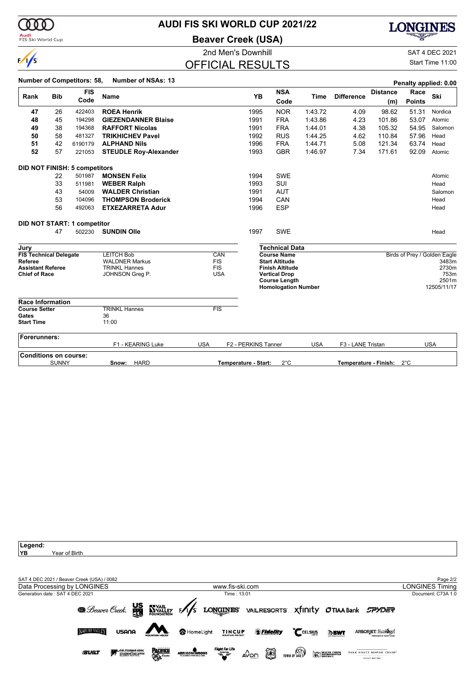

**Audi**<br>FIS Ski World Cup

### **AUDI FIS SKI WORLD CUP 2021/22**

**Beaver Creek (USA)**



2nd Men's Downhill and SAT 4 DEC 2021

# OFFICIAL RESULTS

Start Time 11:00

|                                     |                                      | <b>Number of Competitors: 58,</b>    | <b>Number of NSAs: 13</b>                     |            |                          |                      |                                                 |             |                       |                 |               | Penalty applied: 0.00        |
|-------------------------------------|--------------------------------------|--------------------------------------|-----------------------------------------------|------------|--------------------------|----------------------|-------------------------------------------------|-------------|-----------------------|-----------------|---------------|------------------------------|
|                                     |                                      | <b>FIS</b>                           |                                               |            |                          |                      | <b>NSA</b>                                      |             |                       | <b>Distance</b> | Race          |                              |
| Rank                                | <b>Bib</b>                           | Code                                 | <b>Name</b>                                   |            |                          | <b>YB</b>            | Code                                            | <b>Time</b> | <b>Difference</b>     | (m)             | <b>Points</b> | Ski                          |
| 47                                  | 26                                   | 422403                               | <b>ROEA Henrik</b>                            |            |                          | 1995                 | <b>NOR</b>                                      | 1:43.72     | 4.09                  | 98.62           | 51.31         | Nordica                      |
| 48                                  | 45                                   | 194298                               | <b>GIEZENDANNER Blaise</b>                    |            |                          | 1991                 | <b>FRA</b>                                      | 1:43.86     | 4.23                  | 101.86          | 53.07         | Atomic                       |
| 49                                  | 38                                   | 194368                               | <b>RAFFORT Nicolas</b>                        |            |                          | 1991                 | <b>FRA</b>                                      | 1:44.01     | 4.38                  | 105.32          | 54.95         | Salomon                      |
| 50                                  | 58                                   | 481327                               | <b>TRIKHICHEV Pavel</b>                       |            |                          | 1992                 | <b>RUS</b>                                      | 1:44.25     | 4.62                  | 110.84          | 57.96         | Head                         |
| 51                                  | 42                                   | 6190179                              | <b>ALPHAND Nils</b>                           |            |                          | 1996                 | <b>FRA</b>                                      | 1:44.71     | 5.08                  | 121.34          | 63.74         | Head                         |
| 52                                  | 57                                   | 221053                               | <b>STEUDLE Roy-Alexander</b>                  |            |                          | 1993                 | <b>GBR</b>                                      | 1:46.97     | 7.34                  | 171.61          | 92.09         | Atomic                       |
|                                     |                                      | <b>DID NOT FINISH: 5 competitors</b> |                                               |            |                          |                      |                                                 |             |                       |                 |               |                              |
|                                     | 22                                   | 501987                               | <b>MONSEN Felix</b>                           |            |                          | 1994                 | <b>SWE</b>                                      |             |                       |                 |               | Atomic                       |
|                                     | 33                                   | 511981                               | <b>WEBER Ralph</b>                            |            |                          | 1993                 | <b>SUI</b>                                      |             |                       |                 |               | Head                         |
|                                     | 43                                   | 54009                                | <b>WALDER Christian</b>                       |            |                          | 1991                 | <b>AUT</b>                                      |             |                       |                 |               | Salomon                      |
|                                     | 53                                   | 104096                               | <b>THOMPSON Broderick</b>                     |            |                          | 1994                 | CAN                                             |             |                       |                 |               | Head                         |
|                                     | 56                                   | 492063                               | <b>ETXEZARRETA Adur</b>                       |            |                          | 1996                 | <b>ESP</b>                                      |             |                       |                 |               | Head                         |
|                                     |                                      | DID NOT START: 1 competitor          |                                               |            |                          |                      |                                                 |             |                       |                 |               |                              |
|                                     | 47                                   | 502230                               | <b>SUNDIN Olle</b>                            |            |                          | 1997                 | <b>SWE</b>                                      |             |                       |                 |               | Head                         |
| Jury                                |                                      |                                      |                                               |            |                          |                      | <b>Technical Data</b>                           |             |                       |                 |               |                              |
| <b>FIS Technical Delegate</b>       |                                      |                                      | <b>LEITCH Bob</b>                             |            | CAN                      |                      | <b>Course Name</b>                              |             |                       |                 |               | Birds of Prey / Golden Eagle |
| Referee<br><b>Assistant Referee</b> |                                      |                                      | <b>WALDNER Markus</b><br><b>TRINKL Hannes</b> |            | <b>FIS</b><br><b>FIS</b> |                      | <b>Start Altitude</b><br><b>Finish Altitude</b> |             |                       |                 |               | 3483m<br>2730m               |
| <b>Chief of Race</b>                |                                      |                                      | JOHNSON Greg P.                               |            | <b>USA</b>               |                      | <b>Vertical Drop</b>                            |             |                       |                 |               | 753m                         |
|                                     |                                      |                                      |                                               |            |                          |                      | <b>Course Length</b>                            |             |                       |                 |               | 2501m                        |
|                                     |                                      |                                      |                                               |            |                          |                      | <b>Homologation Number</b>                      |             |                       |                 |               | 12505/11/17                  |
| <b>Race Information</b>             |                                      |                                      |                                               |            |                          |                      |                                                 |             |                       |                 |               |                              |
| <b>Course Setter</b><br>Gates       |                                      |                                      | <b>TRINKL Hannes</b>                          |            | FIS                      |                      |                                                 |             |                       |                 |               |                              |
| <b>Start Time</b>                   |                                      |                                      | 36<br>11:00                                   |            |                          |                      |                                                 |             |                       |                 |               |                              |
| <b>Forerunners:</b>                 |                                      |                                      |                                               |            |                          |                      |                                                 |             |                       |                 |               |                              |
|                                     |                                      |                                      | F1 - KEARING Luke                             | <b>USA</b> |                          | F2 - PERKINS Tanner  |                                                 | <b>USA</b>  | F3 - LANE Tristan     |                 |               | <b>USA</b>                   |
|                                     | <b>Conditions on course:</b>         |                                      |                                               |            |                          |                      | $2^{\circ}$ C                                   |             |                       |                 |               |                              |
|                                     | <b>HARD</b><br><b>SUNNY</b><br>Snow: |                                      |                                               |            |                          | Temperature - Start: |                                                 |             | Temperature - Finish: |                 | $2^{\circ}$ C |                              |

**Legend:** Year of Birth SAT 4 DEC 2021 / Beaver Creek (USA) / 0082 Page 2/2 Data Processing by LONGINES www.fis-ski.com LONGINES TimingGeneration date : SAT 4 DEC 2021 Time : 13:01 Document: C73A 1.0 **@** Beaver Creek. WE EVALLEY FAS LONGINES VAILRESORTS XfINIty OTIAA Bank SPYDER **NATURE VALLEY** USANA HomeLight TINCUP SFidelity **ARBORJET Ecologel** CCELSIUS **DBWT PACIFICS SUILT** ARRIGONIWOODS THE STEADMAN CLINIC<br>STEADMAN PHILIPPON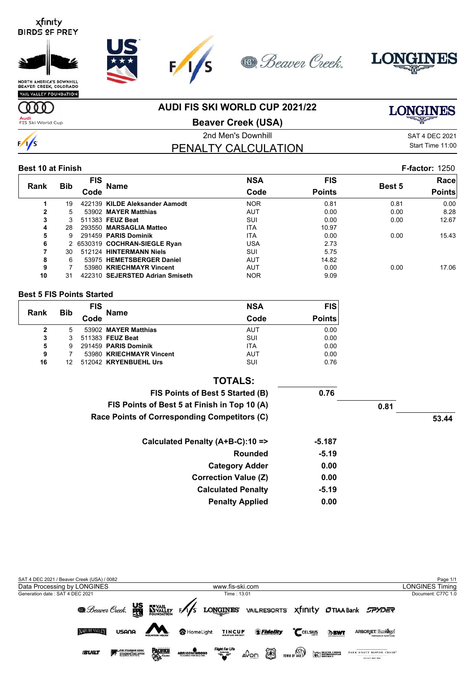



VAIL VALLEY FOUNDATION

**AUDI FIS SKI WORLD CUP 2021/22**

**LONGINES** 

**Audi**<br>FIS Ski World Cup

**TOD** 

 $\frac{1}{s}$ 

**Beaver Creek (USA)**

2nd Men's Downhill 30 and 2021 SAT 4 DEC 2021 PENALTY CALCULATION

Start Time 11:00

#### **Best 10 at Finish F-factor:** 1250

|              |            | <b>FIS</b> |                                 | <b>NSA</b> | <b>FIS</b>    |               | Race          |
|--------------|------------|------------|---------------------------------|------------|---------------|---------------|---------------|
| <b>Rank</b>  | <b>Bib</b> | Code       | Name                            | Code       | <b>Points</b> | <b>Best 5</b> | <b>Points</b> |
|              | 19         |            | 422139 KILDE Aleksander Aamodt  | <b>NOR</b> | 0.81          | 0.81          | 0.00          |
| $\mathbf{2}$ | 5.         |            | 53902 MAYER Matthias            | <b>AUT</b> | 0.00          | 0.00          | 8.28          |
| 3            |            |            | 511383 FEUZ Beat                | SUI        | 0.00          | 0.00          | 12.67         |
| 4            | 28         |            | 293550 MARSAGLIA Matteo         | <b>ITA</b> | 10.97         |               |               |
| 5            | 9          |            | 291459 PARIS Dominik            | <b>ITA</b> | 0.00          | 0.00          | 15.43         |
| 6            |            |            | 2 6530319 COCHRAN-SIEGLE Ryan   | USA        | 2.73          |               |               |
|              | 30         |            | 512124 HINTERMANN Niels         | SUI        | 5.75          |               |               |
| 8            | 6          |            | 53975 HEMETSBERGER Daniel       | <b>AUT</b> | 14.82         |               |               |
| 9            |            |            | 53980 KRIECHMAYR Vincent        | <b>AUT</b> | 0.00          | 0.00          | 17.06         |
| 10           | 31         |            | 422310 SEJERSTED Adrian Smiseth | <b>NOR</b> | 9.09          |               |               |

#### **Best 5 FIS Points Started**

| Rank | <b>Bib</b> | <b>FIS</b> | <b>Name</b>              | <b>NSA</b> | <b>FIS</b>    |
|------|------------|------------|--------------------------|------------|---------------|
|      |            | Code       |                          | Code       | <b>Points</b> |
| 2    | 5          |            | 53902 MAYER Matthias     | AUT        | 0.00          |
| 3    | 3          |            | 511383 FEUZ Beat         | SUI        | 0.00          |
| 5    | 9          |            | 291459 PARIS Dominik     | <b>ITA</b> | 0.00          |
| 9    |            |            | 53980 KRIECHMAYR Vincent | AUT        | 0.00          |
| 16   | 12         |            | 512042 KRYENBUEHL Urs    | SUI        | 0.76          |

| <b>TOTALS:</b>                               |          |      |       |
|----------------------------------------------|----------|------|-------|
| FIS Points of Best 5 Started (B)             | 0.76     |      |       |
| FIS Points of Best 5 at Finish in Top 10 (A) |          | 0.81 |       |
| Race Points of Corresponding Competitors (C) |          |      | 53.44 |
| Calculated Penalty (A+B-C):10 =>             | $-5.187$ |      |       |
| <b>Rounded</b>                               | $-5.19$  |      |       |
| <b>Category Adder</b>                        | 0.00     |      |       |
| <b>Correction Value (Z)</b>                  | 0.00     |      |       |
| <b>Calculated Penalty</b>                    | $-5.19$  |      |       |
| <b>Penalty Applied</b>                       | 0.00     |      |       |

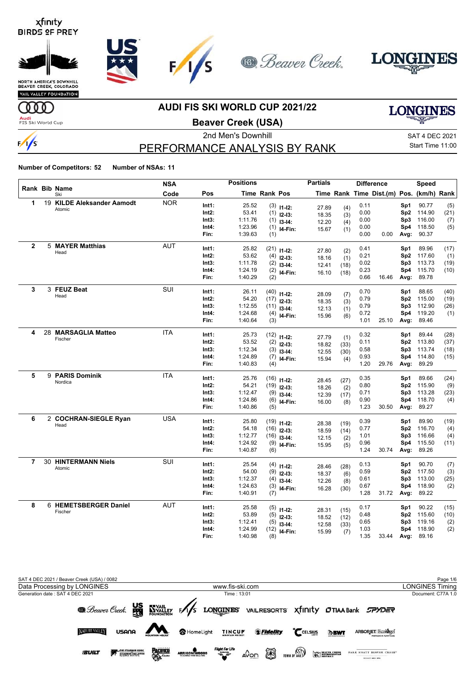



VAIL VALLEY FOUNDATION

### **AUDI FIS SKI WORLD CUP 2021/22**

**LONGINES** 

**Audi**<br>FIS Ski World Cup

**ULLE** 

 $\frac{1}{s}$ 

### **Beaver Creek (USA)**

# PERFORMANCE ANALYSIS BY RANK

2nd Men's Downhill 30 and 2021 SAT 4 DEC 2021 Start Time 11:00

|                |                            | <b>NSA</b> |                | <b>Positions</b> |                      |                           | <b>Partials</b> |             |              | <b>Difference</b>                        |                        | <b>Speed</b>    |            |
|----------------|----------------------------|------------|----------------|------------------|----------------------|---------------------------|-----------------|-------------|--------------|------------------------------------------|------------------------|-----------------|------------|
|                | Rank Bib Name<br>Ski       | Code       | Pos            |                  | <b>Time Rank Pos</b> |                           |                 |             |              | Time Rank Time Dist.(m) Pos. (km/h) Rank |                        |                 |            |
| 1              | 19 KILDE Aleksander Aamodt | <b>NOR</b> | Int1:          | 25.52            |                      | $(3)$ 11-12:              | 27.89           | (4)         | 0.11         |                                          | Sp1                    | 90.77           | (5)        |
|                | Atomic                     |            | $Int2$ :       | 53.41            |                      | $(1)$ 12-13:              | 18.35           | (3)         | 0.00         |                                          | Sp2                    | 114.90          | (21)       |
|                |                            |            | Int3:          | 1:11.76          |                      | $(1)$ 13-14:              | 12.20           | (4)         | 0.00         |                                          | Sp3                    | 116.00          | (7)        |
|                |                            |            | Int4:          | 1:23.96          | (1)                  | I4-Fin:                   | 15.67           | (1)         | 0.00         |                                          | Sp4                    | 118.50          | (5)        |
|                |                            |            | Fin:           | 1:39.63          | (1)                  |                           |                 |             | 0.00         | 0.00                                     | Avg:                   | 90.37           |            |
| $\mathbf{2}$   | 5 MAYER Matthias           | <b>AUT</b> | Int1:          | 25.82            |                      | $(21)$ 11-12:             |                 |             | 0.41         |                                          | Sp1                    | 89.96           | (17)       |
|                | Head                       |            | Int2:          | 53.62            | (4)                  | $12-13:$                  | 27.80<br>18.16  | (2)         | 0.21         |                                          | Sp <sub>2</sub>        | 117.60          | (1)        |
|                |                            |            | Int3:          | 1:11.78          | (2)                  | $13-14:$                  | 12.41           | (1)<br>(18) | 0.02         |                                          | Sp3                    | 113.73          | (19)       |
|                |                            |            | Int4:          | 1:24.19          |                      | $(2)$ 14-Fin:             | 16.10           | (18)        | 0.23         |                                          | Sp4                    | 115.70          | (10)       |
|                |                            |            | Fin:           | 1:40.29          | (2)                  |                           |                 |             | 0.66         | 16.46                                    | Avg:                   | 89.78           |            |
| 3              | 3 FEUZ Beat                | SUI        | Int1:          | 26.11            |                      | $(40)$ 11-12:             |                 |             | 0.70         |                                          | Sp1                    | 88.65           | (40)       |
|                | Head                       |            | $Int2$ :       | 54.20            |                      | $(17)$ 12-13:             | 28.09           | (7)         | 0.79         |                                          | Sp2                    | 115.00          | (19)       |
|                |                            |            | Int3:          | 1:12.55          |                      | $(11)$ 13-14:             | 18.35           | (3)         | 0.79         |                                          | Sp3                    | 112.90          | (26)       |
|                |                            |            | Int4:          | 1:24.68          |                      | $(4)$ 14-Fin:             | 12.13<br>15.96  | (1)         | 0.72         |                                          | Sp4                    | 119.20          | (1)        |
|                |                            |            | Fin:           | 1:40.64          | (3)                  |                           |                 | (6)         | 1.01         | 25.10                                    | Avg:                   | 89.46           |            |
| 4              | 28 MARSAGLIA Matteo        | <b>ITA</b> | Int1:          | 25.73            |                      |                           |                 |             | 0.32         |                                          | Sp1                    | 89.44           | (28)       |
|                | Fischer                    |            | Int2:          | 53.52            |                      | $(12)$ 11-12:             | 27.79           | (1)         | 0.11         |                                          | Sp2                    | 113.80          | (37)       |
|                |                            |            | Int3:          | 1:12.34          | (3)                  | $(2)$ 12-13:              | 18.82           | (33)        | 0.58         |                                          | Sp3                    | 113.74          | (18)       |
|                |                            |            | Int4:          | 1:24.89          |                      | $13-14:$<br>$(7)$ 14-Fin: | 12.55           | (30)        | 0.93         |                                          | Sp4                    | 114.80          | (15)       |
|                |                            |            | Fin:           | 1:40.83          | (4)                  |                           | 15.94           | (4)         | 1.20         | 29.76                                    | Avg:                   | 89.29           |            |
| 5              | 9 PARIS Dominik            | <b>ITA</b> | Int1:          | 25.76            |                      |                           |                 |             | 0.35         |                                          | Sp1                    | 89.66           | (24)       |
|                | Nordica                    |            | Int2:          | 54.21            |                      | $(16)$ 11-12:             | 28.45           | (27)        | 0.80         |                                          | Sp <sub>2</sub>        | 115.90          | (9)        |
|                |                            |            | Int3:          | 1:12.47          | (9)                  | $(19)$ 12-13:             | 18.26           | (2)         | 0.71         |                                          | Sp3                    | 113.28          | (23)       |
|                |                            |            | Int4:          | 1:24.86          |                      | $13-14:$                  | 12.39           | (17)        | 0.90         |                                          | Sp4                    | 118.70          | (4)        |
|                |                            |            | Fin:           | 1:40.86          | (5)                  | $(6)$ 14-Fin:             | 16.00           | (8)         | 1.23         | 30.50                                    | Avg:                   | 89.27           |            |
| 6              | 2 COCHRAN-SIEGLE Ryan      | <b>USA</b> |                |                  |                      |                           |                 |             |              |                                          |                        |                 |            |
|                | Head                       |            | Int1:<br>Int2: | 25.80<br>54.18   |                      | $(19)$ 11-12:             | 28.38           | (19)        | 0.39         |                                          | Sp1                    | 89.90<br>116.70 | (19)       |
|                |                            |            | Int3:          | 1:12.77          |                      | $(16)$ 12-13:             | 18.59           | (14)        | 0.77<br>1.01 |                                          | Sp <sub>2</sub><br>Sp3 | 116.66          | (4)<br>(4) |
|                |                            |            | Int4:          | 1:24.92          |                      | $(16)$ 13-14:             | 12.15           | (2)         | 0.96         |                                          | Sp4                    | 115.50          | (11)       |
|                |                            |            | Fin:           | 1:40.87          | (6)                  | $(9)$ 14-Fin:             | 15.95           | (5)         | 1.24         | 30.74                                    | Avg:                   | 89.26           |            |
| $\overline{7}$ | 30 HINTERMANN Niels        | <b>SUI</b> | Int1:          | 25.54            |                      |                           |                 |             | 0.13         |                                          | Sp1                    | 90.70           | (7)        |
|                | Atomic                     |            | Int2:          | 54.00            |                      | $(4)$ 11-12:              | 28.46           | (28)        | 0.59         |                                          | Sp2                    | 117.50          | (3)        |
|                |                            |            | Int3:          | 1:12.37          | (4)                  | $(9)$ 12-13:              | 18.37           | (6)         | 0.61         |                                          | Sp3                    | 113.00          | (25)       |
|                |                            |            | Int4:          | 1:24.63          |                      | $13-14:$                  | 12.26           | (8)         | 0.67         |                                          | Sp4                    | 118.90          | (2)        |
|                |                            |            | Fin:           | 1:40.91          | (7)                  | $(3)$ 14-Fin:             | 16.28           | (30)        | 1.28         | 31.72                                    | Avg:                   | 89.22           |            |
| 8              | 6 HEMETSBERGER Daniel      | <b>AUT</b> | Int1:          | 25.58            |                      |                           |                 |             | 0.17         |                                          | Sp1                    | 90.22           | (15)       |
|                | Fischer                    |            | Int2:          | 53.89            | (5)                  | $(5)$ 11-12:              | 28.31           | (15)        | 0.48         |                                          | Sp2                    | 115.60          | (10)       |
|                |                            |            | Int3:          | 1:12.41          | (5)                  | $12 - 13:$                | 18.52           | (12)        | 0.65         |                                          | Sp3                    | 119.16          | (2)        |
|                |                            |            | Int4:          | 1:24.99          | (12)                 | $13-14:$                  | 12.58           | (33)        | 1.03         |                                          | Sp4                    | 118.90          | (2)        |
|                |                            |            | Fin:           | 1:40.98          | (8)                  | I4-Fin:                   | 15.99           | (7)         | 1.35         | 33.44                                    | Avg:                   | 89.16           |            |

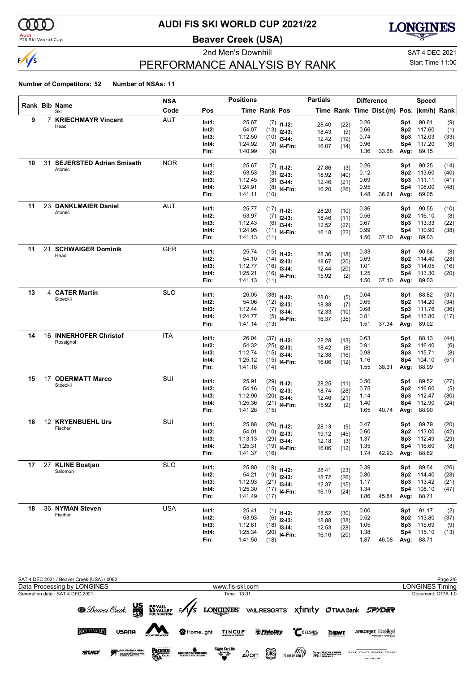

#### **Audi**<br>FIS Ski World Cup

## **AUDI FIS SKI WORLD CUP 2021/22**

**Beaver Creek (USA)**

**LONGINES** 

# PERFORMANCE ANALYSIS BY RANK

2nd Men's Downhill and SAT 4 DEC 2021 Start Time 11:00

|    |    |                                 | <b>NSA</b> |       | <b>Positions</b> |                      |                           | <b>Partials</b> |      | <b>Difference</b> |                                          |                 | Speed      |      |
|----|----|---------------------------------|------------|-------|------------------|----------------------|---------------------------|-----------------|------|-------------------|------------------------------------------|-----------------|------------|------|
|    |    | Rank Bib Name<br>Ski            | Code       | Pos   |                  | <b>Time Rank Pos</b> |                           |                 |      |                   | Time Rank Time Dist.(m) Pos. (km/h) Rank |                 |            |      |
| 9  |    | 7 KRIECHMAYR Vincent            | <b>AUT</b> | Int1: | 25.67            |                      | $(7)$ 11-12:              | 28.40           | (22) | 0.26              |                                          | Sp1             | 90.61      | (9)  |
|    |    | Head                            |            | Int2: | 54.07            |                      | $(13)$ 12-13:             | 18.43           | (9)  | 0.66              |                                          | Sp <sub>2</sub> | 117.60     | (1)  |
|    |    |                                 |            | Int3: | 1:12.50          |                      | $(10)$ 13-14:             | 12.42           | (19) | 0.74              |                                          | Sp3             | 112.03     | (33) |
|    |    |                                 |            | Int4: | 1:24.92          |                      | $(9)$ 14-Fin:             | 16.07           | (14) | 0.96              |                                          | Sp4             | 117.20     | (6)  |
|    |    |                                 |            | Fin:  | 1:40.99          | (9)                  |                           |                 |      | 1.36              | 33.68                                    |                 | Avg: 89.15 |      |
| 10 | 31 | <b>SEJERSTED Adrian Smiseth</b> | <b>NOR</b> | Int1: | 25.67            |                      | $(7)$ 11-12:              | 27.86           | (3)  | 0.26              |                                          | Sp1             | 90.25      | (14) |
|    |    | Atomic                          |            | Int2: | 53.53            |                      | $(3)$ 12-13:              | 18.92           | (40) | 0.12              |                                          | Sp <sub>2</sub> | 113.60     | (40) |
|    |    |                                 |            | Int3: | 1:12.45          |                      | $(8)$ 13-14:              | 12.46           | (21) | 0.69              |                                          | Sp3             | 111.11     | (41) |
|    |    |                                 |            | Int4: | 1:24.91          |                      | $(8)$ 14-Fin:             | 16.20           | (26) | 0.95              |                                          | Sp4             | 108.00     | (48) |
|    |    |                                 |            | Fin:  | 1:41.11          | (10)                 |                           |                 |      | 1.48              | 36.61                                    | Avg:            | 89.05      |      |
| 11 |    | 23 DANKLMAIER Daniel<br>Atomic  | <b>AUT</b> | Int1: | 25.77            |                      | $(17)$ 11-12:             | 28.20           | (10) | 0.36              |                                          | Sp1             | 90.55      | (10) |
|    |    |                                 |            | Int2: | 53.97            |                      | $(7)$ 12-13:              | 18.46           | (11) | 0.56              |                                          | Sp <sub>2</sub> | 116.10     | (8)  |
|    |    |                                 |            | Int3: | 1:12.43          |                      | $(6)$ 13-14:              | 12.52           | (27) | 0.67              |                                          | Sp3             | 113.33     | (22) |
|    |    |                                 |            | Int4: | 1:24.95          |                      | $(11)$ <sub>14-Fin:</sub> | 16.18           | (22) | 0.99              |                                          | Sp4             | 110.90     | (38) |
|    |    |                                 |            | Fin:  | 1:41.13          | (11)                 |                           |                 |      | 1.50              | 37.10                                    | Avg:            | 89.03      |      |
| 11 | 21 | <b>SCHWAIGER Dominik</b>        | <b>GER</b> | Int1: | 25.74            |                      | $(15)$ 11-12:             | 28.36           | (18) | 0.33              |                                          | Sp1             | 90.64      | (8)  |
|    |    | Head                            |            | Int2: | 54.10            |                      | $(14)$ 12-13:             | 18.67           | (20) | 0.69              |                                          | Sp <sub>2</sub> | 114.40     | (28) |
|    |    |                                 |            | Int3: | 1:12.77          |                      | $(16)$ 13-14:             | 12.44           | (20) | 1.01              |                                          | Sp3             | 114.05     | (16) |
|    |    |                                 |            | Int4: | 1:25.21          |                      | $(16)$ 14-Fin:            | 15.92           | (2)  | 1.25              |                                          | Sp4             | 113.30     | (20) |
|    |    |                                 |            | Fin:  | 1:41.13          | (11)                 |                           |                 |      | 1.50              | 37.10                                    | Avg:            | 89.03      |      |
| 13 |    | 4 CATER Martin<br>Stoeckli      | <b>SLO</b> | Int1: | 26.05            |                      | $(38)$ 11-12:             | 28.01           | (5)  | 0.64              |                                          | Sp1             | 88.82      | (37) |
|    |    |                                 |            | Int2: | 54.06            |                      | $(12)$ 12-13:             | 18.38           | (7)  | 0.65              |                                          | Sp <sub>2</sub> | 114.20     | (34) |
|    |    |                                 |            | Int3: | 1:12.44          |                      | $(7)$ 13-14:              | 12.33           | (10) | 0.68              |                                          | Sp3             | 111.76     | (36) |
|    |    |                                 |            | Int4: | 1:24.77          |                      | $(5)$ 14-Fin:             | 16.37           | (35) | 0.81              |                                          | Sp4             | 113.80     | (17) |
|    |    |                                 |            | Fin:  | 1:41.14          | (13)                 |                           |                 |      | 1.51              | 37.34                                    | Avg:            | 89.02      |      |
| 14 |    | 16 INNERHOFER Christof          | <b>ITA</b> | Int1: | 26.04            |                      | $(37)$ 11-12:             | 28.28           | (13) | 0.63              |                                          | Sp1             | 88.13      | (44) |
|    |    | Rossignol                       |            | Int2: | 54.32            |                      | $(25)$ 12-13:             | 18.42           | (8)  | 0.91              |                                          | Sp <sub>2</sub> | 116.40     | (6)  |
|    |    |                                 |            | Int3: | 1:12.74          |                      | $(15)$ 13-14:             | 12.38           | (16) | 0.98              |                                          | Sp3             | 115.71     | (8)  |
|    |    |                                 |            | Int4: | 1:25.12          |                      | $(15)$ <sub>14-Fin:</sub> | 16.06           | (12) | 1.16              |                                          | Sp4             | 104.10     | (51) |
|    |    |                                 |            | Fin:  | 1:41.18          | (14)                 |                           |                 |      | 1.55              | 38.31                                    | Avg:            | 88.99      |      |
| 15 | 17 | <b>ODERMATT Marco</b>           | SUI        | Int1: | 25.91            |                      | $(29)$ 11-12:             | 28.25           | (11) | 0.50              |                                          | Sp1             | 89.52      | (27) |
|    |    | Stoeckli                        |            | Int2: | 54.16            |                      | $(15)$ 12-13:             | 18.74           | (28) | 0.75              |                                          | Sp <sub>2</sub> | 116.60     | (5)  |
|    |    |                                 |            | Int3: | 1:12.90          |                      | $(20)$ 13-14:             | 12.46           | (21) | 1.14              |                                          | Sp3             | 112.47     | (30) |
|    |    |                                 |            | Int4: | 1:25.36          |                      | $(21)$ <sub>14-Fin:</sub> | 15.92           | (2)  | 1.40              |                                          | Sp4             | 112.90     | (24) |
|    |    |                                 |            | Fin:  | 1:41.28          | (15)                 |                           |                 |      | 1.65              | 40.74                                    | Avg:            | 88.90      |      |
| 16 |    | 12 KRYENBUEHL Urs               | SUI        | Int1: | 25.88            |                      | $(26)$ 11-12:             | 28.13           | (9)  | 0.47              |                                          | Sp1             | 89.79      | (20) |
|    |    | Fischer                         |            | Int2: | 54.01            |                      | $(10)$ 12-13:             | 19.12           | (45) | 0.60              |                                          | Sp <sub>2</sub> | 113.00     | (42) |
|    |    |                                 |            | Int3: | 1:13.13          |                      | $(29)$ 13-14:             | 12.18           | (3)  | 1.37              |                                          | Sp3             | 112.49     | (29) |
|    |    |                                 |            | Int4: | 1:25.31          |                      | $(19)$ 14-Fin:            | 16.06           | (12) | 1.35              |                                          |                 | Sp4 116.60 | (8)  |
|    |    |                                 |            | Fin:  | 1:41.37          | (16)                 |                           |                 |      | 1.74              | 42.93                                    | Avg:            | 88.82      |      |
| 17 |    | 27 KLINE Bostjan                | <b>SLO</b> | Int1: | 25.80            |                      | $(19)$ 11-12:             | 28.41           | (23) | 0.39              |                                          | Sp1             | 89.54      | (26) |
|    |    | Salomon                         |            | Int2: | 54.21            |                      | $(19)$ 12-13:             | 18.72           | (26) | 0.80              |                                          | Sp <sub>2</sub> | 114.40     | (28) |
|    |    |                                 |            | Int3: | 1:12.93          |                      | $(21)$ 13-14:             | 12.37           | (15) | 1.17              |                                          | Sp3             | 113.42     | (21) |
|    |    |                                 |            | Int4: | 1:25.30          |                      | $(17)$ 14-Fin:            | 16.19           | (24) | 1.34              |                                          | Sp4             | 108.10     | (47) |
|    |    |                                 |            | Fin:  | 1:41.49          | (17)                 |                           |                 |      | 1.86              | 45.84                                    |                 | Avg: 88.71 |      |
| 18 |    | 36 NYMAN Steven                 | <b>USA</b> | Int1: | 25.41            |                      | $(1)$ 11-12:              | 28.52           | (30) | 0.00              |                                          | Sp1             | 91.17      | (2)  |
|    |    | Fischer                         |            | Int2: | 53.93            |                      | $(6)$ 12-13:              | 18.88           | (38) | 0.52              |                                          | Sp <sub>2</sub> | 113.80     | (37) |
|    |    |                                 |            | Int3: | 1:12.81          |                      | $(18)$ 13-14:             | 12.53           | (28) | 1.05              |                                          | Sp3             | 115.69     | (9)  |
|    |    |                                 |            | Int4: | 1:25.34          |                      | $(20)$ 14-Fin:            | 16.16           | (20) | 1.38              |                                          |                 | Sp4 115.10 | (13) |
|    |    |                                 |            | Fin:  | 1:41.50          | (18)                 |                           |                 |      | 1.87              | 46.08                                    |                 | Avg: 88.71 |      |

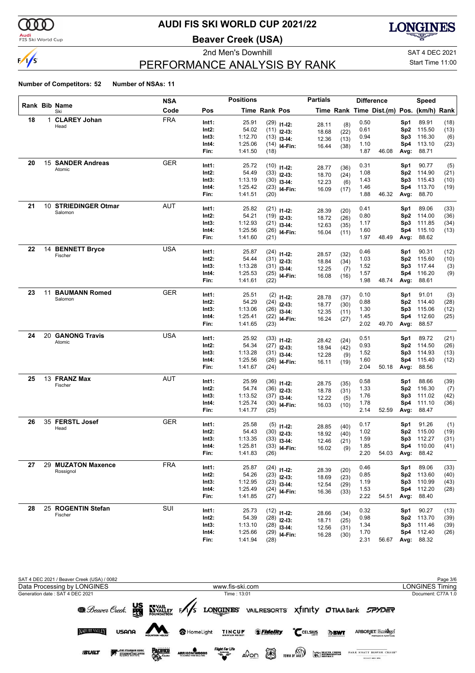

#### **Audi**<br>FIS Ski World Cup

# **AUDI FIS SKI WORLD CUP 2021/22**

**Beaver Creek (USA)**



# PERFORMANCE ANALYSIS BY RANK

2nd Men's Downhill and SAT 4 DEC 2021 Start Time 11:00

|    |    |                                 | <b>NSA</b> |                | <b>Positions</b> |               |                  | <b>Partials</b> |              |              | <b>Difference</b>                        |                 | <b>Speed</b>     |      |
|----|----|---------------------------------|------------|----------------|------------------|---------------|------------------|-----------------|--------------|--------------|------------------------------------------|-----------------|------------------|------|
|    |    | Rank Bib Name<br>Ski            | Code       | Pos            |                  | Time Rank Pos |                  |                 |              |              | Time Rank Time Dist.(m) Pos. (km/h) Rank |                 |                  |      |
| 18 |    | 1 CLAREY Johan<br>Head          | <b>FRA</b> | Int1:          | 25.91            |               | $(29)$ 11-12:    | 28.11           | (8)          | 0.50         |                                          | Sp1             | 89.91            | (18) |
|    |    |                                 |            | Int2:          | 54.02            |               | $(11)$ 12-13:    | 18.68           | (22)         | 0.61         |                                          | Sp <sub>2</sub> | 115.50           | (13) |
|    |    |                                 |            | Int3:          | 1:12.70          |               | $(13)$ 13-14:    | 12.36           | (13)         | 0.94         |                                          | Sp3             | 116.30           | (6)  |
|    |    |                                 |            | Int4:          | 1:25.06          |               | $(14)$ 14-Fin:   | 16.44           | (38)         | 1.10         |                                          | Sp4             | 113.10           | (23) |
|    |    |                                 |            | Fin:           | 1:41.50          | (18)          |                  |                 |              | 1.87         | 46.08                                    | Avg:            | 88.71            |      |
| 20 |    | 15 SANDER Andreas               | <b>GER</b> | Int1:          | 25.72            |               | $(10)$ 11-12:    | 28.77           |              | 0.31         |                                          | Sp1             | 90.77            | (5)  |
|    |    | Atomic                          |            | Int2:          | 54.49            |               | $(33)$ 12-13:    | 18.70           | (36)<br>(24) | 1.08         |                                          | Sp <sub>2</sub> | 114.90           | (21) |
|    |    |                                 |            | Int3:          | 1:13.19          |               | $(30)$ 13-14:    | 12.23           |              | 1.43         |                                          | Sp3             | 115.43           | (10) |
|    |    |                                 |            | Int4:          | 1:25.42          |               | $(23)$ 14-Fin:   | 16.09           | (6)          | 1.46         |                                          | Sp4             | 113.70           | (19) |
|    |    |                                 |            | Fin:           | 1:41.51          | (20)          |                  |                 | (17)         | 1.88         | 46.32                                    | Avg:            | 88.70            |      |
| 21 |    | 10 STRIEDINGER Otmar            | AUT        | Int1:          | 25.82            |               | $(21)$ 11-12:    |                 |              | 0.41         |                                          | Sp1             | 89.06            | (33) |
|    |    | Salomon                         |            | Int2:          | 54.21            |               | $(19)$ 12-13:    | 28.39           | (20)         | 0.80         |                                          | Sp <sub>2</sub> | 114.00           | (36) |
|    |    |                                 |            | Int3:          | 1:12.93          |               | $(21)$ 13-14:    | 18.72           | (26)         | 1.17         |                                          | Sp3             | 111.85           | (34) |
|    |    |                                 |            | Int4:          | 1:25.56          |               |                  | 12.63           | (35)         | 1.60         |                                          | Sp4             | 115.10           | (13) |
|    |    |                                 |            | Fin:           | 1:41.60          | (21)          | $(26)$ 14-Fin:   | 16.04           | (11)         | 1.97         | 48.49                                    | Avg:            | 88.62            |      |
| 22 | 14 | <b>BENNETT Bryce</b>            | <b>USA</b> |                |                  |               |                  |                 |              |              |                                          |                 |                  |      |
|    |    | Fischer                         |            | Int1:          | 25.87            |               | $(24)$ 11-12:    | 28.57           | (32)         | 0.46         |                                          | Sp1             | 90.31            | (12) |
|    |    |                                 |            | Int2:          | 54.44            |               | $(31)$ 12-13:    | 18.84           | (34)         | 1.03         |                                          | Sp <sub>2</sub> | 115.60           | (10) |
|    |    |                                 |            | Int3:          | 1:13.28          |               | $(31)$ 13-14:    | 12.25           | (7)          | 1.52         |                                          | Sp3             | 117.44           | (3)  |
|    |    |                                 |            | Int4:<br>Fin:  | 1:25.53          |               | $(25)$ 14-Fin:   | 16.08           | (16)         | 1.57<br>1.98 | 48.74                                    | Sp4             | 116.20<br>88.61  | (9)  |
|    |    |                                 |            |                | 1:41.61          | (22)          |                  |                 |              |              |                                          | Avg:            |                  |      |
| 23 | 11 | <b>BAUMANN Romed</b><br>Salomon | <b>GER</b> | Int1:          | 25.51            |               | $(2)$ 11-12:     | 28.78           | (37)         | 0.10         |                                          | Sp1             | 91.01            | (3)  |
|    |    |                                 |            | Int2:          | 54.29            |               | $(24)$ 12-13:    | 18.77           | (30)         | 0.88         |                                          | Sp <sub>2</sub> | 114.40           | (28) |
|    |    |                                 |            | Int3:          | 1:13.06          |               | $(26)$ 13-14:    | 12.35           | (11)         | 1.30         |                                          | Sp3             | 115.06           | (12) |
|    |    |                                 |            | Int4:          | 1:25.41          |               | $(22)$ 14-Fin:   | 16.24           | (27)         | 1.45         |                                          | Sp4             | 112.60           | (25) |
|    |    |                                 |            | Fin:           | 1:41.65          | (23)          |                  |                 |              | 2.02         | 49.70                                    | Avg:            | 88.57            |      |
| 24 | 20 | <b>GANONG Travis</b>            | <b>USA</b> | Int1:          | 25.92            |               | $(33)$ 11-12:    | 28.42           | (24)         | 0.51         |                                          | Sp1             | 89.72            | (21) |
|    |    | Atomic                          |            | Int2:          | 54.34            |               | $(27)$ 12-13:    | 18.94           | (42)         | 0.93         |                                          | Sp <sub>2</sub> | 114.50           | (26) |
|    |    |                                 |            | Int3:          | 1:13.28          |               | $(31)$ 13-14:    | 12.28           | (9)          | 1.52         |                                          | Sp3             | 114.93           | (13) |
|    |    |                                 |            | Int4:          | 1:25.56          |               | $(26)$ 14-Fin:   | 16.11           | (19)         | 1.60         |                                          | Sp4             | 115.40           | (12) |
|    |    |                                 |            | Fin:           | 1:41.67          | (24)          |                  |                 |              | 2.04         | 50.18                                    | Avg:            | 88.56            |      |
| 25 |    | 13 FRANZ Max                    | <b>AUT</b> | Int1:          | 25.99            |               | $(36)$ 11-12:    |                 |              | 0.58         |                                          | Sp1             | 88.66            | (39) |
|    |    | Fischer                         |            | Int2:          | 54.74            |               | $(36)$ 12-13:    | 28.75           | (35)         | 1.33         |                                          | Sp <sub>2</sub> | 116.30           | (7)  |
|    |    |                                 |            | Int3:          | 1:13.52          |               | $(37)$ 13-14:    | 18.78<br>12.22  | (31)         | 1.76         |                                          | Sp3             | 111.02           | (42) |
|    |    |                                 |            | Int4:          | 1:25.74          |               | $(30)$ 14-Fin:   | 16.03           | (5)<br>(10)  | 1.78         |                                          | Sp4             | 111.10           | (36) |
|    |    |                                 |            | Fin:           | 1:41.77          | (25)          |                  |                 |              | 2.14         | 52.59                                    | Avg:            | 88.47            |      |
| 26 |    | 35 FERSTL Josef                 | <b>GER</b> | Int1:          | 25.58            |               | $(5)$ 11-12:     |                 |              | 0.17         |                                          | Sp1             | 91.26            | (1)  |
|    |    | Head                            |            | Int2:          | 54.43            |               | $(30)$ 12-13:    | 28.85           | (40)         | 1.02         |                                          | Sp <sub>2</sub> | 115.00           | (19) |
|    |    |                                 |            | Int3:          | 1:13.35          |               | $(33)$ 13-14:    | 18.92           | (40)         | 1.59         |                                          | Sp3             | 112.27           | (31) |
|    |    |                                 |            | Int4:          | 1:25.81          |               | $(33)$ 14-Fin:   | 12.46           | (21)         | 1.85         |                                          |                 | Sp4 110.00       | (41) |
|    |    |                                 |            | Fin:           | 1:41.83          | (26)          |                  | 16.02           | (9)          | 2.20         |                                          |                 | 54.03 Avg: 88.42 |      |
| 27 |    | 29 MUZATON Maxence              | <b>FRA</b> |                |                  |               |                  |                 |              |              |                                          |                 |                  |      |
|    |    | Rossignol                       |            | Int1:          | 25.87            |               | $(24)$ 11-12:    | 28.39           | (20)         | 0.46         |                                          | Sp1             | 89.06            | (33) |
|    |    |                                 |            | Int2:          | 54.26<br>1:12.95 |               | $(23)$ 12-13:    | 18.69           | (23)         | 0.85         |                                          | Sp <sub>2</sub> | 113.60<br>110.99 | (40) |
|    |    |                                 |            | Int3:<br>Int4: | 1:25.49          |               | $(23)$ 13-14:    | 12.54           | (29)         | 1.19<br>1.53 |                                          | Sp3<br>Sp4      | 112.20           | (43) |
|    |    |                                 |            | Fin:           | 1:41.85          | (27)          | $(24)$ 14-Fin:   | 16.36           | (33)         | 2.22         | 54.51                                    |                 | Avg: 88.40       | (28) |
| 28 |    | 25 ROGENTIN Stefan              | SUI        |                |                  |               |                  |                 |              |              |                                          |                 |                  |      |
|    |    | Fischer                         |            | Int1:          | 25.73            |               | $(12)$ $11-12$ : | 28.66           | (34)         | 0.32         |                                          | Sp1             | 90.27            | (13) |
|    |    |                                 |            | Int2:          | 54.39            |               | $(28)$ 12-13:    | 18.71           | (25)         | 0.98         |                                          | Sp <sub>2</sub> | 113.70           | (39) |
|    |    |                                 |            | Int3:          | 1:13.10          |               | $(28)$ 13-14:    | 12.56           | (31)         | 1.34         |                                          | Sp3             | 111.46           | (39) |
|    |    |                                 |            | Int4:          | 1:25.66          |               | $(29)$ 14-Fin:   | 16.28           | (30)         | 1.70         |                                          | Sp4             | 112.40           | (26) |
|    |    |                                 |            | Fin:           | 1:41.94          | (28)          |                  |                 |              | 2.31         | 56.67                                    |                 | Avg: 88.32       |      |

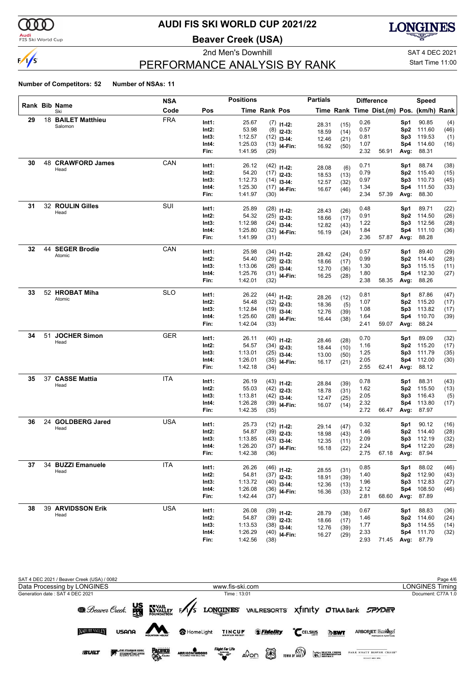

#### **Audi**<br>FIS Ski World Cup

# **AUDI FIS SKI WORLD CUP 2021/22**

**Beaver Creek (USA)**

**LONGINES** 

# $\frac{1}{s}$

2nd Men's Downhill 2nd Men's Downhill 3.5 and Men's Downhill 3.5 and SAT 4 DEC 2021

Start Time 11:00

# PERFORMANCE ANALYSIS BY RANK

|    |    |                       | <b>NSA</b> |       | <b>Positions</b> |               |                                 | <b>Partials</b> |      |      | <b>Difference</b>                        |                 | Speed      |      |
|----|----|-----------------------|------------|-------|------------------|---------------|---------------------------------|-----------------|------|------|------------------------------------------|-----------------|------------|------|
|    |    | Rank Bib Name<br>Ski  | Code       | Pos   |                  | Time Rank Pos |                                 |                 |      |      | Time Rank Time Dist.(m) Pos. (km/h) Rank |                 |            |      |
| 29 |    | 18 BAILET Matthieu    | <b>FRA</b> | Int1: | 25.67            |               | $(7)$ 11-12:                    | 28.31           | (15) | 0.26 |                                          | Sp1             | 90.85      | (4)  |
|    |    | Salomon               |            | Int2: | 53.98            |               | $(8)$ 12-13:                    | 18.59           | (14) | 0.57 |                                          | Sp2             | 111.60     | (46) |
|    |    |                       |            | Int3: | 1:12.57          |               | $(12)$ 13-14:                   | 12.46           | (21) | 0.81 |                                          | Sp3             | 119.53     | (1)  |
|    |    |                       |            | Int4: | 1:25.03          |               | $(13)$ 14-Fin:                  | 16.92           | (50) | 1.07 |                                          | Sp4             | 114.60     | (16) |
|    |    |                       |            | Fin:  | 1:41.95          | (29)          |                                 |                 |      | 2.32 | 56.91                                    | Avg:            | 88.31      |      |
| 30 |    | 48 CRAWFORD James     | CAN        | Int1: | 26.12            |               | $(42)$ 11-12:                   |                 |      | 0.71 |                                          | Sp1             | 88.74      | (38) |
|    |    | Head                  |            | Int2: | 54.20            |               | $(17)$ 12-13:                   | 28.08           | (6)  | 0.79 |                                          | Sp <sub>2</sub> | 115.40     | (15) |
|    |    |                       |            | Int3: | 1:12.73          |               | $(14)$ 13-14:                   | 18.53           | (13) | 0.97 |                                          | Sp3             | 110.73     | (45) |
|    |    |                       |            | Int4: | 1:25.30          |               | $(17)$ 14-Fin:                  | 12.57           | (32) | 1.34 |                                          | Sp4             | 111.50     | (33) |
|    |    |                       |            | Fin:  | 1:41.97          | (30)          |                                 | 16.67           | (46) | 2.34 | 57.39                                    | Avg:            | 88.30      |      |
| 31 |    | 32 ROULIN Gilles      | SUI        |       |                  |               |                                 |                 |      |      |                                          |                 |            |      |
|    |    | Head                  |            | Int1: | 25.89            |               | $(28)$ 11-12:                   | 28.43           | (26) | 0.48 |                                          | Sp1             | 89.71      | (22) |
|    |    |                       |            | Int2: | 54.32            |               | $(25)$ 12-13:                   | 18.66           | (17) | 0.91 |                                          | Sp2             | 114.50     | (26) |
|    |    |                       |            | Int3: | 1:12.98          |               | $(24)$ 13-14:                   | 12.82           | (43) | 1.22 |                                          | Sp3             | 112.56     | (28) |
|    |    |                       |            | Int4: | 1:25.80          |               | $(32)$ 14-Fin:                  | 16.19           | (24) | 1.84 |                                          | Sp4             | 111.10     | (36) |
|    |    |                       |            | Fin:  | 1:41.99          | (31)          |                                 |                 |      | 2.36 | 57.87                                    | Avg:            | 88.28      |      |
| 32 |    | 44 SEGER Brodie       | CAN        | Int1: | 25.98            |               | $(34)$ 11-12:                   | 28.42           | (24) | 0.57 |                                          | Sp1             | 89.40      | (29) |
|    |    | Atomic                |            | Int2: | 54.40            |               | $(29)$ 12-13:                   | 18.66           | (17) | 0.99 |                                          | Sp <sub>2</sub> | 114.40     | (28) |
|    |    |                       |            | Int3: | 1:13.06          |               | $(26)$ 13-14:                   | 12.70           | (36) | 1.30 |                                          | Sp3             | 115.15     | (11) |
|    |    |                       |            | Int4: | 1:25.76          |               | $(31)$ 14-Fin:                  | 16.25           | (28) | 1.80 |                                          | Sp4             | 112.30     | (27) |
|    |    |                       |            | Fin:  | 1:42.01          | (32)          |                                 |                 |      | 2.38 | 58.35                                    | Avg:            | 88.26      |      |
| 33 |    | 52 HROBAT Miha        | <b>SLO</b> | Int1: | 26.22            |               |                                 |                 |      | 0.81 |                                          | Sp1             | 87.86      | (47) |
|    |    | Atomic                |            | Int2: | 54.48            |               | $(44)$ 11-12:                   | 28.26           | (12) | 1.07 |                                          | Sp2             | 115.20     | (17) |
|    |    |                       |            | Int3: | 1:12.84          |               | $(32)$ 12-13:                   | 18.36           | (5)  | 1.08 |                                          | Sp3             | 113.82     | (17) |
|    |    |                       |            | Int4: | 1:25.60          |               | $(19)$ 13-14:<br>$(28)$ 14-Fin: | 12.76           | (39) | 1.64 |                                          | Sp4             | 110.70     | (39) |
|    |    |                       |            | Fin:  | 1:42.04          | (33)          |                                 | 16.44           | (38) | 2.41 | 59.07                                    | Avg:            | 88.24      |      |
| 34 | 51 | <b>JOCHER Simon</b>   | <b>GER</b> |       |                  |               |                                 |                 |      |      |                                          |                 |            |      |
|    |    | Head                  |            | Int1: | 26.11            |               | $(40)$ 11-12:                   | 28.46           | (28) | 0.70 |                                          | Sp1             | 89.09      | (32) |
|    |    |                       |            | Int2: | 54.57            |               | $(34)$ 12-13:                   | 18.44           | (10) | 1.16 |                                          | Sp <sub>2</sub> | 115.20     | (17) |
|    |    |                       |            | Int3: | 1:13.01          |               | $(25)$ 13-14:                   | 13.00           | (50) | 1.25 |                                          | Sp3             | 111.79     | (35) |
|    |    |                       |            | Int4: | 1:26.01          |               | $(35)$ 14-Fin:                  | 16.17           | (21) | 2.05 |                                          | Sp4             | 112.00     | (30) |
|    |    |                       |            | Fin:  | 1:42.18          | (34)          |                                 |                 |      | 2.55 | 62.41                                    | Avg:            | 88.12      |      |
| 35 |    | 37 CASSE Mattia       | <b>ITA</b> | Int1: | 26.19            |               | $(43)$ 11-12:                   | 28.84           | (39) | 0.78 |                                          | Sp1             | 88.31      | (43) |
|    |    | Head                  |            | Int2: | 55.03            |               | $(42)$ 12-13:                   | 18.78           | (31) | 1.62 |                                          | Sp <sub>2</sub> | 115.50     | (13) |
|    |    |                       |            | Int3: | 1:13.81          |               | $(42)$ 13-14:                   | 12.47           | (25) | 2.05 |                                          | Sp3             | 116.43     | (5)  |
|    |    |                       |            | Int4: | 1:26.28          |               | $(39)$ 14-Fin:                  | 16.07           | (14) | 2.32 |                                          | Sp4             | 113.80     | (17) |
|    |    |                       |            | Fin:  | 1:42.35          | (35)          |                                 |                 |      | 2.72 | 66.47                                    | Avg:            | 87.97      |      |
| 36 | 24 | <b>GOLDBERG Jared</b> | <b>USA</b> | Int1: | 25.73            |               | $(12)$ 11-12:                   |                 |      | 0.32 |                                          | Sp1             | 90.12      | (16) |
|    |    | Head                  |            | Int2: | 54.87            |               | $(39)$ 12-13:                   | 29.14           | (47) | 1.46 |                                          | Sp2             | 114.40     | (28) |
|    |    |                       |            | Int3: | 1:13.85          |               | $(43)$ 13-14:                   | 18.98           | (43) | 2.09 |                                          | Sp3             | 112.19     | (32) |
|    |    |                       |            | Int4: | 1:26.20          |               |                                 | 12.35           | (11) | 2.24 |                                          |                 | Sp4 112.20 | (28) |
|    |    |                       |            | Fin:  | 1:42.38          | (36)          | $(37)$ 14-Fin:                  | 16.18           | (22) | 2.75 | 67.18 Avg: 87.94                         |                 |            |      |
| 37 |    | 34 BUZZI Emanuele     | <b>ITA</b> |       |                  |               |                                 |                 |      |      |                                          |                 |            |      |
|    |    | Head                  |            | Int1: | 26.26            |               | $(46)$ 11-12:                   | 28.55           | (31) | 0.85 |                                          | Sp1             | 88.02      | (46) |
|    |    |                       |            | Int2: | 54.81            |               | $(37)$ 12-13:                   | 18.91           | (39) | 1.40 |                                          | Sp <sub>2</sub> | 112.90     | (43) |
|    |    |                       |            | Int3: | 1:13.72          |               | $(40)$ 13-14:                   | 12.36           | (13) | 1.96 |                                          | Sp3             | 112.83     | (27) |
|    |    |                       |            | Int4: | 1:26.08          |               | $(36)$ 14-Fin:                  | 16.36           | (33) | 2.12 |                                          | Sp4             | 108.50     | (46) |
|    |    |                       |            | Fin:  | 1:42.44          | (37)          |                                 |                 |      | 2.81 | 68.60                                    | Avg:            | 87.89      |      |
| 38 |    | 39 ARVIDSSON Erik     | <b>USA</b> | Int1: | 26.08            |               | $(39)$ 11-12:                   | 28.79           | (38) | 0.67 |                                          | Sp1             | 88.83      | (36) |
|    |    | Head                  |            | Int2: | 54.87            |               | $(39)$ 12-13:                   | 18.66           | (17) | 1.46 |                                          | Sp <sub>2</sub> | 114.60     | (24) |
|    |    |                       |            | Int3: | 1:13.53          |               | $(38)$ 13-14:                   | 12.76           | (39) | 1.77 |                                          | Sp3             | 114.55     | (14) |
|    |    |                       |            | Int4: | 1:26.29          |               | $(40)$ 14-Fin:                  | 16.27           | (29) | 2.33 |                                          | Sp4             | 111.70     | (32) |
|    |    |                       |            | Fin:  | 1:42.56          | (38)          |                                 |                 |      | 2.93 | 71.45                                    |                 | Avg: 87.79 |      |

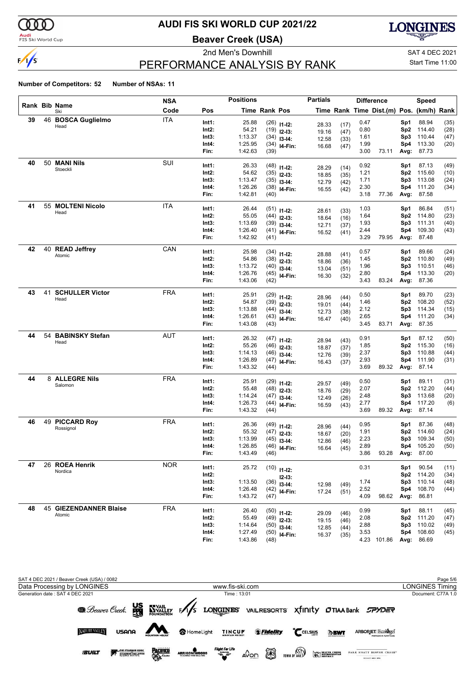

#### **Audi**<br>FIS Ski World Cup

# **AUDI FIS SKI WORLD CUP 2021/22**

**Beaver Creek (USA)**



# PERFORMANCE ANALYSIS BY RANK

2nd Men's Downhill and SAT 4 DEC 2021 Start Time 11:00

|    |    |                           | <b>NSA</b> |       | <b>Positions</b> |               |                | <b>Partials</b> |      |      | <b>Difference</b>                        |                        | Speed      |              |
|----|----|---------------------------|------------|-------|------------------|---------------|----------------|-----------------|------|------|------------------------------------------|------------------------|------------|--------------|
|    |    | Rank Bib Name<br>Ski      | Code       | Pos   |                  | Time Rank Pos |                |                 |      |      | Time Rank Time Dist.(m) Pos. (km/h) Rank |                        |            |              |
| 39 |    | 46 BOSCA Guglielmo        | <b>ITA</b> | Int1: | 25.88            |               | $(26)$ 11-12:  | 28.33           | (17) | 0.47 |                                          | Sp1                    | 88.94      | (35)         |
|    |    | Head                      |            | Int2: | 54.21            |               | $(19)$ 12-13:  | 19.16           | (47) | 0.80 |                                          | Sp <sub>2</sub>        | 114.40     | (28)         |
|    |    |                           |            | Int3: | 1:13.37          |               | $(34)$ 13-14:  | 12.58           | (33) | 1.61 |                                          | Sp3                    | 110.44     | (47)         |
|    |    |                           |            | Int4: | 1:25.95          |               | $(34)$ 14-Fin: | 16.68           | (47) | 1.99 |                                          | Sp4                    | 113.30     | (20)         |
|    |    |                           |            | Fin:  | 1:42.63          | (39)          |                |                 |      | 3.00 | 73.11                                    | Avg:                   | 87.73      |              |
| 40 |    | 50 MANI Nils              | SUI        | Int1: | 26.33            |               | $(48)$ 11-12:  |                 |      | 0.92 |                                          | Sp1                    | 87.13      | (49)         |
|    |    | Stoeckli                  |            | Int2: | 54.62            |               | $(35)$ 12-13:  | 28.29           | (14) | 1.21 |                                          | Sp <sub>2</sub>        | 115.60     | (10)         |
|    |    |                           |            | Int3: | 1:13.47          |               | $(35)$ 13-14:  | 18.85           | (35) | 1.71 |                                          | Sp3                    | 113.08     | (24)         |
|    |    |                           |            | Int4: | 1:26.26          |               | $(38)$ 14-Fin: | 12.79           | (42) | 2.30 |                                          | Sp4                    | 111.20     | (34)         |
|    |    |                           |            | Fin:  | 1:42.81          | (40)          |                | 16.55           | (42) | 3.18 | 77.36                                    | Avg:                   | 87.58      |              |
| 41 |    | 55 MOLTENI Nicolo         | ITA        | Int1: | 26.44            |               |                |                 |      | 1.03 |                                          |                        | 86.84      |              |
|    |    | Head                      |            | Int2: | 55.05            |               | $(51)$ 11-12:  | 28.61           | (33) | 1.64 |                                          | Sp1<br>Sp <sub>2</sub> | 114.80     | (51)         |
|    |    |                           |            | Int3: | 1:13.69          |               | $(44)$ 12-13:  | 18.64           | (16) | 1.93 |                                          |                        | 111.31     | (23)         |
|    |    |                           |            | Int4: | 1:26.40          |               | $(39)$ 13-14:  | 12.71           | (37) |      |                                          | Sp3                    | 109.30     | (40)         |
|    |    |                           |            |       |                  |               | $(41)$ 14-Fin: | 16.52           | (41) | 2.44 |                                          | Sp4                    |            | (43)         |
|    |    |                           |            | Fin:  | 1:42.92          | (41)          |                |                 |      | 3.29 | 79.95                                    | Avg:                   | 87.48      |              |
| 42 |    | 40 READ Jeffrey<br>Atomic | CAN        | Int1: | 25.98            |               | $(34)$ 11-12:  | 28.88           | (41) | 0.57 |                                          | Sp1                    | 89.66      | (24)         |
|    |    |                           |            | Int2: | 54.86            |               | $(38)$ 12-13:  | 18.86           | (36) | 1.45 |                                          | Sp <sub>2</sub>        | 110.80     | (49)         |
|    |    |                           |            | Int3: | 1:13.72          |               | $(40)$ 13-14:  | 13.04           | (51) | 1.96 |                                          | Sp3                    | 110.51     | (46)         |
|    |    |                           |            | Int4: | 1:26.76          |               | $(45)$ 14-Fin: | 16.30           | (32) | 2.80 |                                          | Sp4                    | 113.30     | (20)         |
|    |    |                           |            | Fin:  | 1:43.06          | (42)          |                |                 |      | 3.43 | 83.24                                    | Avg:                   | 87.36      |              |
| 43 | 41 | <b>SCHULLER Victor</b>    | FRA        | Int1: | 25.91            |               | $(29)$ 11-12:  |                 |      | 0.50 |                                          | Sp1                    | 89.70      | (23)         |
|    |    | Head                      |            | Int2: | 54.87            |               | $(39)$ 12-13:  | 28.96           | (44) | 1.46 |                                          | Sp <sub>2</sub>        | 108.20     | (52)         |
|    |    |                           |            | Int3: | 1:13.88          |               | $(44)$ 13-14:  | 19.01           | (44) | 2.12 |                                          | Sp3                    | 114.34     | (15)         |
|    |    |                           |            | Int4: | 1:26.61          |               | $(43)$ 14-Fin: | 12.73           | (38) | 2.65 |                                          | Sp4                    | 111.20     | (34)         |
|    |    |                           |            | Fin:  | 1:43.08          | (43)          |                | 16.47           | (40) | 3.45 | 83.71                                    | Avg:                   | 87.35      |              |
| 44 | 54 | <b>BABINSKY Stefan</b>    | AUT        | Int1: | 26.32            |               |                |                 |      | 0.91 |                                          |                        | 87.12      |              |
|    |    | Head                      |            | Int2: | 55.26            |               | $(47)$ 11-12:  | 28.94           | (43) | 1.85 |                                          | Sp1<br>Sp <sub>2</sub> | 115.30     | (50)         |
|    |    |                           |            | Int3: | 1:14.13          |               | $(46)$ 12-13:  | 18.87           | (37) | 2.37 |                                          | Sp3                    | 110.88     | (16)         |
|    |    |                           |            | Int4: | 1:26.89          |               | $(46)$ 13-14:  | 12.76           | (39) | 2.93 |                                          | Sp4                    | 111.90     | (44)<br>(31) |
|    |    |                           |            | Fin:  | 1:43.32          | (44)          | $(47)$ 14-Fin: | 16.43           | (37) | 3.69 | 89.32                                    | Avg:                   | 87.14      |              |
| 44 |    | 8 ALLEGRE Nils            | <b>FRA</b> |       |                  |               |                |                 |      |      |                                          |                        |            |              |
|    |    | Salomon                   |            | Int1: | 25.91            |               | $(29)$ 11-12:  | 29.57           | (49) | 0.50 |                                          | Sp1                    | 89.11      | (31)         |
|    |    |                           |            | Int2: | 55.48            |               | $(48)$ 12-13:  | 18.76           | (29) | 2.07 |                                          | Sp <sub>2</sub>        | 112.20     | (44)         |
|    |    |                           |            | Int3: | 1:14.24          |               | $(47)$ 13-14:  | 12.49           | (26) | 2.48 |                                          | Sp3                    | 113.68     | (20)         |
|    |    |                           |            | Int4: | 1:26.73          |               | $(44)$ 14-Fin: | 16.59           | (43) | 2.77 |                                          | Sp4                    | 117.20     | (6)          |
|    |    |                           |            | Fin:  | 1:43.32          | (44)          |                |                 |      | 3.69 | 89.32                                    | Avg:                   | 87.14      |              |
| 46 |    | 49 PICCARD Roy            | <b>FRA</b> | Int1: | 26.36            |               | $(49)$ 11-12:  | 28.96           | (44) | 0.95 |                                          | Sp1                    | 87.36      | (48)         |
|    |    | Rossignol                 |            | Int2: | 55.32            |               | $(47)$ 12-13:  | 18.67           | (20) | 1.91 |                                          | Sp <sub>2</sub>        | 114.60     | (24)         |
|    |    |                           |            | Int3: | 1:13.99          |               | $(45)$ 13-14:  | 12.86           | (46) | 2.23 |                                          | Sp3                    | 109.34     | (50)         |
|    |    |                           |            | Int4: | 1:26.85          |               | $(46)$ 14-Fin: | 16.64           | (45) | 2.89 |                                          |                        | Sp4 105.20 | (50)         |
|    |    |                           |            | Fin:  | 1:43.49          | (46)          |                |                 |      | 3.86 | 93.28 Avg:                               |                        | 87.00      |              |
| 47 |    | 26 ROEA Henrik            | <b>NOR</b> | Int1: | 25.72            |               |                |                 |      | 0.31 |                                          | Sp1                    | 90.54      | (11)         |
|    |    | Nordica                   |            | Int2: |                  |               | $(10)$ 11-12:  |                 |      |      |                                          | Sp <sub>2</sub>        | 114.20     | (34)         |
|    |    |                           |            | Int3: | 1:13.50          |               | $12 - 13:$     |                 |      | 1.74 |                                          | Sp3                    | 110.14     | (48)         |
|    |    |                           |            | Int4: | 1:26.48          |               | $(36)$ 13-14:  | 12.98           | (49) | 2.52 |                                          | Sp4                    | 108.70     |              |
|    |    |                           |            | Fin:  | 1:43.72          | (47)          | $(42)$ 14-Fin: | 17.24           | (51) | 4.09 | 98.62                                    |                        | Avg: 86.81 | (44)         |
| 48 |    | 45 GIEZENDANNER Blaise    | <b>FRA</b> |       |                  |               |                |                 |      |      |                                          |                        |            |              |
|    |    | Atomic                    |            | Int1: | 26.40            |               | $(50)$ 11-12:  | 29.09           | (46) | 0.99 |                                          | Sp1                    | 88.11      | (45)         |
|    |    |                           |            | Int2: | 55.49            |               | $(49)$ 12-13:  | 19.15           | (46) | 2.08 |                                          | Sp <sub>2</sub>        | 111.20     | (47)         |
|    |    |                           |            | Int3: | 1:14.64          |               | $(50)$ 13-14:  | 12.85           | (44) | 2.88 |                                          | Sp3                    | 110.02     | (49)         |
|    |    |                           |            | Int4: | 1:27.49          |               | $(50)$ 14-Fin: | 16.37           | (35) | 3.53 |                                          | Sp4                    | 108.60     | (45)         |
|    |    |                           |            | Fin:  | 1:43.86          | (48)          |                |                 |      |      | 4.23 101.86                              |                        | Avg: 86.69 |              |

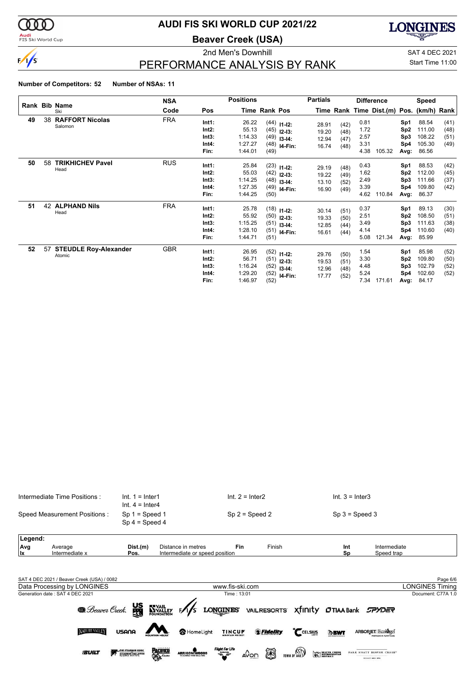

#### **Audi**<br>FIS Ski World Cup

# **AUDI FIS SKI WORLD CUP 2021/22**

**Beaver Creek (USA)**

**LONGINES** 

 $\sqrt{s}$ 

### 2nd Men's Downhill and Saturated Control of the SAT 4 DEC 2021 PERFORMANCE ANALYSIS BY RANK

Start Time 11:00

#### **Number of Competitors: 52 Number of NSAs: 11**

|    |    |                                        | <b>NSA</b> |                                          | <b>Positions</b>                                |                      |                                                                              | <b>Partials</b>                  |                              |                                      | <b>Difference</b>                        |                                              | Speed                                        |                              |
|----|----|----------------------------------------|------------|------------------------------------------|-------------------------------------------------|----------------------|------------------------------------------------------------------------------|----------------------------------|------------------------------|--------------------------------------|------------------------------------------|----------------------------------------------|----------------------------------------------|------------------------------|
|    |    | Rank Bib Name<br>Ski                   | Code       | Pos                                      |                                                 | <b>Time Rank Pos</b> |                                                                              |                                  |                              |                                      | Time Rank Time Dist.(m) Pos. (km/h) Rank |                                              |                                              |                              |
| 49 | 38 | <b>RAFFORT Nicolas</b><br>Salomon      | <b>FRA</b> | Int1:<br>Int2:<br>Int3:<br>Int4:<br>Fin: | 26.22<br>55.13<br>1:14.33<br>1:27.27<br>1:44.01 | (49)                 | $(44)$ 11-12:<br>$(45)$ 12-13:<br>$(49)$ 13-14:<br>$(48)$ 14-Fin:            | 28.91<br>19.20<br>12.94<br>16.74 | (42)<br>(48)<br>(47)<br>(48) | 0.81<br>1.72<br>2.57<br>3.31<br>4.38 | 105.32                                   | Sp1<br>Sp <sub>2</sub><br>Sp3<br>Sp4<br>Avg: | 88.54<br>111.00<br>108.22<br>105.30<br>86.56 | (41)<br>(48)<br>(51)<br>(49) |
| 50 | 58 | <b>TRIKHICHEV Pavel</b><br>Head        | <b>RUS</b> | Int1:<br>Int2:<br>Int3:<br>Int4:<br>Fin: | 25.84<br>55.03<br>1:14.25<br>1:27.35<br>1:44.25 | (50)                 | $(23)$ 11-12:<br>$(42)$ 12-13:<br>$(48)$ 13-14:<br>$(49)$ 14-Fin:            | 29.19<br>19.22<br>13.10<br>16.90 | (48)<br>(49)<br>(52)<br>(49) | 0.43<br>1.62<br>2.49<br>3.39<br>4.62 | 110.84                                   | Sp1<br>Sp <sub>2</sub><br>Sp3<br>Sp4<br>Avg: | 88.53<br>112.00<br>111.66<br>109.80<br>86.37 | (42)<br>(45)<br>(37)<br>(42) |
| 51 | 42 | <b>ALPHAND Nils</b><br>Head            | <b>FRA</b> | Int1:<br>Int2:<br>Int3:<br>Int4:<br>Fin: | 25.78<br>55.92<br>1:15.25<br>1:28.10<br>1:44.71 | (51)                 | $(18)$ 11-12:<br>$(50)$ 12-13:<br>$(51)$ 13-14:<br>$(51)$ <sub>14-Fin:</sub> | 30.14<br>19.33<br>12.85<br>16.61 | (51)<br>(50)<br>(44)<br>(44) | 0.37<br>2.51<br>3.49<br>4.14<br>5.08 | 121.34                                   | Sp1<br>Sp <sub>2</sub><br>Sp3<br>Sp4<br>Avg: | 89.13<br>108.50<br>111.63<br>110.60<br>85.99 | (30)<br>(51)<br>(38)<br>(40) |
| 52 | 57 | <b>STEUDLE Roy-Alexander</b><br>Atomic | <b>GBR</b> | Int1:<br>Int2:<br>Int3:<br>Int4:<br>Fin: | 26.95<br>56.71<br>1:16.24<br>1:29.20<br>1:46.97 | (52)                 | $(52)$ 11-12:<br>$(51)$ 12-13:<br>$(52)$ 13-14:<br>$(52)$ <sub>14-Fin:</sub> | 29.76<br>19.53<br>12.96<br>17.77 | (50)<br>(51)<br>(48)<br>(52) | 1.54<br>3.30<br>4.48<br>5.24<br>7.34 | 171.61                                   | Sp1<br>Sp <sub>2</sub><br>Sp3<br>Sp4<br>Avg: | 85.98<br>109.80<br>102.79<br>102.60<br>84.17 | (52)<br>(50)<br>(52)<br>(52) |



----------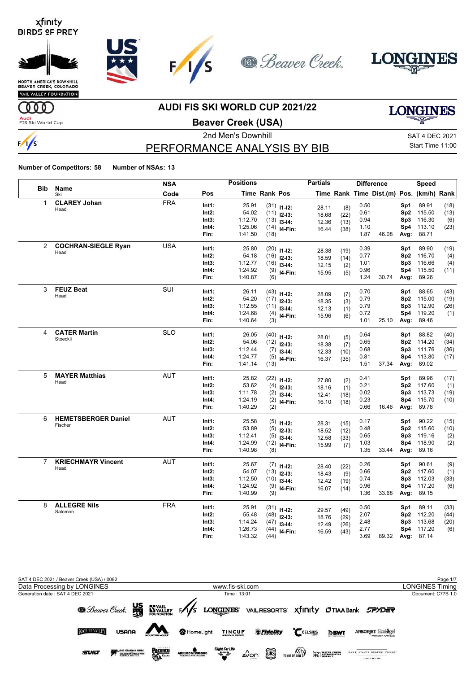





VAIL VALLEY FOUNDATION

### **AUDI FIS SKI WORLD CUP 2021/22**

**LONGINES** 

**Audi**<br>FIS Ski World Cup

**ULLE** 

 $\frac{1}{s}$ 

**Beaver Creek (USA)**

# PERFORMANCE ANALYSIS BY BIB

2nd Men's Downhill 30 and 2021 SAT 4 DEC 2021 Start Time 11:00

|                |                                       | <b>NSA</b> |          | <b>Positions</b> |                      |                                | <b>Partials</b> |             |      | <b>Difference</b>                        |                 | Speed      |      |
|----------------|---------------------------------------|------------|----------|------------------|----------------------|--------------------------------|-----------------|-------------|------|------------------------------------------|-----------------|------------|------|
| <b>Bib</b>     | Name<br>Ski                           | Code       | Pos      |                  | <b>Time Rank Pos</b> |                                |                 |             |      | Time Rank Time Dist.(m) Pos. (km/h) Rank |                 |            |      |
| 1              | <b>CLAREY Johan</b>                   | <b>FRA</b> | Int1:    | 25.91            |                      | $(31)$ 11-12:                  | 28.11           | (8)         | 0.50 |                                          | Sp1             | 89.91      | (18) |
|                | Head                                  |            | $Int2$ : | 54.02            |                      | $(11)$ 12-13:                  | 18.68           | (22)        | 0.61 |                                          | Sp <sub>2</sub> | 115.50     | (13) |
|                |                                       |            | Int3:    | 1:12.70          |                      | $(13)$ 13-14:                  | 12.36           | (13)        | 0.94 |                                          | Sp3             | 116.30     | (6)  |
|                |                                       |            | Int4:    | 1:25.06          |                      | $(14)$ 14-Fin:                 | 16.44           | (38)        | 1.10 |                                          | Sp4             | 113.10     | (23) |
|                |                                       |            | Fin:     | 1:41.50          | (18)                 |                                |                 |             | 1.87 | 46.08                                    | Avg:            | 88.71      |      |
| $\overline{2}$ | <b>COCHRAN-SIEGLE Ryan</b>            | <b>USA</b> | Int1:    | 25.80            | (20)                 | $11 - 12$ :                    |                 |             | 0.39 |                                          | Sp1             | 89.90      | (19) |
|                | Head                                  |            | $Int2$ : | 54.18            | (16)                 | $12-13:$                       | 28.38<br>18.59  | (19)        | 0.77 |                                          |                 | Sp2 116.70 | (4)  |
|                |                                       |            | Int3:    | 1:12.77          | (16)                 | $13-14:$                       | 12.15           | (14)<br>(2) | 1.01 |                                          | Sp3             | 116.66     | (4)  |
|                |                                       |            | Int4:    | 1:24.92          |                      | $(9)$ 14-Fin:                  | 15.95           | (5)         | 0.96 |                                          |                 | Sp4 115.50 | (11) |
|                |                                       |            | Fin:     | 1:40.87          | (6)                  |                                |                 |             | 1.24 | 30.74                                    | Avg:            | 89.26      |      |
| 3              | <b>FEUZ Beat</b>                      | SUI        | Int1:    | 26.11            |                      | $(43)$ 11-12:                  |                 |             | 0.70 |                                          | Sp1             | 88.65      | (43) |
|                | Head                                  |            | $Int2$ : | 54.20            |                      | $(17)$ 12-13:                  | 28.09           | (7)         | 0.79 |                                          | Sp <sub>2</sub> | 115.00     | (19) |
|                |                                       |            | Int3:    | 1:12.55          |                      | $(11)$ 13-14:                  | 18.35           | (3)         | 0.79 |                                          | Sp3             | 112.90     | (26) |
|                |                                       |            | Int4:    | 1:24.68          |                      | $(4)$ 14-Fin:                  | 12.13           | (1)         | 0.72 |                                          | Sp4             | 119.20     | (1)  |
|                |                                       |            | Fin:     | 1:40.64          | (3)                  |                                | 15.96           | (6)         | 1.01 | 25.10                                    | Avg:            | 89.46      |      |
| 4              | <b>CATER Martin</b>                   | <b>SLO</b> | Int1:    | 26.05            |                      |                                |                 |             | 0.64 |                                          | Sp1             | 88.82      | (40) |
|                | Stoeckli                              |            | Int2:    | 54.06            |                      | $(40)$ 11-12:<br>$(12)$ 12-13: | 28.01           | (5)         | 0.65 |                                          | Sp <sub>2</sub> | 114.20     | (34) |
|                |                                       |            | Int3:    | 1:12.44          |                      | $(7)$ 13-14:                   | 18.38           | (7)         | 0.68 |                                          | Sp3             | 111.76     | (36) |
|                |                                       |            | Int4:    | 1:24.77          |                      | $(5)$ 14-Fin:                  | 12.33           | (10)        | 0.81 |                                          | Sp4             | 113.80     | (17) |
|                |                                       |            | Fin:     | 1:41.14          | (13)                 |                                | 16.37           | (35)        | 1.51 | 37.34                                    | Avg:            | 89.02      |      |
| 5              | <b>MAYER Matthias</b>                 | <b>AUT</b> |          |                  |                      |                                |                 |             |      |                                          |                 |            |      |
|                | Head                                  |            | Int1:    | 25.82            |                      | $(22)$ 11-12:                  | 27.80           | (2)         | 0.41 |                                          | Sp1             | 89.96      | (17) |
|                |                                       |            | $Int2$ : | 53.62            |                      | $(4)$ 12-13:                   | 18.16           | (1)         | 0.21 |                                          | Sp <sub>2</sub> | 117.60     | (1)  |
|                |                                       |            | Int3:    | 1:11.78          | (2)                  | $13-14:$                       | 12.41           | (18)        | 0.02 |                                          | Sp3             | 113.73     | (19) |
|                |                                       |            | Int4:    | 1:24.19          |                      | $(2)$ 14-Fin:                  | 16.10           | (18)        | 0.23 |                                          | Sp4             | 115.70     | (10) |
|                |                                       |            | Fin:     | 1:40.29          | (2)                  |                                |                 |             | 0.66 | 16.46                                    | Avg:            | 89.78      |      |
| 6              | <b>HEMETSBERGER Daniel</b><br>Fischer | <b>AUT</b> | Int1:    | 25.58            |                      | $(5)$ 11-12:                   | 28.31           | (15)        | 0.17 |                                          | Sp1             | 90.22      | (15) |
|                |                                       |            | Int2:    | 53.89            | (5)                  | $12-13:$                       | 18.52           | (12)        | 0.48 |                                          | Sp2             | 115.60     | (10) |
|                |                                       |            | Int3:    | 1:12.41          |                      | $(5)$ 13-14:                   | 12.58           | (33)        | 0.65 |                                          | Sp3             | 119.16     | (2)  |
|                |                                       |            | Int4:    | 1:24.99          |                      | $(12)$ 14-Fin:                 | 15.99           | (7)         | 1.03 |                                          | Sp4             | 118.90     | (2)  |
|                |                                       |            | Fin:     | 1:40.98          | (8)                  |                                |                 |             | 1.35 | 33.44                                    | Avg:            | 89.16      |      |
| $\overline{7}$ | <b>KRIECHMAYR Vincent</b>             | <b>AUT</b> | Int1:    | 25.67            |                      | $(7)$ 11-12:                   | 28.40           | (22)        | 0.26 |                                          | Sp1             | 90.61      | (9)  |
|                | Head                                  |            | Int2:    | 54.07            |                      | $(13)$ 12-13:                  | 18.43           | (9)         | 0.66 |                                          | Sp <sub>2</sub> | 117.60     | (1)  |
|                |                                       |            | Int3:    | 1:12.50          |                      | $(10)$ 13-14:                  | 12.42           | (19)        | 0.74 |                                          | Sp3             | 112.03     | (33) |
|                |                                       |            | Int4:    | 1:24.92          |                      | $(9)$ 14-Fin:                  | 16.07           | (14)        | 0.96 |                                          | Sp4             | 117.20     | (6)  |
|                |                                       |            | Fin:     | 1:40.99          | (9)                  |                                |                 |             | 1.36 | 33.68                                    | Avg:            | 89.15      |      |
| 8              | <b>ALLEGRE Nils</b>                   | <b>FRA</b> | Int1:    | 25.91            |                      | $(31)$ 11-12:                  | 29.57           | (49)        | 0.50 |                                          | Sp1             | 89.11      | (33) |
|                | Salomon                               |            | $Int2$ : | 55.48            | (48)                 | $12-13:$                       | 18.76           | (29)        | 2.07 |                                          | Sp <sub>2</sub> | 112.20     | (44) |
|                |                                       |            | Int3:    | 1:14.24          | (47)                 | $13-14:$                       | 12.49           | (26)        | 2.48 |                                          | Sp3             | 113.68     | (20) |
|                |                                       |            | Int4:    | 1:26.73          | (44)                 | I4-Fin:                        | 16.59           | (43)        | 2.77 |                                          | Sp4             | 117.20     | (6)  |
|                |                                       |            | Fin:     | 1:43.32          | (44)                 |                                |                 |             | 3.69 | 89.32                                    | Avg:            | 87.14      |      |

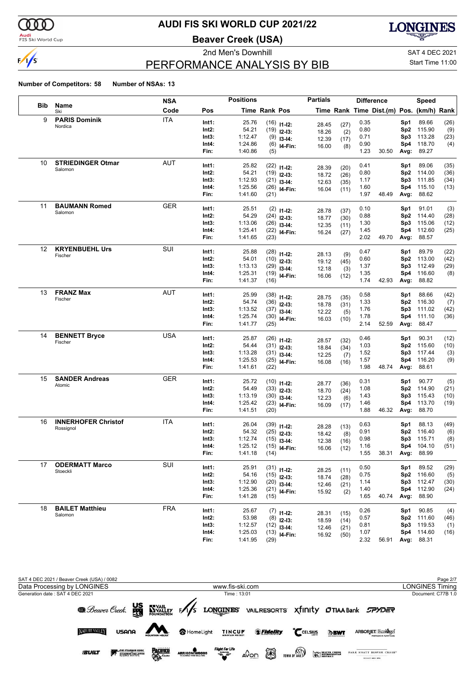

#### **Audi**<br>FIS Ski World Cup

# **AUDI FIS SKI WORLD CUP 2021/22**

**Beaver Creek (USA)**



# PERFORMANCE ANALYSIS BY BIB

2nd Men's Downhill and SAT 4 DEC 2021 Start Time 11:00

|     |                                   | <b>NSA</b> |       | <b>Positions</b> |                      |                           | <b>Partials</b> |              | <b>Difference</b> |                                          |      | Speed      |            |
|-----|-----------------------------------|------------|-------|------------------|----------------------|---------------------------|-----------------|--------------|-------------------|------------------------------------------|------|------------|------------|
| Bib | Name<br>Ski                       | Code       | Pos   |                  | <b>Time Rank Pos</b> |                           |                 |              |                   | Time Rank Time Dist.(m) Pos. (km/h) Rank |      |            |            |
| 9   | <b>PARIS Dominik</b>              | <b>ITA</b> | Int1: | 25.76            |                      | $(16)$ 11-12:             | 28.45           | (27)         | 0.35              |                                          | Sp1  | 89.66      | (26)       |
|     | Nordica                           |            | Int2: | 54.21            |                      | $(19)$ 12-13:             | 18.26           | (2)          | 0.80              |                                          | Sp2  | 115.90     | (9)        |
|     |                                   |            | Int3: | 1:12.47          | (9)                  | $13-14:$                  | 12.39           | (17)         | 0.71              |                                          | Sp3  | 113.28     | (23)       |
|     |                                   |            | Int4: | 1:24.86          |                      | $(6)$ 14-Fin:             | 16.00           | (8)          | 0.90              |                                          | Sp4  | 118.70     | (4)        |
|     |                                   |            | Fin:  | 1:40.86          | (5)                  |                           |                 |              | 1.23              | 30.50                                    | Avg: | 89.27      |            |
| 10  | <b>STRIEDINGER Otmar</b>          | <b>AUT</b> | Int1: | 25.82            |                      | $(22)$ 11-12:             |                 |              | 0.41              |                                          | Sp1  | 89.06      | (35)       |
|     | Salomon                           |            | Int2: | 54.21            |                      | $(19)$ 12-13:             | 28.39<br>18.72  | (20)         | 0.80              |                                          | Sp2  | 114.00     | (36)       |
|     |                                   |            | Int3: | 1:12.93          |                      | $(21)$ 13-14:             |                 | (26)         | 1.17              |                                          | Sp3  | 111.85     | (34)       |
|     |                                   |            | Int4: | 1:25.56          |                      | $(26)$ 14-Fin:            | 12.63<br>16.04  | (35)<br>(11) | 1.60              |                                          | Sp4  | 115.10     | (13)       |
|     |                                   |            | Fin:  | 1:41.60          | (21)                 |                           |                 |              | 1.97              | 48.49                                    | Avg: | 88.62      |            |
| 11  | <b>BAUMANN Romed</b>              | <b>GER</b> | Int1: | 25.51            |                      |                           |                 |              | 0.10              |                                          | Sp1  | 91.01      | (3)        |
|     | Salomon                           |            | Int2: | 54.29            |                      | $(2)$ 11-12:              | 28.78           | (37)         | 0.88              |                                          | Sp2  | 114.40     | (28)       |
|     |                                   |            | Int3: | 1:13.06          |                      | $(24)$ 12-13:             | 18.77           | (30)         | 1.30              |                                          | Sp3  | 115.06     | (12)       |
|     |                                   |            | Int4: | 1:25.41          |                      | $(26)$ 13-14:             | 12.35           | (11)         | 1.45              |                                          | Sp4  | 112.60     | (25)       |
|     |                                   |            | Fin:  | 1:41.65          | (23)                 | $(22)$ 14-Fin:            | 16.24           | (27)         | 2.02              | 49.70                                    | Avg: | 88.57      |            |
|     |                                   |            |       |                  |                      |                           |                 |              |                   |                                          |      |            |            |
| 12  | <b>KRYENBUEHL Urs</b><br>Fischer  | SUI        | Int1: | 25.88            |                      | $(28)$ 11-12:             | 28.13           | (9)          | 0.47              |                                          | Sp1  | 89.79      | (22)       |
|     |                                   |            | Int2: | 54.01            |                      | $(10)$ 12-13:             | 19.12           | (45)         | 0.60              |                                          | Sp2  | 113.00     | (42)       |
|     |                                   |            | Int3: | 1:13.13          | (29)                 | $13-14:$                  | 12.18           | (3)          | 1.37              |                                          | Sp3  | 112.49     | (29)       |
|     |                                   |            | Int4: | 1:25.31          |                      | $(19)$ 14-Fin:            | 16.06           | (12)         | 1.35              |                                          | Sp4  | 116.60     | (8)        |
|     |                                   |            | Fin:  | 1:41.37          | (16)                 |                           |                 |              | 1.74              | 42.93                                    | Avg: | 88.82      |            |
| 13  | <b>FRANZ Max</b>                  | <b>AUT</b> | Int1: | 25.99            |                      | $(38)$ 11-12:             |                 |              | 0.58              |                                          | Sp1  | 88.66      | (42)       |
|     | Fischer                           |            | Int2: | 54.74            |                      | $(36)$ 12-13:             | 28.75           | (35)         | 1.33              |                                          | Sp2  | 116.30     | (7)        |
|     |                                   |            | Int3: | 1:13.52          |                      | $(37)$ 13-14:             | 18.78           | (31)         | 1.76              |                                          | Sp3  | 111.02     | (42)       |
|     |                                   |            | Int4: | 1:25.74          |                      | $(30)$ 14-Fin:            | 12.22           | (5)          | 1.78              |                                          | Sp4  | 111.10     | (36)       |
|     |                                   |            | Fin:  | 1:41.77          | (25)                 |                           | 16.03           | (10)         | 2.14              | 52.59                                    | Avg: | 88.47      |            |
| 14  | <b>BENNETT Bryce</b>              | USA        |       |                  |                      |                           |                 |              |                   |                                          |      |            |            |
|     | Fischer                           |            | Int1: | 25.87            |                      | $(26)$ 11-12:             | 28.57           | (32)         | 0.46              |                                          | Sp1  | 90.31      | (12)       |
|     |                                   |            | Int2: | 54.44            |                      | $(31)$ 12-13:             | 18.84           | (34)         | 1.03              |                                          | Sp2  | 115.60     | (10)       |
|     |                                   |            | Int3: | 1:13.28          |                      | $(31)$ 13-14:             | 12.25           | (7)          | 1.52              |                                          | Sp3  | 117.44     | (3)        |
|     |                                   |            | Int4: | 1:25.53          |                      | $(25)$ 14-Fin:            | 16.08           | (16)         | 1.57              |                                          | Sp4  | 116.20     | (9)        |
|     |                                   |            | Fin:  | 1:41.61          | (22)                 |                           |                 |              | 1.98              | 48.74                                    | Avg: | 88.61      |            |
| 15  | <b>SANDER Andreas</b>             | <b>GER</b> | Int1: | 25.72            |                      | $(10)$ 11-12:             | 28.77           | (36)         | 0.31              |                                          | Sp1  | 90.77      | (5)        |
|     | Atomic                            |            | Int2: | 54.49            |                      | $(33)$ 12-13:             | 18.70           | (24)         | 1.08              |                                          | Sp2  | 114.90     | (21)       |
|     |                                   |            | Int3: | 1:13.19          |                      | $(30)$ 13-14:             | 12.23           | (6)          | 1.43              |                                          | Sp3  | 115.43     | (10)       |
|     |                                   |            | Int4: | 1:25.42          |                      | $(23)$ 14-Fin:            | 16.09           | (17)         | 1.46              |                                          | Sp4  | 113.70     | (19)       |
|     |                                   |            | Fin:  | 1:41.51          | (20)                 |                           |                 |              | 1.88              | 46.32                                    | Avg: | 88.70      |            |
| 16  | <b>INNERHOFER Christof</b>        | <b>ITA</b> | Int1: | 26.04            |                      |                           |                 |              | 0.63              |                                          | Sp1  | 88.13      | (49)       |
|     | Rossignol                         |            | Int2: | 54.32            |                      | $(39)$ 11-12:             | 28.28           | (13)         | 0.91              |                                          | Sp2  | 116.40     |            |
|     |                                   |            | Int3: | 1:12.74          |                      | $(25)$ 12-13:             | 18.42           | (8)          | 0.98              |                                          | Sp3  | 115.71     | (6)<br>(8) |
|     |                                   |            | Int4: | 1:25.12          | (15)                 | $13-14:$                  | 12.38           | (16)         | 1.16              |                                          |      | Sp4 104.10 | (51)       |
|     |                                   |            | Fin:  | 1:41.18          | (14)                 | $(15)$ <sub>14-Fin:</sub> | 16.06           | (12)         | 1.55              | 38.31 Avg:                               |      | 88.99      |            |
|     |                                   |            |       |                  |                      |                           |                 |              |                   |                                          |      |            |            |
| 17  | <b>ODERMATT Marco</b><br>Stoeckli | SUI        | Int1: | 25.91            |                      | $(31)$ 11-12:             | 28.25           | (11)         | 0.50              |                                          | Sp1  | 89.52      | (29)       |
|     |                                   |            | Int2: | 54.16            |                      | $(15)$ 12-13:             | 18.74           | (28)         | 0.75              |                                          |      | Sp2 116.60 | (5)        |
|     |                                   |            | Int3: | 1:12.90          |                      | $(20)$ 13-14:             | 12.46           | (21)         | 1.14              |                                          | Sp3  | 112.47     | (30)       |
|     |                                   |            | Int4: | 1:25.36          |                      | $(21)$ 14-Fin:            | 15.92           | (2)          | 1.40              |                                          | Sp4  | 112.90     | (24)       |
|     |                                   |            | Fin:  | 1:41.28          | (15)                 |                           |                 |              | 1.65              | 40.74                                    | Avg: | 88.90      |            |
| 18  | <b>BAILET Matthieu</b>            | <b>FRA</b> | Int1: | 25.67            |                      | $(7)$ 11-12:              |                 |              | 0.26              |                                          | Sp1  | 90.85      | (4)        |
|     | Salomon                           |            | Int2: | 53.98            |                      | $(8)$ 12-13:              | 28.31           | (15)         | 0.57              |                                          |      | Sp2 111.60 | (46)       |
|     |                                   |            | Int3: | 1:12.57          |                      | $(12)$ 13-14:             | 18.59           | (14)         | 0.81              |                                          | Sp3  | 119.53     | (1)        |
|     |                                   |            | Int4: | 1:25.03          |                      | $(13)$ 14-Fin:            | 12.46           | (21)         | 1.07              |                                          | Sp4  | 114.60     | (16)       |
|     |                                   |            | Fin:  | 1:41.95          | (29)                 |                           | 16.92           | (50)         | 2.32              | 56.91                                    |      | Avg: 88.31 |            |

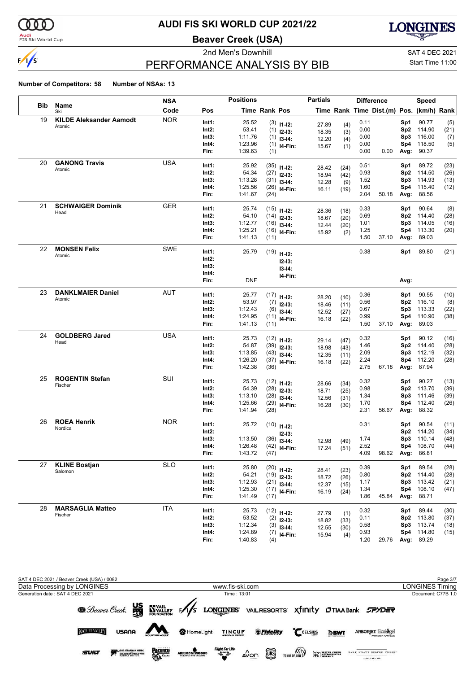

#### **Audi**<br>FIS Ski World Cup

# **AUDI FIS SKI WORLD CUP 2021/22**

**Beaver Creek (USA)**



# PERFORMANCE ANALYSIS BY BIB

2nd Men's Downhill and SAT 4 DEC 2021 Start Time 11:00

|      |                                | <b>NSA</b> |          | <b>Positions</b> |                      |                                | <b>Partials</b> |              |      | <b>Difference</b>                        |                 | Speed      |      |
|------|--------------------------------|------------|----------|------------------|----------------------|--------------------------------|-----------------|--------------|------|------------------------------------------|-----------------|------------|------|
| Bib. | Name<br>Ski                    | Code       | Pos      |                  | <b>Time Rank Pos</b> |                                |                 |              |      | Time Rank Time Dist.(m) Pos. (km/h) Rank |                 |            |      |
| 19   | <b>KILDE Aleksander Aamodt</b> | <b>NOR</b> | Int1:    | 25.52            |                      | $(3)$ 11-12:                   | 27.89           | (4)          | 0.11 |                                          | Sp1             | 90.77      | (5)  |
|      | Atomic                         |            | Int2:    | 53.41            |                      | $(1)$ 12-13:                   | 18.35           | (3)          | 0.00 |                                          | Sp <sub>2</sub> | 114.90     | (21) |
|      |                                |            | Int3:    | 1:11.76          |                      | $(1)$ 13-14:                   | 12.20           | (4)          | 0.00 |                                          | Sp3             | 116.00     | (7)  |
|      |                                |            | Int4:    | 1:23.96          |                      | $(1)$ 14-Fin:                  | 15.67           | (1)          | 0.00 |                                          | Sp4             | 118.50     | (5)  |
|      |                                |            | Fin:     | 1:39.63          | (1)                  |                                |                 |              | 0.00 | 0.00                                     | Avg:            | 90.37      |      |
| 20   | <b>GANONG Travis</b>           | <b>USA</b> | Int1:    | 25.92            |                      | $(35)$ 11-12:                  |                 |              | 0.51 |                                          | Sp1             | 89.72      | (23) |
|      | Atomic                         |            | Int2:    | 54.34            |                      | $(27)$ 12-13:                  | 28.42           | (24)         | 0.93 |                                          | Sp <sub>2</sub> | 114.50     | (26) |
|      |                                |            | Int3:    | 1:13.28          |                      | $(31)$ 13-14:                  | 18.94           | (42)         | 1.52 |                                          | Sp3             | 114.93     | (13) |
|      |                                |            | Int4:    | 1:25.56          |                      | $(26)$ 14-Fin:                 | 12.28<br>16.11  | (9)<br>(19)  | 1.60 |                                          | Sp4             | 115.40     | (12) |
|      |                                |            | Fin:     | 1:41.67          | (24)                 |                                |                 |              | 2.04 | 50.18                                    | Avg:            | 88.56      |      |
| 21   | <b>SCHWAIGER Dominik</b>       | <b>GER</b> | Int1:    | 25.74            |                      | $(15)$ 11-12:                  |                 |              | 0.33 |                                          | Sp1             | 90.64      | (8)  |
|      | Head                           |            | Int2:    | 54.10            |                      | $(14)$ 12-13:                  | 28.36           | (18)         | 0.69 |                                          | Sp <sub>2</sub> | 114.40     | (28) |
|      |                                |            | Int3:    | 1:12.77          |                      | $(16)$ 13-14:                  | 18.67           | (20)         | 1.01 |                                          | Sp3             | 114.05     | (16) |
|      |                                |            | Int4:    | 1:25.21          |                      | $(16)$ 14-Fin:                 | 12.44           | (20)         | 1.25 |                                          | Sp4             | 113.30     | (20) |
|      |                                |            | Fin:     | 1:41.13          | (11)                 |                                | 15.92           | (2)          | 1.50 | 37.10                                    | Avg:            | 89.03      |      |
| 22   | <b>MONSEN Felix</b>            | <b>SWE</b> | Int1:    | 25.79            |                      |                                |                 |              | 0.38 |                                          | Sp1             | 89.80      | (21) |
|      | Atomic                         |            | Int2:    |                  |                      | $(19)$ 11-12:                  |                 |              |      |                                          |                 |            |      |
|      |                                |            | Int3:    |                  |                      | $12 - 13:$                     |                 |              |      |                                          |                 |            |      |
|      |                                |            | Int4:    |                  |                      | $13 - 14:$<br>I4-Fin:          |                 |              |      |                                          |                 |            |      |
|      |                                |            | Fin:     | <b>DNF</b>       |                      |                                |                 |              |      |                                          | Avg:            |            |      |
| 23   | <b>DANKLMAIER Daniel</b>       | <b>AUT</b> | Int1:    | 25.77            |                      | $(17)$ 11-12:                  |                 |              | 0.36 |                                          | Sp1             | 90.55      | (10) |
|      | Atomic                         |            | Int2:    | 53.97            |                      | $(7)$ 12-13:                   | 28.20           | (10)         | 0.56 |                                          | Sp <sub>2</sub> | 116.10     | (8)  |
|      |                                |            | Int3:    | 1:12.43          |                      | $(6)$ 13-14:                   | 18.46           | (11)         | 0.67 |                                          | Sp3             | 113.33     | (22) |
|      |                                |            | Int4:    | 1:24.95          |                      | $(11)$ 14-Fin:                 | 12.52<br>16.18  | (27)         | 0.99 |                                          | Sp4             | 110.90     | (38) |
|      |                                |            | Fin:     | 1:41.13          | (11)                 |                                |                 | (22)         | 1.50 | 37.10                                    | Avg:            | 89.03      |      |
| 24   | <b>GOLDBERG Jared</b>          | <b>USA</b> | Int1:    | 25.73            |                      | $(12)$ 11-12:                  |                 |              | 0.32 |                                          | Sp1             | 90.12      | (16) |
|      | Head                           |            | Int2:    | 54.87            |                      | $(39)$ 12-13:                  | 29.14           | (47)         | 1.46 |                                          | Sp <sub>2</sub> | 114.40     | (28) |
|      |                                |            | Int3:    | 1:13.85          |                      | $(43)$ 13-14:                  | 18.98           | (43)         | 2.09 |                                          | Sp3             | 112.19     | (32) |
|      |                                |            | Int4:    | 1:26.20          |                      | $(37)$ 14-Fin:                 | 12.35<br>16.18  | (11)<br>(22) | 2.24 |                                          | Sp4             | 112.20     | (28) |
|      |                                |            | Fin:     | 1:42.38          | (36)                 |                                |                 |              | 2.75 | 67.18                                    | Avg:            | 87.94      |      |
| 25   | <b>ROGENTIN Stefan</b>         | SUI        | Int1:    | 25.73            |                      | $(12)$ 11-12:                  |                 |              | 0.32 |                                          | Sp1             | 90.27      | (13) |
|      | Fischer                        |            | Int2:    | 54.39            |                      | $(28)$ 12-13:                  | 28.66           | (34)         | 0.98 |                                          | Sp <sub>2</sub> | 113.70     | (39) |
|      |                                |            | Int3:    | 1:13.10          |                      | $(28)$ 13-14:                  | 18.71<br>12.56  | (25)<br>(31) | 1.34 |                                          | Sp3             | 111.46     | (39) |
|      |                                |            | Int4:    | 1:25.66          |                      | $(29)$ 14-Fin:                 | 16.28           | (30)         | 1.70 |                                          | Sp4             | 112.40     | (26) |
|      |                                |            | Fin:     | 1:41.94          | (28)                 |                                |                 |              | 2.31 | 56.67                                    | Avg:            | 88.32      |      |
| 26   | <b>ROEA Henrik</b>             | <b>NOR</b> | Int1:    | 25.72            |                      | $(10)$ 11-12:                  |                 |              | 0.31 |                                          | Sp1             | 90.54      | (11) |
|      | Nordica                        |            | $Int2$ : |                  |                      |                                |                 |              |      |                                          | Sp <sub>2</sub> | 114.20     | (34) |
|      |                                |            | Int3:    | 1:13.50          |                      | $12 - 13:$<br>$(36)$ 13-14:    |                 |              | 1.74 |                                          | Sp3             | 110.14     | (48) |
|      |                                |            | Int4:    | 1:26.48          |                      | $(42)$ 14-Fin:                 | 12.98<br>17.24  | (49)<br>(51) | 2.52 |                                          |                 | Sp4 108.70 | (44) |
|      |                                |            | Fin:     | 1:43.72          | (47)                 |                                |                 |              | 4.09 | 98.62 Avg:                               |                 | 86.81      |      |
| 27   | <b>KLINE Bostjan</b>           | <b>SLO</b> | Int1:    | 25.80            |                      |                                |                 |              | 0.39 |                                          | Sp1             | 89.54      | (28) |
|      | Salomon                        |            | Int2:    | 54.21            |                      | $(20)$ 11-12:<br>$(19)$ 12-13: | 28.41           | (23)         | 0.80 |                                          | Sp <sub>2</sub> | 114.40     | (28) |
|      |                                |            | Int3:    | 1:12.93          |                      | $(21)$ 13-14:                  | 18.72           | (26)         | 1.17 |                                          | Sp3             | 113.42     | (21) |
|      |                                |            | Int4:    | 1:25.30          |                      | $(17)$ 14-Fin:                 | 12.37           | (15)         | 1.34 |                                          | Sp4             | 108.10     | (47) |
|      |                                |            | Fin:     | 1:41.49          | (17)                 |                                | 16.19           | (24)         | 1.86 | 45.84                                    | Avg:            | 88.71      |      |
| 28   | <b>MARSAGLIA Matteo</b>        | <b>ITA</b> | Int1:    | 25.73            |                      | $(12)$ 11-12:                  |                 |              | 0.32 |                                          | Sp1             | 89.44      | (30) |
|      | Fischer                        |            | Int2:    | 53.52            |                      | $(2)$ 12-13:                   | 27.79           | (1)          | 0.11 |                                          | Sp <sub>2</sub> | 113.80     | (37) |
|      |                                |            | Int3:    | 1:12.34          |                      | $(3)$ 13-14:                   | 18.82<br>12.55  | (33)         | 0.58 |                                          | Sp3             | 113.74     | (18) |
|      |                                |            | Int4:    | 1:24.89          |                      | $(7)$ 14-Fin:                  | 15.94           | (30)<br>(4)  | 0.93 |                                          | Sp4             | 114.80     | (15) |
|      |                                |            | Fin:     | 1:40.83          | (4)                  |                                |                 |              | 1.20 | 29.76                                    | Avg:            | 89.29      |      |

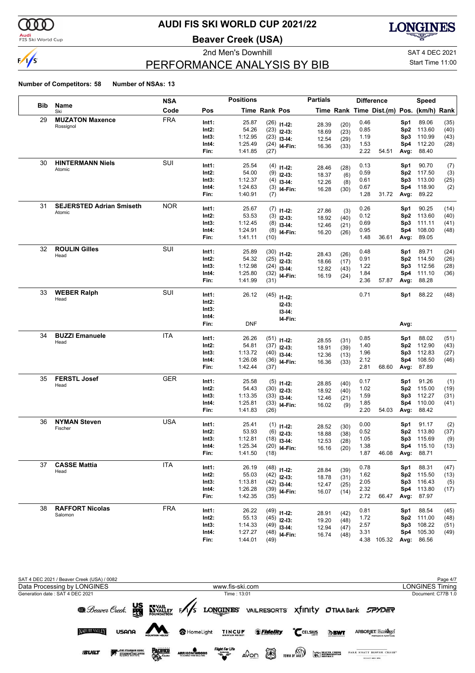

#### **Audi**<br>FIS Ski World Cup

# **AUDI FIS SKI WORLD CUP 2021/22**

**Beaver Creek (USA)**



# PERFORMANCE ANALYSIS BY BIB

2nd Men's Downhill and SAT 4 DEC 2021 Start Time 11:00

|            |                                 | <b>NSA</b> |                | <b>Positions</b>   |               |                                | <b>Partials</b> |              |              | <b>Difference</b>                        |            | Speed            |              |
|------------|---------------------------------|------------|----------------|--------------------|---------------|--------------------------------|-----------------|--------------|--------------|------------------------------------------|------------|------------------|--------------|
| <b>Bib</b> | Name<br>Ski                     | Code       | Pos            |                    | Time Rank Pos |                                |                 |              |              | Time Rank Time Dist.(m) Pos. (km/h) Rank |            |                  |              |
| 29         | <b>MUZATON Maxence</b>          | <b>FRA</b> | Int1:          | 25.87              |               | $(26)$ 11-12:                  | 28.39           | (20)         | 0.46         |                                          | Sp1        | 89.06            | (35)         |
|            | Rossignol                       |            | Int2:          | 54.26              |               | $(23)$ 12-13:                  | 18.69           | (23)         | 0.85         |                                          | Sp2        | 113.60           | (40)         |
|            |                                 |            | Int3:          | 1:12.95            |               | $(23)$ 13-14:                  | 12.54           | (29)         | 1.19         |                                          | Sp3        | 110.99           | (43)         |
|            |                                 |            | Int4:          | 1:25.49            |               | $(24)$ 14-Fin:                 | 16.36           | (33)         | 1.53         |                                          | Sp4        | 112.20           | (28)         |
|            |                                 |            | Fin:           | 1:41.85            | (27)          |                                |                 |              | 2.22         | 54.51                                    | Avg:       | 88.40            |              |
| 30         | <b>HINTERMANN Niels</b>         | SUI        | Int1:          | 25.54              |               | $(4)$ 11-12:                   | 28.46           |              | 0.13         |                                          | Sp1        | 90.70            | (7)          |
|            | Atomic                          |            | Int2:          | 54.00              |               | $(9)$ 12-13:                   | 18.37           | (28)<br>(6)  | 0.59         |                                          | Sp2        | 117.50           | (3)          |
|            |                                 |            | Int3:          | 1:12.37            |               | $(4)$ 13-14:                   | 12.26           | (8)          | 0.61         |                                          | Sp3        | 113.00           | (25)         |
|            |                                 |            | Int4:          | 1:24.63            |               | $(3)$ 14-Fin:                  | 16.28           | (30)         | 0.67         |                                          | Sp4        | 118.90           | (2)          |
|            |                                 |            | Fin:           | 1:40.91            | (7)           |                                |                 |              | 1.28         | 31.72                                    | Avg:       | 89.22            |              |
| 31         | <b>SEJERSTED Adrian Smiseth</b> | <b>NOR</b> | Int1:          | 25.67              |               | $(7)$ 11-12:                   |                 |              | 0.26         |                                          | Sp1        | 90.25            | (14)         |
|            | Atomic                          |            | Int2:          | 53.53              |               | $(3)$ 12-13:                   | 27.86<br>18.92  | (3)          | 0.12         |                                          | Sp2        | 113.60           | (40)         |
|            |                                 |            | Int3:          | 1:12.45            |               | $(8)$ 13-14:                   | 12.46           | (40)         | 0.69         |                                          | Sp3        | 111.11           | (41)         |
|            |                                 |            | Int4:          | 1:24.91            |               | $(8)$ 14-Fin:                  | 16.20           | (21)<br>(26) | 0.95         |                                          | Sp4        | 108.00           | (48)         |
|            |                                 |            | Fin:           | 1:41.11            | (10)          |                                |                 |              | 1.48         | 36.61                                    | Avg:       | 89.05            |              |
| 32         | <b>ROULIN Gilles</b>            | SUI        | Int1:          | 25.89              |               | $(30)$ 11-12:                  |                 |              | 0.48         |                                          | Sp1        | 89.71            | (24)         |
|            | Head                            |            | Int2:          | 54.32              |               | $(25)$ 12-13:                  | 28.43           | (26)         | 0.91         |                                          | Sp2        | 114.50           | (26)         |
|            |                                 |            | Int3:          | 1:12.98            |               | $(24)$ 13-14:                  | 18.66           | (17)         | 1.22         |                                          | Sp3        | 112.56           | (28)         |
|            |                                 |            | Int4:          | 1:25.80            |               | $(32)$ 14-Fin:                 | 12.82<br>16.19  | (43)         | 1.84         |                                          | Sp4        | 111.10           | (36)         |
|            |                                 |            | Fin:           | 1:41.99            | (31)          |                                |                 | (24)         | 2.36         | 57.87                                    | Avg:       | 88.28            |              |
| 33         | <b>WEBER Ralph</b>              | SUI        | Int1:          | 26.12              |               |                                |                 |              | 0.71         |                                          | Sp1        | 88.22            | (48)         |
|            | Head                            |            | Int2:          |                    |               | $(45)$ 11-12:                  |                 |              |              |                                          |            |                  |              |
|            |                                 |            | Int3:          |                    |               | $12 - 13:$                     |                 |              |              |                                          |            |                  |              |
|            |                                 |            | Int4:          |                    |               | $13 - 14:$                     |                 |              |              |                                          |            |                  |              |
|            |                                 |            | Fin:           | <b>DNF</b>         |               | I4-Fin:                        |                 |              |              |                                          | Avg:       |                  |              |
| 34         | <b>BUZZI Emanuele</b>           | <b>ITA</b> | Int1:          | 26.26              |               |                                |                 |              | 0.85         |                                          | Sp1        | 88.02            | (51)         |
|            | Head                            |            | Int2:          | 54.81              |               | $(51)$ 11-12:                  | 28.55           | (31)         | 1.40         |                                          | Sp2        | 112.90           | (43)         |
|            |                                 |            | Int3:          | 1:13.72            |               | $(37)$ 12-13:<br>$(40)$ 13-14: | 18.91           | (39)         | 1.96         |                                          | Sp3        | 112.83           | (27)         |
|            |                                 |            | Int4:          | 1:26.08            |               | $(36)$ 14-Fin:                 | 12.36           | (13)         | 2.12         |                                          | Sp4        | 108.50           | (46)         |
|            |                                 |            | Fin:           | 1:42.44            | (37)          |                                | 16.36           | (33)         | 2.81         | 68.60                                    | Avg:       | 87.89            |              |
| 35         | <b>FERSTL Josef</b>             | <b>GER</b> | Int1:          | 25.58              |               |                                |                 |              | 0.17         |                                          | Sp1        | 91.26            | (1)          |
|            | Head                            |            | Int2:          | 54.43              |               | $(5)$ 11-12:                   | 28.85           | (40)         | 1.02         |                                          | Sp2        | 115.00           | (19)         |
|            |                                 |            | Int3:          | 1:13.35            |               | $(30)$ 12-13:<br>$(33)$ 13-14: | 18.92           | (40)         | 1.59         |                                          | Sp3        | 112.27           | (31)         |
|            |                                 |            | Int4:          | 1:25.81            |               | $(33)$ 14-Fin:                 | 12.46           | (21)         | 1.85         |                                          | Sp4        | 110.00           | (41)         |
|            |                                 |            | Fin:           | 1:41.83            | (26)          |                                | 16.02           | (9)          | 2.20         | 54.03                                    | Avg:       | 88.42            |              |
| 36         | <b>NYMAN Steven</b>             | <b>USA</b> | Int1:          | 25.41              |               |                                |                 |              | 0.00         |                                          | Sp1        | 91.17            | (2)          |
|            | Fischer                         |            | Int2:          | 53.93              |               | $(1)$ 11-12:                   | 28.52           | (30)         | 0.52         |                                          | Sp2        | 113.80           | (37)         |
|            |                                 |            | Int3:          | 1:12.81            |               | $(6)$ 12-13:                   | 18.88           | (38)         | 1.05         |                                          | Sp3        | 115.69           | (9)          |
|            |                                 |            | Int4:          | 1:25.34            |               | $(18)$ 13-14:                  | 12.53           | (28)         | 1.38         |                                          |            | Sp4 115.10       | (13)         |
|            |                                 |            | Fin:           | 1:41.50            | (18)          | $(20)$ 14-Fin:                 | 16.16           | (20)         | 1.87         | 46.08 Avg:                               |            | 88.71            |              |
| 37         | <b>CASSE Mattia</b>             | <b>ITA</b> |                |                    |               |                                |                 |              |              |                                          |            |                  |              |
|            | Head                            |            | Int1:<br>Int2: | 26.19<br>55.03     |               | $(48)$ 11-12:                  | 28.84           | (39)         | 0.78         |                                          | Sp1        | 88.31            | (47)         |
|            |                                 |            | Int3:          | 1:13.81            |               | $(42)$ 12-13:                  | 18.78           | (31)         | 1.62<br>2.05 |                                          | Sp2<br>Sp3 | 115.50<br>116.43 | (13)         |
|            |                                 |            | Int4:          | 1:26.28            |               | $(42)$ 13-14:                  | 12.47           | (25)         | 2.32         |                                          | Sp4        | 113.80           | (5)<br>(17)  |
|            |                                 |            | Fin:           | 1:42.35            | (35)          | $(39)$ 14-Fin:                 | 16.07           | (14)         | 2.72         | 66.47                                    | Avg:       | 87.97            |              |
| 38         | <b>RAFFORT Nicolas</b>          | <b>FRA</b> |                |                    |               |                                |                 |              |              |                                          |            |                  |              |
|            | Salomon                         |            | Int1:          | 26.22              |               | $(49)$ 11-12:                  | 28.91           | (42)         | 0.81         |                                          | Sp1        | 88.54            | (45)         |
|            |                                 |            | Int2:<br>Int3: | 55.13              |               | $(45)$ 12-13:                  | 19.20           | (48)         | 1.72<br>2.57 |                                          | Sp2        | 111.00<br>108.22 | (48)         |
|            |                                 |            | Int4:          | 1:14.33<br>1:27.27 |               | $(49)$ 13-14:                  | 12.94           | (47)         | 3.31         |                                          | Sp3<br>Sp4 | 105.30           | (51)<br>(49) |
|            |                                 |            | Fin:           | 1:44.01            | (49)          | $(48)$ 14-Fin:                 | 16.74           | (48)         |              | 4.38 105.32                              |            | Avg: 86.56       |              |

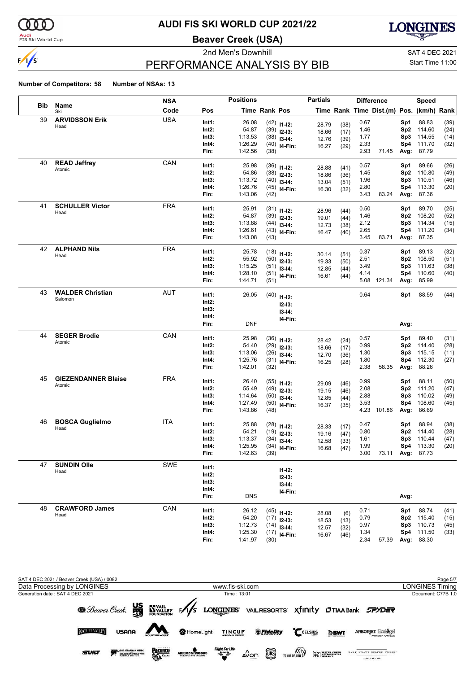

#### **Audi**<br>FIS Ski World Cup

# **AUDI FIS SKI WORLD CUP 2021/22**

**Beaver Creek (USA)**



# PERFORMANCE ANALYSIS BY BIB

2nd Men's Downhill and SAT 4 DEC 2021 Start Time 11:00

|     |                               | <b>NSA</b> |               | <b>Positions</b>        |               |                                | <b>Partials</b> |              | <b>Difference</b> |                                          |                 | <b>Speed</b> |      |
|-----|-------------------------------|------------|---------------|-------------------------|---------------|--------------------------------|-----------------|--------------|-------------------|------------------------------------------|-----------------|--------------|------|
| Bib | Name<br>Ski                   | Code       | Pos           |                         | Time Rank Pos |                                |                 |              |                   | Time Rank Time Dist.(m) Pos. (km/h) Rank |                 |              |      |
| 39  | <b>ARVIDSSON Erik</b><br>Head | <b>USA</b> | Int1:         | 26.08                   |               | $(42)$ 11-12:                  | 28.79           | (38)         | 0.67              |                                          | Sp1             | 88.83        | (39) |
|     |                               |            | Int2:         | 54.87                   |               | $(39)$ 12-13:                  | 18.66           | (17)         | 1.46              |                                          | Sp2             | 114.60       | (24) |
|     |                               |            | Int3:         | 1:13.53                 |               | $(38)$ 13-14:                  | 12.76           | (39)         | 1.77              |                                          | Sp3             | 114.55       | (14) |
|     |                               |            | Int4:         | 1:26.29                 |               | $(40)$ 14-Fin:                 | 16.27           | (29)         | 2.33              |                                          | Sp4             | 111.70       | (32) |
|     |                               |            | Fin:          | 1:42.56                 | (38)          |                                |                 |              | 2.93              | 71.45                                    | Avg:            | 87.79        |      |
| 40  | <b>READ Jeffrey</b>           | CAN        | Int1:         | 25.98                   |               | $(36)$ 11-12:                  | 28.88           | (41)         | 0.57              |                                          | Sp1             | 89.66        | (26) |
|     | Atomic                        |            | Int2:         | 54.86                   |               | $(38)$ 12-13:                  | 18.86           | (36)         | 1.45              |                                          | Sp <sub>2</sub> | 110.80       | (49) |
|     |                               |            | Int3:         | 1:13.72                 |               | $(40)$ 13-14:                  | 13.04           |              | 1.96              |                                          | Sp3             | 110.51       | (46) |
|     |                               |            | Int4:         | 1:26.76                 |               | $(45)$ 14-Fin:                 | 16.30           | (51)<br>(32) | 2.80              |                                          | Sp4             | 113.30       | (20) |
|     |                               |            | Fin:          | 1:43.06                 | (42)          |                                |                 |              | 3.43              | 83.24                                    | Avg:            | 87.36        |      |
| 41  | <b>SCHULLER Victor</b>        | <b>FRA</b> | Int1:         | 25.91                   |               | $(31)$ 11-12:                  |                 |              | 0.50              |                                          | Sp1             | 89.70        | (25) |
|     | Head                          |            | Int2:         | 54.87                   |               | $(39)$ 12-13:                  | 28.96           | (44)         | 1.46              |                                          | Sp <sub>2</sub> | 108.20       | (52) |
|     |                               |            | Int3:         | 1:13.88                 |               | $(44)$ 13-14:                  | 19.01           | (44)         | 2.12              |                                          | Sp3             | 114.34       | (15) |
|     |                               |            | Int4:         | 1:26.61                 |               | $(43)$ 14-Fin:                 | 12.73           | (38)         | 2.65              |                                          | Sp4             | 111.20       | (34) |
|     |                               |            | Fin:          | 1:43.08                 | (43)          |                                | 16.47           | (40)         | 3.45              | 83.71                                    | Avg:            | 87.35        |      |
| 42  | <b>ALPHAND Nils</b>           | <b>FRA</b> | Int1:         | 25.78                   |               |                                |                 |              | 0.37              |                                          | Sp1             | 89.13        | (32) |
|     | Head                          |            | Int2:         | 55.92                   |               | $(18)$ 11-12:<br>$(50)$ 12-13: | 30.14           | (51)         | 2.51              |                                          | Sp <sub>2</sub> | 108.50       | (51) |
|     |                               |            | Int3:         | 1:15.25                 |               | $(51)$ 13-14:                  | 19.33           | (50)         | 3.49              |                                          | Sp3             | 111.63       | (38) |
|     |                               |            | Int4:         | 1:28.10                 |               | $(51)$ 14-Fin:                 | 12.85           | (44)         | 4.14              |                                          | Sp4             | 110.60       | (40) |
|     |                               |            | Fin:          | 1:44.71                 | (51)          |                                | 16.61           | (44)         |                   | 5.08 121.34                              | Avg:            | 85.99        |      |
| 43  | <b>WALDER Christian</b>       | AUT        | Int1:         | 26.05                   |               |                                |                 |              | 0.64              |                                          | Sp1             | 88.59        | (44) |
|     | Salomon                       |            | Int2:         |                         |               | $(40)$ 11-12:                  |                 |              |                   |                                          |                 |              |      |
|     |                               |            | Int3:         |                         |               | $12 - 13:$                     |                 |              |                   |                                          |                 |              |      |
|     |                               |            | Int4:         |                         |               | $13-14:$                       |                 |              |                   |                                          |                 |              |      |
|     |                               |            | Fin:          | <b>DNF</b>              |               | I4-Fin:                        |                 |              |                   |                                          | Avg:            |              |      |
| 44  | <b>SEGER Brodie</b>           | CAN        | Int1:         | 25.98                   |               |                                |                 |              | 0.57              |                                          | Sp1             | 89.40        | (31) |
|     | Atomic                        |            | Int2:         | 54.40                   |               | $(36)$ 11-12:                  | 28.42           | (24)         | 0.99              |                                          | Sp <sub>2</sub> | 114.40       | (28) |
|     |                               |            | Int3:         | 1:13.06                 |               | $(29)$ 12-13:                  | 18.66           | (17)         | 1.30              |                                          | Sp3             | 115.15       | (11) |
|     |                               |            | Int4:         | 1:25.76                 |               | $(26)$ 13-14:                  | 12.70           | (36)         | 1.80              |                                          | Sp4             | 112.30       | (27) |
|     |                               |            | Fin:          | 1:42.01                 | (32)          | $(31)$ 14-Fin:                 | 16.25           | (28)         | 2.38              | 58.35                                    | Avg:            | 88.26        |      |
| 45  | <b>GIEZENDANNER Blaise</b>    | <b>FRA</b> | Int1:         | 26.40                   |               |                                |                 |              | 0.99              |                                          | Sp1             | 88.11        | (50) |
|     | Atomic                        |            | Int2:         | 55.49                   |               | $(55)$ 11-12:                  | 29.09           | (46)         | 2.08              |                                          | Sp <sub>2</sub> | 111.20       | (47) |
|     |                               |            | Int3:         | 1:14.64                 |               | $(49)$ 12-13:                  | 19.15           | (46)         | 2.88              |                                          | Sp3             | 110.02       | (49) |
|     |                               |            | Int4:         | 1:27.49                 |               | $(50)$ 13-14:                  | 12.85           | (44)         | 3.53              |                                          | Sp4             | 108.60       | (45) |
|     |                               |            | Fin:          | 1:43.86                 | (48)          | $(50)$ 14-Fin:                 | 16.37           | (35)         |                   | 4.23 101.86                              | Avg:            | 86.69        |      |
| 46  | <b>BOSCA Guglielmo</b>        | <b>ITA</b> |               |                         |               |                                |                 |              |                   |                                          |                 |              |      |
|     | Head                          |            | Int1:         | 25.88                   |               | $(28)$ 11-12:                  | 28.33           | (17)         | 0.47              |                                          | Sp1             | 88.94        | (38) |
|     |                               |            | Int2:         | 54.21                   |               | $(19)$ 12-13:                  | 19.16           | (47)         | 0.80              |                                          | Sp <sub>2</sub> | 114.40       | (28) |
|     |                               |            | Int3:         | 1:13.37                 |               | $(34)$ 13-14:                  | 12.58           | (33)         | 1.61              |                                          | Sp3             | 110.44       | (47) |
|     |                               |            | Int4:<br>Fin: | 1:25.95<br>1:42.63 (39) |               | $(34)$ 14-Fin:                 | 16.68           | (47)         | 1.99              | 3.00 73.11 Avg: 87.73                    |                 | Sp4 113.30   | (20) |
|     |                               |            |               |                         |               |                                |                 |              |                   |                                          |                 |              |      |
| 47  | <b>SUNDIN Olle</b><br>Head    | <b>SWE</b> | Int1:         |                         |               | $11 - 12$ :                    |                 |              |                   |                                          |                 |              |      |
|     |                               |            | Int2:         |                         |               | $12-13:$                       |                 |              |                   |                                          |                 |              |      |
|     |                               |            | Int3:         |                         |               | $13 - 14$ :                    |                 |              |                   |                                          |                 |              |      |
|     |                               |            | Int4:         |                         |               | I4-Fin:                        |                 |              |                   |                                          |                 |              |      |
|     |                               |            | Fin:          | <b>DNS</b>              |               |                                |                 |              |                   |                                          | Avg:            |              |      |
| 48  | <b>CRAWFORD James</b><br>Head | CAN        | Int1:         | 26.12                   |               | $(45)$ 11-12:                  | 28.08           | (6)          | 0.71              |                                          |                 | Sp1 88.74    | (41) |
|     |                               |            | Int2:         | 54.20                   |               | $(17)$ 12-13:                  | 18.53           | (13)         | 0.79              |                                          |                 | Sp2 115.40   | (15) |
|     |                               |            | Int3:         | 1:12.73                 |               | $(14)$ 13-14:                  | 12.57           | (32)         | 0.97              |                                          |                 | Sp3 110.73   | (45) |
|     |                               |            | Int4:         | 1:25.30                 |               | $(17)$ <sub>14-Fin:</sub>      | 16.67           | (46)         | 1.34              |                                          |                 | Sp4 111.50   | (33) |
|     |                               |            | Fin:          | 1:41.97                 | (30)          |                                |                 |              | 2.34              | 57.39                                    |                 | Avg: 88.30   |      |

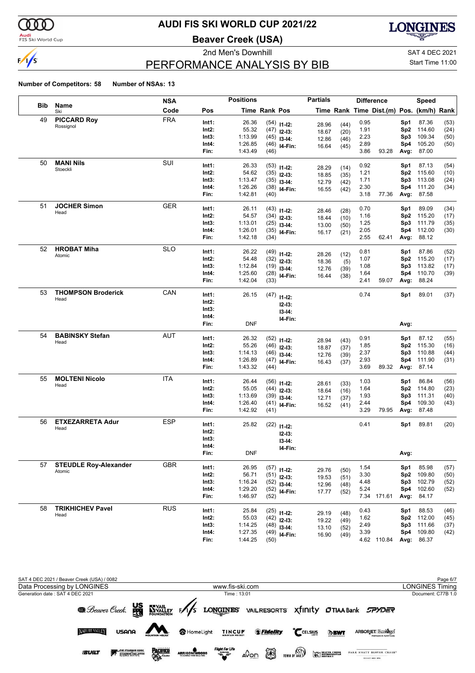

**Audi**<br>FIS Ski World Cup

### **AUDI FIS SKI WORLD CUP 2021/22**

**Beaver Creek (USA)**



# PERFORMANCE ANALYSIS BY BIB

2nd Men's Downhill and SAT 4 DEC 2021 Start Time 11:00

|            |                              | <b>NSA</b> |          | <b>Positions</b> |                      |                           | <b>Partials</b> |              | <b>Difference</b> |                                          |                 | Speed      |      |
|------------|------------------------------|------------|----------|------------------|----------------------|---------------------------|-----------------|--------------|-------------------|------------------------------------------|-----------------|------------|------|
| <b>Bib</b> | Name<br>Ski                  | Code       | Pos      |                  | <b>Time Rank Pos</b> |                           |                 |              |                   | Time Rank Time Dist.(m) Pos. (km/h) Rank |                 |            |      |
| 49         | <b>PICCARD Roy</b>           | <b>FRA</b> | Int1:    | 26.36            |                      | $(54)$ 11-12:             |                 |              | 0.95              |                                          | Sp1             | 87.36      | (53) |
|            | Rossignol                    |            | Int2:    | 55.32            |                      | $(47)$ 12-13:             | 28.96<br>18.67  | (44)<br>(20) | 1.91              |                                          | Sp <sub>2</sub> | 114.60     | (24) |
|            |                              |            | Int3:    | 1:13.99          |                      | $(45)$ 13-14:             | 12.86           | (46)         | 2.23              |                                          | Sp3             | 109.34     | (50) |
|            |                              |            | Int4:    | 1:26.85          |                      | $(46)$ 14-Fin:            | 16.64           | (45)         | 2.89              |                                          | Sp4             | 105.20     | (50) |
|            |                              |            | Fin:     | 1:43.49          | (46)                 |                           |                 |              | 3.86              | 93.28                                    | Avg:            | 87.00      |      |
| 50         | <b>MANI Nils</b>             | SUI        | Int1:    | 26.33            |                      | $(53)$ 11-12:             |                 |              | 0.92              |                                          | Sp1             | 87.13      | (54) |
|            | Stoeckli                     |            | Int2:    | 54.62            |                      | $(35)$ 12-13:             | 28.29<br>18.85  | (14)<br>(35) | 1.21              |                                          | Sp2             | 115.60     | (10) |
|            |                              |            | Int3:    | 1:13.47          |                      | $(35)$ 13-14:             | 12.79           | (42)         | 1.71              |                                          | Sp3             | 113.08     | (24) |
|            |                              |            | Int4:    | 1:26.26          |                      | $(38)$ 14-Fin:            | 16.55           | (42)         | 2.30              |                                          | Sp4             | 111.20     | (34) |
|            |                              |            | Fin:     | 1:42.81          | (40)                 |                           |                 |              | 3.18              | 77.36                                    | Avg:            | 87.58      |      |
| 51         | <b>JOCHER Simon</b>          | <b>GER</b> | Int1:    | 26.11            |                      | $(43)$ 11-12:             | 28.46           | (28)         | 0.70              |                                          | Sp1             | 89.09      | (34) |
|            | Head                         |            | Int2:    | 54.57            |                      | $(34)$ 12-13:             | 18.44           | (10)         | 1.16              |                                          | Sp <sub>2</sub> | 115.20     | (17) |
|            |                              |            | Int3:    | 1:13.01          |                      | $(25)$ 13-14:             | 13.00           | (50)         | 1.25              |                                          | Sp3             | 111.79     | (35) |
|            |                              |            | Int4:    | 1:26.01          |                      | $(35)$ 14-Fin:            | 16.17           | (21)         | 2.05              |                                          | Sp4             | 112.00     | (30) |
|            |                              |            | Fin:     | 1:42.18          | (34)                 |                           |                 |              | 2.55              | 62.41                                    | Avg:            | 88.12      |      |
| 52         | <b>HROBAT Miha</b>           | <b>SLO</b> | Int1:    | 26.22            |                      | $(49)$ 11-12:             | 28.26           | (12)         | 0.81              |                                          | Sp1             | 87.86      | (52) |
|            | Atomic                       |            | Int2:    | 54.48            |                      | $(32)$ 12-13:             | 18.36           | (5)          | 1.07              |                                          | Sp <sub>2</sub> | 115.20     | (17) |
|            |                              |            | Int3:    | 1:12.84          |                      | $(19)$ 13-14:             | 12.76           | (39)         | 1.08              |                                          | Sp3             | 113.82     | (17) |
|            |                              |            | Int4:    | 1:25.60          |                      | $(28)$ 14-Fin:            | 16.44           | (38)         | 1.64              |                                          | Sp4             | 110.70     | (39) |
|            |                              |            | Fin:     | 1:42.04          | (33)                 |                           |                 |              | 2.41              | 59.07                                    | Avg:            | 88.24      |      |
| 53         | <b>THOMPSON Broderick</b>    | CAN        | Int1:    | 26.15            | (47)                 | $11 - 12$ :               |                 |              | 0.74              |                                          | Sp1             | 89.01      | (37) |
|            | Head                         |            | Int2:    |                  |                      | $12-13:$                  |                 |              |                   |                                          |                 |            |      |
|            |                              |            | Int3:    |                  |                      | $13-14:$                  |                 |              |                   |                                          |                 |            |      |
|            |                              |            | Int4:    |                  |                      | I4-Fin:                   |                 |              |                   |                                          |                 |            |      |
|            |                              |            | Fin:     | <b>DNF</b>       |                      |                           |                 |              |                   |                                          | Avg:            |            |      |
| 54         | <b>BABINSKY Stefan</b>       | AUT        | Int1:    | 26.32            |                      | $(52)$ 11-12:             |                 |              | 0.91              |                                          | Sp1             | 87.12      | (55) |
|            | Head                         |            | Int2:    | 55.26            |                      | $(46)$ 12-13:             | 28.94<br>18.87  | (43)<br>(37) | 1.85              |                                          | Sp2             | 115.30     | (16) |
|            |                              |            | Int3:    | 1:14.13          |                      | $(46)$ 13-14:             | 12.76           | (39)         | 2.37              |                                          | Sp3             | 110.88     | (44) |
|            |                              |            | Int4:    | 1:26.89          |                      | $(47)$ 14-Fin:            | 16.43           | (37)         | 2.93              |                                          | Sp4             | 111.90     | (31) |
|            |                              |            | Fin:     | 1:43.32          | (44)                 |                           |                 |              | 3.69              | 89.32                                    | Avg:            | 87.14      |      |
| 55         | <b>MOLTENI Nicolo</b>        | <b>ITA</b> | Int1:    | 26.44            |                      | $(56)$ 11-12:             | 28.61           |              | 1.03              |                                          | Sp1             | 86.84      | (56) |
|            | Head                         |            | Int2:    | 55.05            |                      | $(44)$ 12-13:             | 18.64           | (33)<br>(16) | 1.64              |                                          | Sp <sub>2</sub> | 114.80     | (23) |
|            |                              |            | Int3:    | 1:13.69          |                      | $(39)$ 13-14:             | 12.71           | (37)         | 1.93              |                                          | Sp3             | 111.31     | (40) |
|            |                              |            | Int4:    | 1:26.40          |                      | $(41)$ <sub>14-Fin:</sub> | 16.52           | (41)         | 2.44              |                                          | Sp4             | 109.30     | (43) |
|            |                              |            | Fin:     | 1:42.92          | (41)                 |                           |                 |              | 3.29              | 79.95                                    | Avg:            | 87.48      |      |
| 56         | <b>ETXEZARRETA Adur</b>      | <b>ESP</b> | Int1:    | 25.82            |                      | $(22)$ 11-12:             |                 |              | 0.41              |                                          | Sp1             | 89.81      | (20) |
|            | Head                         |            | Int2:    |                  |                      | $12-13:$                  |                 |              |                   |                                          |                 |            |      |
|            |                              |            | Int3:    |                  |                      | $13-14:$                  |                 |              |                   |                                          |                 |            |      |
|            |                              |            | Int4:    |                  |                      | I4-Fin:                   |                 |              |                   |                                          |                 |            |      |
|            |                              |            | FIN:     | <b>DNF</b>       |                      |                           |                 |              |                   |                                          | Avg:            |            |      |
| 57         | <b>STEUDLE Roy-Alexander</b> | <b>GBR</b> | Int1:    | 26.95            |                      | $(57)$ 11-12:             | 29.76           | (50)         | 1.54              |                                          | Sp1             | 85.98      | (57) |
|            | Atomic                       |            | $Int2$ : | 56.71            |                      | $(51)$ 12-13:             | 19.53           | (51)         | 3.30              |                                          | Sp2             | 109.80     | (50) |
|            |                              |            | Int3:    | 1:16.24          |                      | $(52)$ 13-14:             | 12.96           | (48)         | 4.48              |                                          | Sp3             | 102.79     | (52) |
|            |                              |            | Int4:    | 1:29.20          |                      | $(52)$ 14-Fin:            | 17.77           | (52)         | 5.24              |                                          | Sp4             | 102.60     | (52) |
|            |                              |            | Fin:     | 1:46.97          | (52)                 |                           |                 |              |                   | 7.34 171.61                              | Avg:            | 84.17      |      |
| 58         | <b>TRIKHICHEV Pavel</b>      | <b>RUS</b> | Int1:    | 25.84            |                      | $(25)$ 11-12:             | 29.19           | (48)         | 0.43              |                                          | Sp1             | 88.53      | (46) |
|            | Head                         |            | Int2:    | 55.03            |                      | $(42)$ 12-13:             | 19.22           | (49)         | 1.62              |                                          | Sp2             | 112.00     | (45) |
|            |                              |            | Int3:    | 1:14.25          |                      | $(48)$ 13-14:             | 13.10           | (52)         | 2.49              |                                          | Sp3             | 111.66     | (37) |
|            |                              |            | Int4:    | 1:27.35          |                      | $(49)$ 14-Fin:            | 16.90           | (49)         | 3.39              |                                          | Sp4             | 109.80     | (42) |
|            |                              |            | Fin:     | 1:44.25          | (50)                 |                           |                 |              |                   | 4.62 110.84                              |                 | Avg: 86.37 |      |

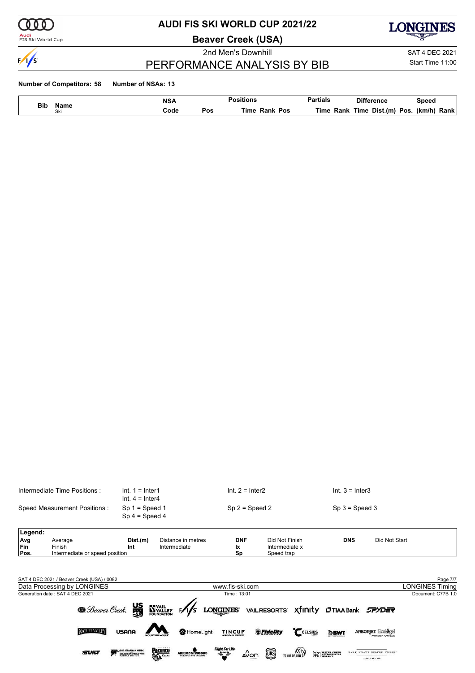

# **AUDI FIS SKI WORLD CUP 2021/22**

**Beaver Creek (USA)**

2nd Men's Downhill SAT 4 DEC 2021



PERFORMANCE ANALYSIS BY BIB

Start Time 11:00

#### **Number of Competitors: 58 Number of NSAs: 13**

NATURE VALLEY

**SUILT** 

USANA

**EXAMPLE STEADMAN CLINIC** 

| Bib    |             | <b>NSA</b> |     | Positions           | <b>Partials</b> | Difference               | Speed          |
|--------|-------------|------------|-----|---------------------|-----------------|--------------------------|----------------|
| $\sim$ | Name<br>Ski | Code       | Pos | Time<br>Rank<br>Pos | Гіmе<br>Rank    | Dist.(m)<br>Time<br>Pos. | (km/h)<br>Rank |

|            | Intermediate Time Positions:               | $Int. 1 = Inter1$<br>$Int. 4 = Inter4$ |                                    | $Int. 2 = Inter2$ |                                  | $Int. 3 = Inter3$         |                        |
|------------|--------------------------------------------|----------------------------------------|------------------------------------|-------------------|----------------------------------|---------------------------|------------------------|
|            | Speed Measurement Positions:               | $Sp 1 = Speed 1$<br>$Sp 4 = Speed 4$   |                                    | $Sp 2 = Speed 2$  |                                  | $Sp 3 = Speed 3$          |                        |
| Legend:    |                                            |                                        |                                    |                   |                                  |                           |                        |
| Avg<br>Fin | Average<br>Finish                          | Dist.(m)<br>Int                        | Distance in metres<br>Intermediate | <b>DNF</b><br>Ιx  | Did Not Finish<br>Intermediate x | <b>DNS</b>                | Did Not Start          |
| Pos.       | Intermediate or speed position             |                                        |                                    | Sp                | Speed trap                       |                           |                        |
|            |                                            |                                        |                                    |                   |                                  |                           |                        |
|            | SAT 4 DEC 2021 / Beaver Creek (USA) / 0082 |                                        |                                    |                   |                                  |                           | Page 7/7               |
|            | Data Processing by LONGINES                |                                        |                                    | www.fis-ski.com   |                                  |                           | <b>LONGINES Timing</b> |
|            | Generation date: SAT 4 DEC 2021            |                                        |                                    | Time: 13:01       |                                  |                           | Document: C77B 1.0     |
|            | <b>B</b> . Beaver Creek.                   | <b>Sage</b>                            | <b>WYAIL</b><br>FOUNDATION         | <b>LONGINES</b>   | <b>VAILRESORTS</b>               | <b>Xfinity OTIAA Bank</b> | SPYDER                 |

ARRIGONI WOODS

**PACIFIED** 

SHomeLight TINCUP Stidelity CCELSIUS DBWT ARBORIET Ecologel

 $\overbrace{\phantom{...}}^{\text{Flypt for the 1-He}}$   $\Delta$  On  $\overbrace{\phantom{...}}^{\text{Flypt for the 1-He}}$  TOWN OF VALUE  $\overbrace{\phantom{...}}^{\text{Flypt for the 1-He}}$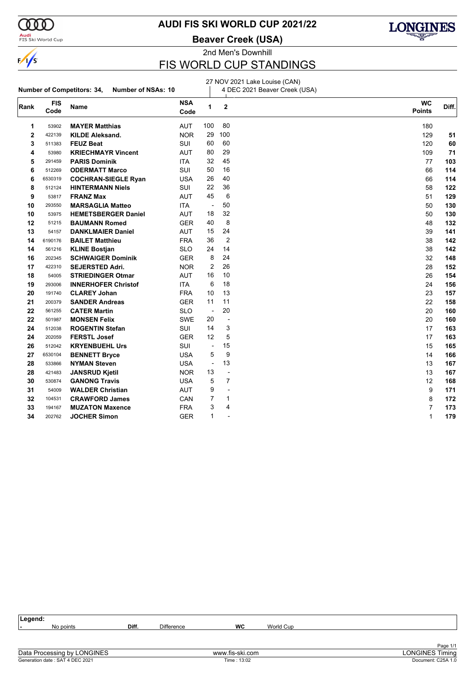

#### **Audi**<br>FIS Ski World Cup

**AUDI FIS SKI WORLD CUP 2021/22**

#### **Beaver Creek (USA)**



2nd Men's Downhill

# FIS WORLD CUP STANDINGS

# **Number of Competitors: 34, Number of NSAs: 10**

27 NOV 2021 Lake Louise (CAN) 4 DEC 2021 Beaver Creek (USA)

| Rank        | <b>FIS</b><br>Code | Name                       | <b>NSA</b><br>Code | $\mathbf{1}$             | $\overline{2}$           | <b>WC</b><br><b>Points</b> | Diff. |
|-------------|--------------------|----------------------------|--------------------|--------------------------|--------------------------|----------------------------|-------|
| 1           | 53902              | <b>MAYER Matthias</b>      | <b>AUT</b>         | 100                      | 80                       | 180                        |       |
| $\mathbf 2$ | 422139             | <b>KILDE Aleksand.</b>     | <b>NOR</b>         | 29                       | 100                      | 129                        | 51    |
| 3           | 511383             | <b>FEUZ Beat</b>           | <b>SUI</b>         | 60                       | 60                       | 120                        | 60    |
| 4           | 53980              | <b>KRIECHMAYR Vincent</b>  | <b>AUT</b>         | 80                       | 29                       | 109                        | 71    |
| 5           | 291459             | <b>PARIS Dominik</b>       | <b>ITA</b>         | 32                       | 45                       | 77                         | 103   |
| 6           | 512269             | <b>ODERMATT Marco</b>      | SUI                | 50                       | 16                       | 66                         | 114   |
| 6           | 6530319            | <b>COCHRAN-SIEGLE Ryan</b> | <b>USA</b>         | 26                       | 40                       | 66                         | 114   |
| 8           | 512124             | <b>HINTERMANN Niels</b>    | SUI                | 22                       | 36                       | 58                         | 122   |
| 9           | 53817              | <b>FRANZ Max</b>           | <b>AUT</b>         | 45                       | 6                        | 51                         | 129   |
| 10          | 293550             | <b>MARSAGLIA Matteo</b>    | <b>ITA</b>         | $\overline{\phantom{a}}$ | 50                       | 50                         | 130   |
| 10          | 53975              | <b>HEMETSBERGER Daniel</b> | <b>AUT</b>         | 18                       | 32                       | 50                         | 130   |
| 12          | 51215              | <b>BAUMANN Romed</b>       | <b>GER</b>         | 40                       | 8                        | 48                         | 132   |
| 13          | 54157              | <b>DANKLMAIER Daniel</b>   | <b>AUT</b>         | 15                       | 24                       | 39                         | 141   |
| 14          | 6190176            | <b>BAILET Matthieu</b>     | <b>FRA</b>         | 36                       | $\overline{2}$           | 38                         | 142   |
| 14          | 561216             | <b>KLINE Bostjan</b>       | <b>SLO</b>         | 24                       | 14                       | 38                         | 142   |
| 16          | 202345             | <b>SCHWAIGER Dominik</b>   | <b>GER</b>         | 8                        | 24                       | 32                         | 148   |
| 17          | 422310             | <b>SEJERSTED Adri.</b>     | <b>NOR</b>         | $\overline{2}$           | 26                       | 28                         | 152   |
| 18          | 54005              | <b>STRIEDINGER Otmar</b>   | <b>AUT</b>         | 16                       | 10                       | 26                         | 154   |
| 19          | 293006             | <b>INNERHOFER Christof</b> | <b>ITA</b>         | 6                        | 18                       | 24                         | 156   |
| 20          | 191740             | <b>CLAREY Johan</b>        | <b>FRA</b>         | 10                       | 13                       | 23                         | 157   |
| 21          | 200379             | <b>SANDER Andreas</b>      | <b>GER</b>         | 11                       | 11                       | 22                         | 158   |
| 22          | 561255             | <b>CATER Martin</b>        | <b>SLO</b>         | $\overline{\phantom{a}}$ | 20                       | 20                         | 160   |
| 22          | 501987             | <b>MONSEN Felix</b>        | <b>SWE</b>         | 20                       | ÷,                       | 20                         | 160   |
| 24          | 512038             | <b>ROGENTIN Stefan</b>     | SUI                | 14                       | 3                        | 17                         | 163   |
| 24          | 202059             | <b>FERSTL Josef</b>        | <b>GER</b>         | 12                       | 5                        | 17                         | 163   |
| 26          | 512042             | <b>KRYENBUEHL Urs</b>      | SUI                | $\overline{\phantom{a}}$ | 15                       | 15                         | 165   |
| 27          | 6530104            | <b>BENNETT Bryce</b>       | <b>USA</b>         | 5                        | 9                        | 14                         | 166   |
| 28          | 533866             | <b>NYMAN Steven</b>        | <b>USA</b>         | $\overline{\phantom{a}}$ | 13                       | 13                         | 167   |
| 28          | 421483             | <b>JANSRUD Kjetil</b>      | <b>NOR</b>         | 13                       | ÷,                       | 13                         | 167   |
| 30          | 530874             | <b>GANONG Travis</b>       | <b>USA</b>         | 5                        | $\overline{7}$           | 12                         | 168   |
| 31          | 54009              | <b>WALDER Christian</b>    | <b>AUT</b>         | 9                        | $\overline{\phantom{a}}$ | 9                          | 171   |
| 32          | 104531             | <b>CRAWFORD James</b>      | CAN                | 7                        | $\mathbf 1$              | 8                          | 172   |
| 33          | 194167             | <b>MUZATON Maxence</b>     | <b>FRA</b>         | 3                        | 4                        | $\overline{7}$             | 173   |
| 34          | 202762             | <b>JOCHER Simon</b>        | <b>GER</b>         | 1                        | $\overline{\phantom{a}}$ | 1                          | 179   |
|             |                    |                            |                    |                          |                          |                            |       |

| Legend:                     |       |                   |                 |           |                        |
|-----------------------------|-------|-------------------|-----------------|-----------|------------------------|
| No points                   | Diff. | <b>Difference</b> | <b>WC</b>       | World Cup |                        |
|                             |       |                   |                 |           |                        |
|                             |       |                   |                 |           | Page 1/1               |
| Data Processing by LONGINES |       |                   | www.fis-ski.com |           | <b>LONGINES Timing</b> |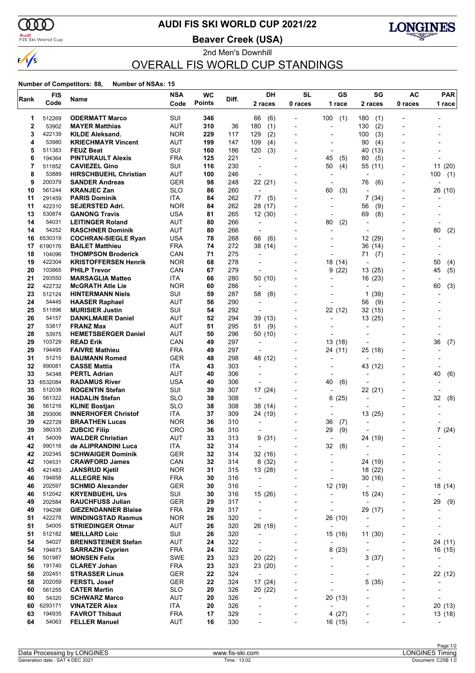

### <mark>Audi</mark><br>FIS Ski World Cup

# **AUDI FIS SKI WORLD CUP 2021/22**

**Beaver Creek (USA)**



### 2nd Men's Downhill OVERALL FIS WORLD CUP STANDINGS

| Rank     | <b>FIS</b>       | Name                                                  | <b>NSA</b>               | <b>WC</b>     | Diff.      | DH                                         | <b>SL</b>                | GS                               | SG                                  | <b>AC</b>                         | <b>PAR</b>     |
|----------|------------------|-------------------------------------------------------|--------------------------|---------------|------------|--------------------------------------------|--------------------------|----------------------------------|-------------------------------------|-----------------------------------|----------------|
|          | Code             |                                                       | Code                     | <b>Points</b> |            | 2 races                                    | 0 races                  | 1 race                           | 2 races                             | 0 races                           | 1 race         |
| 1        | 512269           | <b>ODERMATT Marco</b>                                 | SUI                      | 346           |            | 66<br>(6)                                  |                          | 100<br>(1)                       | 180<br>(1)                          |                                   |                |
| 2        | 53902            | <b>MAYER Matthias</b>                                 | AUT                      | 310           | 36         | (1)<br>180                                 |                          | ٠                                | (2)<br>130                          |                                   |                |
| 3        | 422139           | <b>KILDE Aleksand.</b>                                | <b>NOR</b>               | 229           | 117        | (2)<br>129                                 |                          | $\overline{\phantom{a}}$         | 100<br>(3)                          |                                   |                |
| 4        | 53980            | <b>KRIECHMAYR Vincent</b>                             | AUT                      | 199           | 147        | (4)<br>109                                 |                          |                                  | 90<br>(4)                           |                                   |                |
| 5        | 511383           | <b>FEUZ Beat</b>                                      | SUI                      | 160           | 186        | 120<br>(3)                                 |                          | -                                | 40 (13)                             |                                   |                |
| 6<br>7   | 194364<br>511852 | <b>PINTURAULT Alexis</b><br><b>CAVIEZEL Gino</b>      | <b>FRA</b><br>SUI        | 125<br>116    | 221<br>230 | ÷,                                         |                          | 45<br>(5)<br>(4)<br>50           | 80<br>(5)<br>55 (11)                |                                   | 11 (20)        |
| 8        | 53889            | <b>HIRSCHBUEHL Christian</b>                          | <b>AUT</b>               | 100           | 246        | $\overline{\phantom{a}}$                   |                          | $\overline{\phantom{0}}$         |                                     |                                   | 100<br>(1)     |
| 9        | 200379           | <b>SANDER Andreas</b>                                 | GER                      | 98            | 248        | 22 (21)                                    |                          | $\overline{\phantom{a}}$         | 76<br>(6)                           | $\overline{\phantom{0}}$          |                |
| 10       | 561244           | <b>KRANJEC Zan</b>                                    | <b>SLO</b>               | 86            | 260        | $\overline{a}$                             |                          | (3)<br>60                        |                                     |                                   | 26 (10)        |
| 11       | 291459           | <b>PARIS Dominik</b>                                  | ITA                      | 84            | 262        | (5)<br>77                                  |                          | $\overline{a}$                   | 7<br>(34)                           | $\overline{\phantom{0}}$          |                |
| 11       | 422310           | <b>SEJERSTED Adri.</b>                                | <b>NOR</b>               | 84            | 262        | 28 (17)                                    |                          | $\overline{a}$                   | (9)<br>56                           | $\blacksquare$                    |                |
| 13       | 530874           | <b>GANONG Travis</b>                                  | USA                      | 81            | 265        | 12(30)                                     |                          | -                                | 69<br>(8)                           |                                   |                |
| 14       | 54031            | <b>LEITINGER Roland</b>                               | AUT                      | 80            | 266        | $\overline{\phantom{a}}$                   |                          | 80<br>(2)                        | $\overline{\phantom{a}}$            |                                   |                |
| 14<br>16 | 54252<br>6530319 | <b>RASCHNER Dominik</b><br><b>COCHRAN-SIEGLE Ryan</b> | AUT<br><b>USA</b>        | 80<br>78      | 266<br>268 | $\overline{\phantom{a}}$<br>66<br>(6)      | $\overline{\phantom{a}}$ | $\blacksquare$                   | $\blacksquare$<br>12 (29)           |                                   | (2)<br>80      |
| 17       | 6190176          | <b>BAILET Matthieu</b>                                | <b>FRA</b>               | 74            | 272        | 38 (14)                                    |                          | $\overline{a}$                   | 36 (14)                             | $\blacksquare$                    |                |
| 18       | 104096           | <b>THOMPSON Broderick</b>                             | CAN                      | 71            | 275        | $\overline{a}$                             |                          |                                  | 71<br>(7)                           |                                   |                |
| 19       | 422304           | <b>KRISTOFFERSEN Henrik</b>                           | <b>NOR</b>               | 68            | 278        |                                            |                          | 18 (14)                          | $\overline{\phantom{a}}$            |                                   | 50<br>(4)      |
| 20       | 103865           | <b>PHILP Trevor</b>                                   | CAN                      | 67            | 279        | $\overline{\phantom{a}}$                   |                          | 9(22)                            | 13 (25)                             | $\blacksquare$                    | 45<br>(5)      |
| 21       | 293550           | <b>MARSAGLIA Matteo</b>                               | ITA                      | 66            | 280        | 50 (10)                                    |                          | ٠                                | 16 (23)                             | $\overline{\phantom{0}}$          |                |
| 22       | 422732           | <b>McGRATH Atle Lie</b>                               | <b>NOR</b>               | 60            | 286        | ÷                                          |                          |                                  |                                     |                                   | (3)<br>60      |
| 23       | 512124           | <b>HINTERMANN Niels</b>                               | SUI                      | 59            | 287        | 58<br>(8)                                  |                          |                                  | 1<br>(39)                           | $\overline{a}$                    |                |
| 24       | 54445            | <b>HAASER Raphael</b>                                 | AUT                      | 56            | 290        | $\overline{\phantom{a}}$                   |                          | $\overline{a}$                   | (9)<br>56                           |                                   |                |
| 25<br>26 | 511896           | <b>MURISIER Justin</b>                                | SUI<br>AUT               | 54<br>52      | 292        | $\overline{a}$                             |                          | 22 (12)                          | 32 (15)                             |                                   |                |
| 27       | 54157<br>53817   | <b>DANKLMAIER Daniel</b><br><b>FRANZ Max</b>          | AUT                      | 51            | 294<br>295 | 39 (13)<br>(9)<br>51                       |                          | $\overline{a}$<br>$\overline{a}$ | 13 (25)                             |                                   |                |
| 28       | 53975            | <b>HEMETSBERGER Daniel</b>                            | <b>AUT</b>               | 50            | 296        | 50 (10)                                    |                          |                                  |                                     |                                   |                |
| 29       | 103729           | <b>READ Erik</b>                                      | CAN                      | 49            | 297        | $\overline{a}$                             |                          | 13 (18)                          |                                     |                                   | 36<br>(7)      |
| 29       | 194495           | <b>FAIVRE Mathieu</b>                                 | <b>FRA</b>               | 49            | 297        | $\overline{\phantom{a}}$                   |                          | 24 (11)                          | 25 (18)                             |                                   |                |
| 31       | 51215            | <b>BAUMANN Romed</b>                                  | <b>GER</b>               | 48            | 298        | 48 (12)                                    |                          | $\overline{a}$                   |                                     |                                   |                |
| 32       | 990081           | <b>CASSE Mattia</b>                                   | ITA                      | 43            | 303        | $\overline{\phantom{a}}$                   |                          | -                                | 43 (12)                             |                                   |                |
| 33       | 54348            | <b>PERTL Adrian</b>                                   | AUT                      | 40            | 306        | ÷                                          |                          |                                  |                                     |                                   | 40<br>(6)      |
| 33       | 6532084          | <b>RADAMUS River</b>                                  | USA                      | 40            | 306        |                                            |                          | 40<br>(6)                        |                                     |                                   |                |
| 35       | 512038           | <b>ROGENTIN Stefan</b>                                | SUI                      | 39            | 307        | 17 (24)                                    |                          | ٠                                | 22 (21)                             |                                   |                |
| 36<br>36 | 561322<br>561216 | <b>HADALIN Stefan</b><br><b>KLINE Bostjan</b>         | <b>SLO</b><br><b>SLO</b> | 38<br>38      | 308<br>308 | $\overline{\phantom{a}}$<br>38 (14)        |                          | 6<br>(25)<br>$\overline{a}$      | $\overline{\phantom{a}}$            | $\overline{\phantom{0}}$          | 32<br>(8)      |
| 38       | 293006           | <b>INNERHOFER Christof</b>                            | ITA                      | 37            | 309        | 24 (19)                                    |                          | $\overline{a}$                   | 13 (25)                             |                                   |                |
| 39       | 422729           | <b>BRAATHEN Lucas</b>                                 | <b>NOR</b>               | 36            | 310        | $\overline{a}$                             | $\blacksquare$           | 36<br>(7)                        |                                     |                                   |                |
| 39       | 380335           | <b>ZUBCIC Filip</b>                                   | <b>CRO</b>               | 36            | 310        |                                            |                          | 29<br>(9)                        |                                     |                                   | 7(24)          |
| 41       | 54009            | <b>WALDER Christian</b>                               | AUT                      | 33            | 313        | 9(31)                                      |                          | ÷,                               | 24 (19)                             |                                   |                |
| 42       | 990116           | de ALIPRANDINI Luca                                   | ITA                      | 32            | 314        | $\overline{\phantom{a}}$                   |                          | 32<br>(8)                        | $\overline{\phantom{a}}$            |                                   |                |
| 42       | 202345           | <b>SCHWAIGER Dominik</b>                              | GER                      | 32            | 314        | 32 (16)                                    |                          | -                                | $\qquad \qquad \blacksquare$        |                                   |                |
| 42       | 104531           | <b>CRAWFORD James</b>                                 | CAN                      | 32            | 314        | 8(32)                                      |                          |                                  | 24 (19)                             |                                   |                |
| 45       | 421483           | <b>JANSRUD Kjetil</b>                                 | <b>NOR</b>               | 31            | 315        | 13 (28)                                    | $\overline{\phantom{a}}$ | $\overline{a}$                   | 18 (22)                             | $\overline{a}$                    |                |
| 46<br>46 | 194858<br>202597 | <b>ALLEGRE Nils</b><br><b>SCHMID Alexander</b>        | <b>FRA</b><br><b>GER</b> | 30<br>30      | 316<br>316 | $\overline{\phantom{a}}$<br>$\blacksquare$ |                          | $\overline{a}$<br>12 (19)        | 30 (16)<br>$\overline{\phantom{a}}$ |                                   | 18 (14)        |
| 46       | 512042           | <b>KRYENBUEHL Urs</b>                                 | SUI                      | 30            | 316        | 15 (26)                                    | $\overline{\phantom{a}}$ | $\overline{\phantom{a}}$         | 15 (24)                             | $\overline{\phantom{a}}$          |                |
| 49       | 202584           | <b>RAUCHFUSS Julian</b>                               | <b>GER</b>               | 29            | 317        | $\overline{\phantom{a}}$                   |                          | $\overline{\phantom{m}}$         | $\centerdot$                        | $\overline{a}$                    | 29<br>(9)      |
| 49       | 194298           | <b>GIEZENDANNER Blaise</b>                            | <b>FRA</b>               | 29            | 317        | $\overline{\phantom{a}}$                   | ٠                        | $\overline{\phantom{0}}$         | 29 (17)                             | -                                 |                |
| 51       | 422278           | <b>WINDINGSTAD Rasmus</b>                             | <b>NOR</b>               | 26            | 320        | $\overline{\phantom{a}}$                   | $\overline{\phantom{a}}$ | 26 (10)                          | $\overline{\phantom{a}}$            | $\overline{a}$                    |                |
| 51       | 54005            | <b>STRIEDINGER Otmar</b>                              | <b>AUT</b>               | 26            | 320        | 26 (18)                                    |                          | $\overline{\phantom{a}}$         | ÷,                                  |                                   |                |
| 51       | 512182           | <b>MEILLARD Loic</b>                                  | SUI                      | 26            | 320        | $\overline{\phantom{a}}$                   | ٠                        | 15 (16)                          | 11(30)                              | ٠                                 |                |
| 54       | 54027            | <b>BRENNSTEINER Stefan</b>                            | AUT                      | 24            | 322        | $\overline{\phantom{a}}$                   | $\overline{\phantom{a}}$ | $\overline{\phantom{a}}$         |                                     | $\overline{a}$                    | 24 (11)        |
| 54       | 194873           | <b>SARRAZIN Cyprien</b>                               | <b>FRA</b>               | 24            | 322        | $\centerdot$                               |                          | 8(23)                            | $\overline{a}$                      | ٠                                 | 16 (15)        |
| 56       | 501987           | <b>MONSEN Felix</b>                                   | <b>SWE</b>               | 23            | 323        | 20 (22)                                    | $\overline{\phantom{a}}$ | $\overline{a}$                   | 3(37)                               | -                                 |                |
| 56<br>58 | 191740<br>202451 | <b>CLAREY Johan</b><br><b>STRASSER Linus</b>          | FRA<br><b>GER</b>        | 23<br>22      | 323<br>324 | 23 (20)<br>$\overline{\phantom{a}}$        | $\overline{a}$           | $\overline{\phantom{0}}$<br>-    | $\overline{a}$                      | $\qquad \qquad \blacksquare$<br>- | 22 (12)        |
| 58       | 202059           | <b>FERSTL Josef</b>                                   | <b>GER</b>               | 22            | 324        | 17 (24)                                    |                          | $\overline{\phantom{0}}$         | 5<br>(35)                           | -                                 |                |
| 60       | 561255           | <b>CATER Martin</b>                                   | <b>SLO</b>               | 20            | 326        | 20 (22)                                    | $\overline{\phantom{a}}$ | ÷,                               |                                     | $\overline{\phantom{a}}$          | $\overline{a}$ |
| 60       | 54320            | <b>SCHWARZ Marco</b>                                  | <b>AUT</b>               | 20            | 326        | $\overline{\phantom{a}}$                   |                          | 20(13)                           |                                     | $\overline{a}$                    |                |
| 60       | 6293171          | <b>VINATZER Alex</b>                                  | ITA                      | 20            | 326        | ÷,                                         | $\overline{a}$           | $\overline{\phantom{a}}$         |                                     | $\overline{\phantom{a}}$          | 20 (13)        |
| 63       | 194935           | <b>FAVROT Thibaut</b>                                 | <b>FRA</b>               | 17            | 329        | $\overline{a}$                             | $\overline{a}$           | 4(27)                            |                                     | $\overline{a}$                    | 13 (18)        |
| 64       | 54063            | <b>FELLER Manuel</b>                                  | AUT                      | 16            | 330        |                                            |                          | 16(15)                           |                                     | ٠                                 |                |
|          |                  |                                                       |                          |               |            |                                            |                          |                                  |                                     |                                   |                |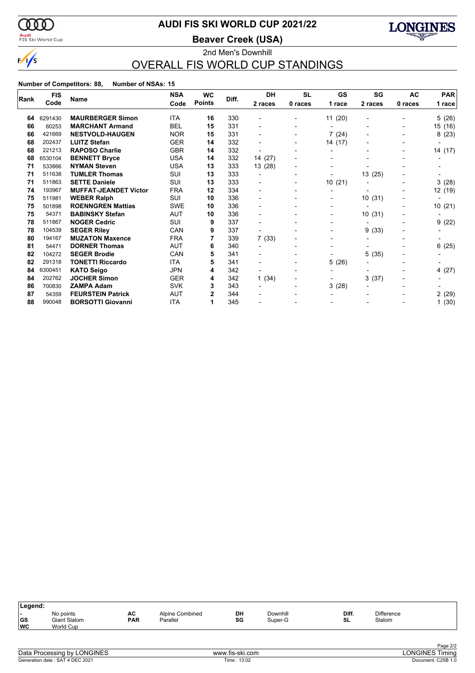

### <mark>Audi</mark><br>FIS Ski World Cup

# **AUDI FIS SKI WORLD CUP 2021/22**

**Beaver Creek (USA)**



### 2nd Men's Downhill OVERALL FIS WORLD CUP STANDINGS

| Rank | <b>FIS</b> | Name                         | <b>NSA</b> | <b>WC</b>     | Diff. | <b>DH</b> | <b>SL</b> | <b>GS</b>                | SG                       | <b>AC</b> | <b>PAR</b> |
|------|------------|------------------------------|------------|---------------|-------|-----------|-----------|--------------------------|--------------------------|-----------|------------|
|      | Code       |                              | Code       | <b>Points</b> |       | 2 races   | 0 races   | 1 race                   | 2 races                  | 0 races   | 1 race     |
|      |            |                              |            |               |       |           |           |                          |                          |           |            |
| 64   | 6291430    | <b>MAURBERGER Simon</b>      | <b>ITA</b> | 16            | 330   |           |           | 11(20)                   | $\overline{\phantom{0}}$ |           | 5(26)      |
| 66   | 60253      | <b>MARCHANT Armand</b>       | <b>BEL</b> | 15            | 331   |           | -         |                          |                          |           | 15 (16)    |
| 66   | 421669     | <b>NESTVOLD-HAUGEN</b>       | <b>NOR</b> | 15            | 331   |           | -         | 7(24)                    |                          |           | 8(23)      |
| 68   | 202437     | <b>LUITZ Stefan</b>          | <b>GER</b> | 14            | 332   |           | -         | 14 (17)                  |                          |           |            |
| 68   | 221213     | <b>RAPOSO Charlie</b>        | <b>GBR</b> | 14            | 332   |           |           |                          |                          |           | 14 (17)    |
| 68   | 6530104    | <b>BENNETT Bryce</b>         | <b>USA</b> | 14            | 332   | 14 (27)   |           |                          |                          |           |            |
| 71   | 533866     | <b>NYMAN Steven</b>          | <b>USA</b> | 13            | 333   | 13 (28)   | -         |                          |                          |           |            |
| 71   | 511638     | <b>TUMLER Thomas</b>         | <b>SUI</b> | 13            | 333   |           | -         |                          | 13 (25)                  |           |            |
| 71   | 511863     | <b>SETTE Daniele</b>         | SUI        | 13            | 333   |           | -         | 10(21)                   |                          |           | 3(28)      |
| 74   | 193967     | <b>MUFFAT-JEANDET Victor</b> | <b>FRA</b> | 12            | 334   |           |           | $\blacksquare$           |                          |           | 12 (19)    |
| 75   | 511981     | <b>WEBER Ralph</b>           | SUI        | 10            | 336   |           |           |                          | 10(31)                   |           |            |
| 75   | 501898     | <b>ROENNGREN Mattias</b>     | <b>SWE</b> | 10            | 336   |           | -         | $\overline{\phantom{0}}$ |                          |           | 10(21)     |
| 75   | 54371      | <b>BABINSKY Stefan</b>       | AUT        | 10            | 336   |           |           |                          | 10(31)                   |           |            |
| 78   | 511867     | <b>NOGER Cedric</b>          | SUI        | 9             | 337   |           |           |                          |                          |           | 9(22)      |
| 78   | 104539     | <b>SEGER Riley</b>           | CAN        | 9             | 337   |           |           | $\overline{\phantom{a}}$ | (33)<br>9                |           |            |
| 80   | 194167     | <b>MUZATON Maxence</b>       | <b>FRA</b> |               | 339   | 7(33)     |           |                          |                          |           |            |
| 81   | 54471      | <b>DORNER Thomas</b>         | AUT        | 6             | 340   |           |           |                          |                          |           | 6(25)      |
| 82   | 104272     | <b>SEGER Brodie</b>          | CAN        | 5             | 341   |           |           |                          | 5<br>(35)                |           |            |
| 82   | 291318     | <b>TONETTI Riccardo</b>      | <b>ITA</b> | 5             | 341   |           |           | 5(26)                    |                          |           |            |
| 84   | 6300451    | <b>KATO Seigo</b>            | <b>JPN</b> | 4             | 342   |           | ٠         | $\overline{\phantom{a}}$ |                          |           | 4 (27)     |
| 84   | 202762     | <b>JOCHER Simon</b>          | <b>GER</b> | 4             | 342   | 1(34)     | -         | $\overline{\phantom{a}}$ | 3<br>(37)                |           |            |
| 86   | 700830     | <b>ZAMPA Adam</b>            | <b>SVK</b> | 3             | 343   |           |           | 3(28)                    |                          |           |            |
| 87   | 54359      | <b>FEURSTEIN Patrick</b>     | AUT        | 2             | 344   |           |           |                          |                          |           | 2(29)      |
| 88   | 990048     | <b>BORSOTTI Giovanni</b>     | ITA        | 1             | 345   |           |           |                          |                          |           | 1(30)      |

| DH<br>Downhill<br><b>Difference</b><br>Diff.<br>No points<br><b>Alpine Combined</b><br>AC<br>. .<br> GS<br>SG<br><b>PAR</b><br>Parallel<br>SL<br>Slalom<br>Giant Slalom<br>Super-G | Legend:   |                  |  |  |  |  |
|------------------------------------------------------------------------------------------------------------------------------------------------------------------------------------|-----------|------------------|--|--|--|--|
|                                                                                                                                                                                    | <b>WC</b> | <b>World Cup</b> |  |  |  |  |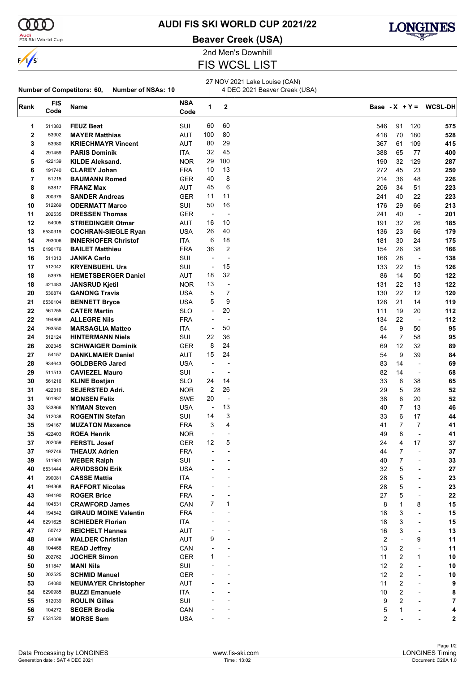

 $\mathbf{I}$ 

**Audi**<br>FIS Ski World Cup

**Number of Competitors: 60, Number of NSAs: 10**

### **AUDI FIS SKI WORLD CUP 2021/22**

**Beaver Creek (USA)**



2nd Men's Downhill FIS WCSL LIST

27 NOV 2021 Lake Louise (CAN)

4 DEC 2021 Beaver Creek (USA)

| Rank        | <b>FIS</b><br>Code | Name                         | <b>NSA</b><br>Code | 1                            | 2              |     |                |                          | Base - $X + Y = WCSL-DH$ |
|-------------|--------------------|------------------------------|--------------------|------------------------------|----------------|-----|----------------|--------------------------|--------------------------|
| 1           | 511383             | <b>FEUZ Beat</b>             | SUI                | 60                           | 60             | 546 | 91             | 120                      | 575                      |
| $\mathbf 2$ | 53902              | <b>MAYER Matthias</b>        | <b>AUT</b>         | 100                          | 80             | 418 | 70             | 180                      | 528                      |
| 3           | 53980              | <b>KRIECHMAYR Vincent</b>    | AUT                | 80                           | 29             | 367 | 61             | 109                      | 415                      |
| 4           | 291459             | <b>PARIS Dominik</b>         | ITA                | 32                           | 45             | 388 | 65             | 77                       | 400                      |
| 5           | 422139             | <b>KILDE Aleksand.</b>       | <b>NOR</b>         | 29                           | 100            | 190 | 32             | 129                      | 287                      |
| 6           | 191740             | <b>CLAREY Johan</b>          | <b>FRA</b>         | 10                           | 13             | 272 | 45             | 23                       | 250                      |
| 7           | 51215              | <b>BAUMANN Romed</b>         | <b>GER</b>         | 40                           | 8              | 214 | 36             | 48                       | 226                      |
| 8           | 53817              | <b>FRANZ Max</b>             | AUT                | 45                           | 6              | 206 | 34             | 51                       | 223                      |
| 8           | 200379             | <b>SANDER Andreas</b>        | <b>GER</b>         | 11                           | 11             | 241 | 40             | 22                       | 223                      |
| 10          | 512269             | <b>ODERMATT Marco</b>        | SUI                | 50                           | 16             | 176 | 29             | 66                       | 213                      |
| 11          | 202535             | <b>DRESSEN Thomas</b>        | <b>GER</b>         | $\qquad \qquad \blacksquare$ | $\overline{a}$ | 241 | 40             | $\blacksquare$           | 201                      |
| 12          | 54005              | <b>STRIEDINGER Otmar</b>     | AUT                | 16                           | 10             | 191 | 32             | 26                       | 185                      |
| 13          | 6530319            | <b>COCHRAN-SIEGLE Ryan</b>   | USA                | 26                           | 40             | 136 | 23             | 66                       | 179                      |
| 14          | 293006             | <b>INNERHOFER Christof</b>   | ITA                | 6                            | 18             | 181 | 30             | 24                       | 175                      |
| 15          | 6190176            | <b>BAILET Matthieu</b>       | <b>FRA</b>         | 36                           | $\overline{2}$ | 154 | 26             | 38                       | 166                      |
| 16          | 511313             | <b>JANKA Carlo</b>           | SUI                | ÷,                           | $\overline{a}$ | 166 | 28             | $\blacksquare$           | 138                      |
| 17          | 512042             | <b>KRYENBUEHL Urs</b>        | SUI                | $\blacksquare$               | 15             | 133 | 22             | 15                       | 126                      |
| 18          | 53975              | <b>HEMETSBERGER Daniel</b>   | AUT                | 18                           | 32             | 86  | 14             | 50                       | 122                      |
| 18          | 421483             | <b>JANSRUD Kjetil</b>        | <b>NOR</b>         | 13                           | $\overline{a}$ | 131 | 22             | 13                       | 122                      |
| 20          | 530874             | <b>GANONG Travis</b>         | <b>USA</b>         | 5                            | 7              | 130 | 22             | 12                       | 120                      |
| 21          | 6530104            | <b>BENNETT Bryce</b>         | <b>USA</b>         | 5                            | 9              | 126 | 21             | 14                       | 119                      |
| 22          | 561255             | <b>CATER Martin</b>          | <b>SLO</b>         | $\overline{\phantom{a}}$     | 20             | 111 | 19             | 20                       | 112                      |
| 22          | 194858             | <b>ALLEGRE Nils</b>          | <b>FRA</b>         | $\overline{\phantom{a}}$     |                | 134 | 22             | $\overline{\phantom{a}}$ | 112                      |
| 24          | 293550             | <b>MARSAGLIA Matteo</b>      | ITA                | $\overline{\phantom{a}}$     | 50             | 54  | 9              | 50                       | 95                       |
| 24          | 512124             | <b>HINTERMANN Niels</b>      | SUI                | 22                           | 36             | 44  | 7              | 58                       | 95                       |
| 26          | 202345             | <b>SCHWAIGER Dominik</b>     | <b>GER</b>         | 8                            | 24             | 69  | 12             | 32                       | 89                       |
| 27          | 54157              | <b>DANKLMAIER Daniel</b>     | AUT                | 15                           | 24             | 54  | 9              | 39                       | 84                       |
| 28          | 934643             | <b>GOLDBERG Jared</b>        | USA                | $\overline{\phantom{a}}$     |                | 83  | 14             | $\overline{\phantom{a}}$ | 69                       |
| 29          | 511513             | <b>CAVIEZEL Mauro</b>        | SUI                | $\overline{\phantom{a}}$     | $\overline{a}$ | 82  | 14             | $\blacksquare$           | 68                       |
| 30          | 561216             | <b>KLINE Bostjan</b>         | SLO                | 24                           | 14             | 33  | 6              | 38                       | 65                       |
| 31          | 422310             | <b>SEJERSTED Adri.</b>       | <b>NOR</b>         | 2                            | 26             | 29  | 5              | 28                       | 52                       |
| 31          | 501987             | <b>MONSEN Felix</b>          | SWE                | 20                           |                | 38  | 6              | 20                       | 52                       |
| 33          | 533866             | <b>NYMAN Steven</b>          | <b>USA</b>         | $\overline{\phantom{a}}$     | 13             | 40  | $\overline{7}$ | 13                       | 46                       |
| 34          | 512038             | <b>ROGENTIN Stefan</b>       | SUI                | 14                           | 3              | 33  | 6              | 17                       | 44                       |
| 35          | 194167             | <b>MUZATON Maxence</b>       | <b>FRA</b>         | 3                            | 4              | 41  | $\overline{7}$ | 7                        | 41                       |
| 35          | 422403             | <b>ROEA Henrik</b>           | <b>NOR</b>         | $\overline{\phantom{a}}$     |                | 49  | 8              | ÷,                       | 41                       |
| 37          | 202059             | <b>FERSTL Josef</b>          | <b>GER</b>         | 12                           | 5              | 24  | 4              | 17                       | 37                       |
| 37          | 192746             | <b>THEAUX Adrien</b>         | <b>FRA</b>         | $\overline{a}$               |                | 44  | 7              | $\overline{a}$           | 37                       |
| 39          | 511981             | <b>WEBER Ralph</b>           | SUI                |                              |                | 40  | 7              |                          | 33                       |
| 40          | 6531444            | <b>ARVIDSSON Erik</b>        | <b>USA</b>         |                              |                | 32  | 5              |                          | 27                       |
| 41          | 990081             | <b>CASSE Mattia</b>          | ITA                |                              |                | 28  | 5              | $\overline{a}$           | 23                       |
| 41          | 194368             | <b>RAFFORT Nicolas</b>       | <b>FRA</b>         |                              |                | 28  | 5              | $\overline{\phantom{a}}$ | 23                       |
| 43          | 194190             | <b>ROGER Brice</b>           | <b>FRA</b>         |                              |                | 27  | 5              | $\overline{\phantom{a}}$ | 22                       |
| 44          | 104531             | <b>CRAWFORD James</b>        | CAN                | 7                            | 1              | 8   | 1              | 8                        | 15                       |
| 44          | 194542             | <b>GIRAUD MOINE Valentin</b> | <b>FRA</b>         |                              |                | 18  | 3              | $\blacksquare$           | 15                       |
| 44          | 6291625            | <b>SCHIEDER Florian</b>      | ITA                |                              |                | 18  | 3              | $\overline{a}$           | 15                       |
| 47          | 50742              | <b>REICHELT Hannes</b>       | AUT                |                              |                | 16  | 3              | $\blacksquare$           | 13                       |
| 48          | 54009              | <b>WALDER Christian</b>      | AUT                | 9                            |                | 2   |                | 9                        | 11                       |
| 48          | 104468             | <b>READ Jeffrey</b>          | CAN                |                              |                | 13  | 2              |                          | 11                       |
| 50          | 202762             | <b>JOCHER Simon</b>          | <b>GER</b>         | 1                            |                | 11  | 2              | $\mathbf{1}$             | 10                       |
| 50          | 511847             | <b>MANI Nils</b>             | SUI                |                              |                | 12  | 2              | $\overline{a}$           | 10                       |
| 50          | 202525             | <b>SCHMID Manuel</b>         | <b>GER</b>         |                              |                | 12  | 2              | $\overline{a}$           | 10                       |
| 53          | 54080              | <b>NEUMAYER Christopher</b>  | AUT                |                              |                | 11  | 2              | $\overline{a}$           | 9                        |
| 54          | 6290985            | <b>BUZZI Emanuele</b>        | ITA                |                              |                | 10  | 2              |                          | 8                        |
| 55          | 512039             | <b>ROULIN Gilles</b>         | SUI                |                              |                | 9   | 2              |                          | 7                        |
| 56          | 104272             | <b>SEGER Brodie</b>          | CAN                |                              |                | 5   | 1              |                          | 4                        |
| 57          | 6531520            | <b>MORSE Sam</b>             | USA                |                              |                | 2   |                |                          | 2                        |
|             |                    |                              |                    |                              |                |     |                |                          |                          |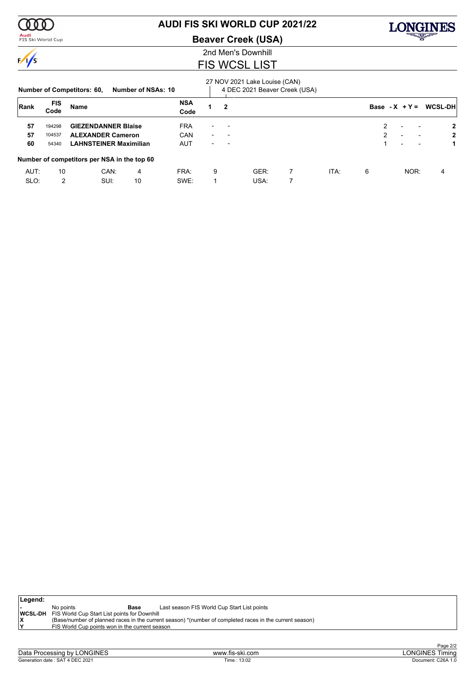

### <mark>Audi</mark><br>FIS Ski World Cup

# **AUDI FIS SKI WORLD CUP 2021/22**

**Beaver Creek (USA)**



### 2nd Men's Downhill FIS WCSL LIST

|      |                    | <b>Number of Competitors: 60,</b>           | Number of NSAs: 10 |                    |                          |              | 27 NOV 2021 Lake Louise (CAN)<br>4 DEC 2021 Beaver Creek (USA) |   |      |                  |                          |      |                |
|------|--------------------|---------------------------------------------|--------------------|--------------------|--------------------------|--------------|----------------------------------------------------------------|---|------|------------------|--------------------------|------|----------------|
| Rank | <b>FIS</b><br>Code | <b>Name</b>                                 |                    | <b>NSA</b><br>Code |                          | $\mathbf{2}$ |                                                                |   |      | Base - $X + Y =$ |                          |      | <b>WCSL-DH</b> |
| 57   | 194298             | <b>GIEZENDANNER Blaise</b>                  |                    | <b>FRA</b>         | $\overline{\phantom{0}}$ |              |                                                                |   |      | $\mathcal{P}$    | $\overline{\phantom{0}}$ |      | $\mathbf{2}$   |
| 57   | 104537             | <b>ALEXANDER Cameron</b>                    |                    | CAN                | $\blacksquare$           |              |                                                                |   |      | 2                | $\overline{\phantom{0}}$ |      | $\mathbf{2}$   |
| 60   | 54340              | <b>LAHNSTEINER Maximilian</b>               |                    | AUT                | $\overline{\phantom{0}}$ |              |                                                                |   |      |                  | $\overline{\phantom{0}}$ |      |                |
|      |                    | Number of competitors per NSA in the top 60 |                    |                    |                          |              |                                                                |   |      |                  |                          |      |                |
| AUT: | 10                 | CAN:                                        | 4                  | FRA:               | 9                        |              | GER:                                                           | 7 | ITA: | 6                |                          | NOR: | 4              |
| SLO: | 2                  | SUI:                                        | 10                 | SWE:               |                          |              | USA:                                                           |   |      |                  |                          |      |                |

| ∣Legend: |                                                             |                                                                                                         |
|----------|-------------------------------------------------------------|---------------------------------------------------------------------------------------------------------|
|          | No points<br>Base                                           | Last season FIS World Cup Start List points                                                             |
|          | <b>WCSL-DH</b> FIS World Cup Start List points for Downhill |                                                                                                         |
|          |                                                             | (Base/number of planned races in the current season) *(number of completed races in the current season) |
|          | FIS World Cup points won in the current season              |                                                                                                         |
|          |                                                             |                                                                                                         |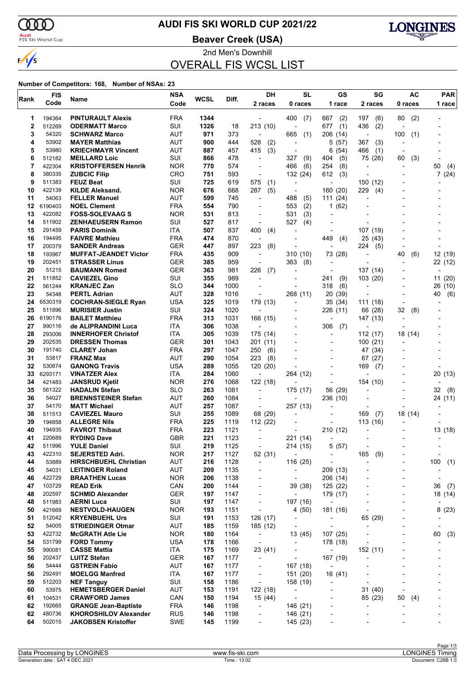$\alpha\alpha$ 

 $\sqrt{s}$ 

# **AUDI FIS SKI WORLD CUP 2021/22**

<mark>Audi</mark><br>FIS Ski World Cup

**Beaver Creek (USA)**



2nd Men's Downhill OVERALL FIS WCSL LIST

| Rank        | <b>FIS</b>       | Name                                                    | <b>NSA</b>               | <b>WCSL</b> | Diff.        | DH                                                   | <b>SL</b>                            | <b>GS</b>                            | SG                                         | AC                       | <b>PAR</b>        |
|-------------|------------------|---------------------------------------------------------|--------------------------|-------------|--------------|------------------------------------------------------|--------------------------------------|--------------------------------------|--------------------------------------------|--------------------------|-------------------|
|             | Code             |                                                         | Code                     |             |              | 2 races                                              | 0 races                              | 1 race                               | 2 races                                    | 0 races                  | 1 race            |
| 1           | 194364           | <b>PINTURAULT Alexis</b>                                | <b>FRA</b>               | 1344        |              |                                                      | 400<br>(7)                           | 667<br>(2)                           | 197<br>(6)                                 | (2)<br>80                |                   |
| $\mathbf 2$ | 512269           | <b>ODERMATT Marco</b>                                   | SUI                      | 1326        | 18           | 213 (10)                                             | $\overline{\phantom{a}}$             | (1)<br>677                           | 436<br>(2)                                 |                          |                   |
| 3           | 54320            | <b>SCHWARZ Marco</b>                                    | AUT                      | 971         | 373          | $\overline{\phantom{a}}$                             | 665<br>(1)                           | 206 (14)                             | $\overline{\phantom{a}}$                   | 100<br>(1)               |                   |
| 4           | 53902            | <b>MAYER Matthias</b>                                   | AUT                      | 900         | 444          | 528<br>(2)                                           | $\overline{a}$                       | (57)<br>5                            | 367<br>(3)                                 |                          |                   |
| 5<br>6      | 53980<br>512182  | <b>KRIECHMAYR Vincent</b><br><b>MEILLARD Loic</b>       | AUT<br>SUI               | 887<br>866  | 457<br>478   | 415<br>(3)<br>÷,                                     | $\blacksquare$<br>327                | (54)<br>6<br>404                     | 466<br>(1)                                 | $\blacksquare$           |                   |
| 7           | 422304           | <b>KRISTOFFERSEN Henrik</b>                             | <b>NOR</b>               | 770         | 574          | $\blacksquare$                                       | (9)<br>(6)<br>466                    | (5)<br>254<br>(8)                    | 75 (26)                                    | 60<br>(3)                | 50<br>(4)         |
| 8           | 380335           | <b>ZUBCIC Filip</b>                                     | CRO                      | 751         | 593          | $\overline{a}$                                       | 132 (24)                             | 612<br>(3)                           |                                            |                          | 7(24)             |
| 9           | 511383           | <b>FEUZ Beat</b>                                        | SUI                      | 725         | 619          | 575<br>(1)                                           | ÷                                    | $\overline{a}$                       | 150 (12)                                   |                          |                   |
| 10          | 422139           | <b>KILDE Aleksand.</b>                                  | <b>NOR</b>               | 676         | 668          | 287<br>(5)                                           | $\blacksquare$                       | (20)<br>160                          | 229<br>(4)                                 |                          |                   |
| 11          | 54063            | <b>FELLER Manuel</b>                                    | <b>AUT</b>               | 599         | 745          | $\overline{a}$                                       | 488<br>(5)                           | (24)<br>111                          | L,                                         |                          |                   |
| 12          | 6190403          | <b>NOEL Clement</b>                                     | <b>FRA</b>               | 554         | 790          | ÷,                                                   | 553<br>(2)                           | (62)<br>$\mathbf{1}$                 |                                            |                          |                   |
| 13<br>14    | 422082<br>511902 | <b>FOSS-SOLEVAAG S</b><br><b>ZENHAEUSERN Ramon</b>      | <b>NOR</b><br>SUI        | 531<br>527  | 813<br>817   | $\blacksquare$<br>$\blacksquare$                     | 531<br>(3)<br>527<br>(4)             | $\overline{\phantom{a}}$             |                                            |                          |                   |
| 15          | 291459           | <b>PARIS Dominik</b>                                    | ITA.                     | 507         | 837          | 400<br>(4)                                           |                                      | $\overline{a}$                       | 107 (19)                                   |                          |                   |
| 16          | 194495           | <b>FAIVRE Mathieu</b>                                   | <b>FRA</b>               | 474         | 870          |                                                      |                                      | 449<br>(4)                           | 25 (43)                                    |                          |                   |
| 17          | 200379           | <b>SANDER Andreas</b>                                   | <b>GER</b>               | 447         | 897          | 223<br>(8)                                           | $\overline{a}$                       | $\overline{\phantom{a}}$             | 224<br>(5)                                 | $\blacksquare$           |                   |
| 18          | 193967           | <b>MUFFAT-JEANDET Victor</b>                            | <b>FRA</b>               | 435         | 909          | $\overline{\phantom{a}}$                             | 310 (10)                             | 73 (28)                              | Ĭ.                                         | 40<br>(6)                | 12 (19)           |
| 19          | 202451           | <b>STRASSER Linus</b>                                   | <b>GER</b>               | 385         | 959          | $\overline{\phantom{a}}$                             | 363<br>(8)                           |                                      |                                            |                          | 22 (12)           |
| 20          | 51215            | <b>BAUMANN Romed</b>                                    | <b>GER</b>               | 363         | 981          | 226<br>(7)                                           |                                      | ÷,                                   | 137 (14)                                   |                          |                   |
| 21<br>22    | 511852<br>561244 | <b>CAVIEZEL Gino</b><br><b>KRANJEC Zan</b>              | SUI<br><b>SLO</b>        | 355<br>344  | 989<br>1000  |                                                      | $\overline{a}$                       | 241<br>(9)<br>318<br>(6)             | 103 (20)                                   |                          | 11(20)<br>26 (10) |
| 23          | 54348            | <b>PERTL Adrian</b>                                     | <b>AUT</b>               | 328         | 1016         | $\overline{a}$                                       | 268 (11)                             | 20<br>(39)                           |                                            |                          | 40<br>(6)         |
| 24          | 6530319          | <b>COCHRAN-SIEGLE Ryan</b>                              | <b>USA</b>               | 325         | 1019         | 179 (13)                                             | $\overline{a}$                       | 35<br>(34)                           | 111 (18)                                   | $\blacksquare$           |                   |
| 25          | 511896           | <b>MURISIER Justin</b>                                  | SUI                      | 324         | 1020         | $\overline{\phantom{a}}$                             |                                      | 226 (11)                             | 66 (28)                                    | 32<br>(8)                |                   |
| 26          | 6190176          | <b>BAILET Matthieu</b>                                  | <b>FRA</b>               | 313         | 1031         | 166 (15)                                             |                                      |                                      | 147 (13)                                   | $\overline{\phantom{a}}$ |                   |
| 27          | 990116           | de ALIPRANDINI Luca                                     | ITA                      | 306         | 1038         |                                                      | $\overline{\phantom{a}}$             | 306<br>(7)                           |                                            |                          |                   |
| 28          | 293006           | <b>INNERHOFER Christof</b>                              | ITA                      | 305         | 1039         | 175 (14)                                             |                                      |                                      | 112 (17)                                   | 18 (14)                  |                   |
| 29<br>30    | 202535<br>191740 | <b>DRESSEN Thomas</b><br><b>CLAREY Johan</b>            | <b>GER</b><br><b>FRA</b> | 301<br>297  | 1043<br>1047 | 201 (11)<br>250<br>(6)                               | $\overline{a}$                       | $\overline{a}$<br>$\overline{a}$     | 100(21)<br>47 (34)                         |                          |                   |
| 31          | 53817            | <b>FRANZ Max</b>                                        | AUT                      | 290         | 1054         | 223<br>(8)                                           |                                      |                                      | 67(27)                                     |                          |                   |
| 32          | 530874           | <b>GANONG Travis</b>                                    | <b>USA</b>               | 289         | 1055         | 120 (20)                                             |                                      |                                      | 169<br>(7)                                 |                          |                   |
| 33          | 6293171          | <b>VINATZER Alex</b>                                    | ITA.                     | 284         | 1060         | $\overline{\phantom{a}}$                             | 264 (12)                             | $\overline{\phantom{a}}$             |                                            |                          | 20 (13)           |
| 34          | 421483           | <b>JANSRUD Kjetil</b>                                   | <b>NOR</b>               | 276         | 1068         | 122 (18)                                             |                                      |                                      | 154 (10)                                   |                          |                   |
| 35          | 561322           | <b>HADALIN Stefan</b>                                   | <b>SLO</b>               | 263         | 1081         | $\overline{\phantom{a}}$                             | 175 (17)                             | 56 (29)                              | $\blacksquare$                             |                          | 32<br>(8)         |
| 36<br>37    | 54027<br>54170   | <b>BRENNSTEINER Stefan</b><br><b>MATT Michael</b>       | AUT<br>AUT               | 260<br>257  | 1084<br>1087 | $\overline{a}$                                       | 257 (13)                             | 236 (10)                             | $\overline{a}$<br>$\overline{\phantom{a}}$ |                          | 24 (11)           |
| 38          | 511513           | <b>CAVIEZEL Mauro</b>                                   | SUI                      | 255         | 1089         | $\overline{\phantom{a}}$<br>68 (29)                  | $\overline{a}$                       | $\overline{a}$                       | 169<br>(7)                                 | 18 (14)                  |                   |
| 39          | 194858           | <b>ALLEGRE Nils</b>                                     | <b>FRA</b>               | 225         | 1119         | 112 (22)                                             | $\overline{\phantom{a}}$             |                                      | 113(16)                                    |                          |                   |
| 40          | 194935           | <b>FAVROT Thibaut</b>                                   | <b>FRA</b>               | 223         | 1121         |                                                      |                                      | 210 (12)                             |                                            |                          | 13 (18)           |
| 41          | 220689           | <b>RYDING Dave</b>                                      | <b>GBR</b>               | 221         | 1123         |                                                      | 221 (14)                             | ٠                                    |                                            |                          |                   |
| 42          | 511996           | <b>YULE Daniel</b>                                      | SUI                      | 219         | 1125         | $\overline{a}$                                       | 214 (15)                             | 5<br>(57)                            |                                            |                          |                   |
| 43          | 422310           | <b>SEJERSTED Adri.</b>                                  | <b>NOR</b>               | 217         | 1127         | 52 (31)                                              | $\overline{a}$                       |                                      | 165<br>(9)                                 |                          | $\overline{a}$    |
| 44<br>45    | 53889<br>54031   | <b>HIRSCHBUEHL Christian</b><br><b>LEITINGER Roland</b> | AUT<br>AUT               | 216<br>209  | 1128<br>1135 | $\overline{\phantom{a}}$<br>$\overline{\phantom{a}}$ | 116 (25)<br>$\overline{\phantom{a}}$ | $\overline{\phantom{0}}$<br>209 (13) | L,                                         | $\overline{\phantom{a}}$ | 100<br>(1)        |
| 46          | 422729           | <b>BRAATHEN Lucas</b>                                   | <b>NOR</b>               | 206         | 1138         |                                                      | $\overline{\phantom{a}}$             | 206 (14)                             |                                            |                          | $\overline{a}$    |
| 47          | 103729           | <b>READ Erik</b>                                        | CAN                      | 200         | 1144         | $\overline{\phantom{a}}$                             | 39 (38)                              | 125 (22)                             | $\overline{a}$                             |                          | 36<br>(7)         |
| 48          | 202597           | <b>SCHMID Alexander</b>                                 | <b>GER</b>               | 197         | 1147         | $\overline{\phantom{a}}$                             | $\overline{a}$                       | 179 (17)                             | $\overline{a}$                             | $\overline{\phantom{a}}$ | 18 (14)           |
| 48          | 511983           | <b>AERNI Luca</b>                                       | SUI                      | 197         | 1147         | $\overline{\phantom{a}}$                             | 197 (16)                             | $\overline{\phantom{a}}$             |                                            |                          |                   |
| 50          | 421669           | <b>NESTVOLD-HAUGEN</b>                                  | <b>NOR</b>               | 193         | 1151         | $\overline{\phantom{a}}$                             | 4 (50)                               | 181 (16)                             | $\overline{a}$                             |                          | 8(23)             |
| 51          | 512042           | <b>KRYENBUEHL Urs</b>                                   | SUI                      | 191         | 1153         | 126 (17)                                             | $\overline{\phantom{a}}$             | $\qquad \qquad \blacksquare$         | 65 (29)                                    |                          |                   |
| 52<br>53    | 54005<br>422732  | <b>STRIEDINGER Otmar</b><br><b>McGRATH Atle Lie</b>     | <b>AUT</b><br><b>NOR</b> | 185<br>180  | 1159<br>1164 | 185 (12)<br>$\overline{\phantom{a}}$                 | $\overline{\phantom{a}}$<br>13 (45)  | $\overline{\phantom{a}}$<br>107 (25) | $\overline{\phantom{a}}$                   |                          | 60                |
| 54          | 531799           | <b>FORD Tommy</b>                                       | <b>USA</b>               | 178         | 1166         | $\overline{\phantom{a}}$                             | $\overline{\phantom{a}}$             | 178 (18)                             |                                            |                          | (3)               |
| 55          | 990081           | <b>CASSE Mattia</b>                                     | ITA                      | 175         | 1169         | 23 (41)                                              | $\overline{\phantom{a}}$             | $\overline{\phantom{a}}$             | 152 (11)                                   |                          |                   |
| 56          | 202437           | <b>LUITZ Stefan</b>                                     | <b>GER</b>               | 167         | 1177         | $\overline{\phantom{a}}$                             | $\overline{\phantom{a}}$             | 167 (19)                             | -                                          |                          |                   |
| 56          | 54444            | <b>GSTREIN Fabio</b>                                    | <b>AUT</b>               | 167         | 1177         | $\overline{\phantom{a}}$                             | 167 (18)                             | $\overline{\phantom{a}}$             |                                            |                          |                   |
| 56          | 292491           | <b>MOELGG Manfred</b>                                   | ITA                      | 167         | 1177         | $\overline{\phantom{a}}$                             | 151 (20)                             | 16 (41)                              |                                            |                          |                   |
| 59          | 512203           | <b>NEF Tanguy</b>                                       | SUI                      | 158         | 1186         | $\overline{\phantom{a}}$                             | 158 (19)                             |                                      | $\overline{a}$                             |                          |                   |
| 60          | 53975            | <b>HEMETSBERGER Daniel</b>                              | <b>AUT</b>               | 153         | 1191         | 122 (18)                                             | $\overline{a}$                       | $\overline{\phantom{0}}$             | 31 (40)                                    | $\overline{\phantom{a}}$ |                   |
| 61<br>62    | 104531<br>192665 | <b>CRAWFORD James</b><br><b>GRANGE Jean-Baptiste</b>    | CAN<br><b>FRA</b>        | 150<br>146  | 1194<br>1198 | 15 (44)<br>$\overline{\phantom{a}}$                  | $\overline{a}$<br>146 (21)           | $\overline{\phantom{0}}$             | 85 (23)<br>$\overline{a}$                  | 50<br>(4)                | -                 |
| 62          | 480736           | <b>KHOROSHILOV Alexander</b>                            | <b>RUS</b>               | 146         | 1198         | $\overline{\phantom{a}}$                             | 146 (21)                             |                                      | ÷,                                         |                          |                   |
| 64          | 502015           | <b>JAKOBSEN Kristoffer</b>                              | SWE                      | 145         | 1199         | $\overline{a}$                                       | 145 (23)                             |                                      |                                            |                          |                   |
|             |                  |                                                         |                          |             |              |                                                      |                                      |                                      |                                            |                          |                   |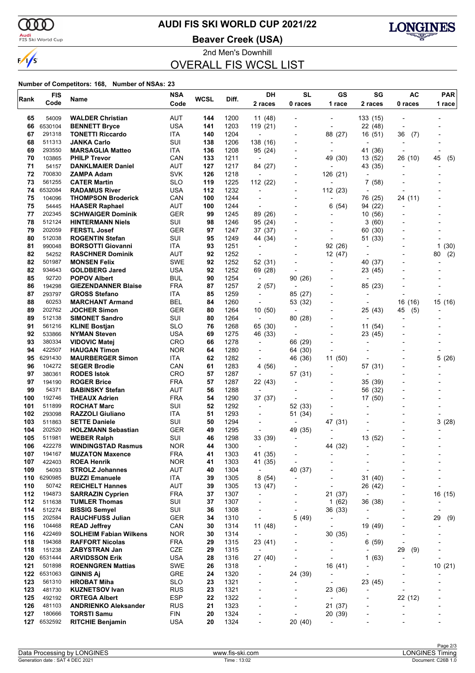

# **AUDI FIS SKI WORLD CUP 2021/22**

<mark>Audi</mark><br>FIS Ski World Cup

**Beaver Creek (USA)**



2nd Men's Downhill OVERALL FIS WCSL LIST

|            | <b>FIS</b>       |                                                         | <b>NSA</b>               | <b>WCSL</b> | Diff.        | DH                                  | <b>SL</b>                                  | GS                                                       | SG                                  | <b>AC</b>                | <b>PAR</b>               |
|------------|------------------|---------------------------------------------------------|--------------------------|-------------|--------------|-------------------------------------|--------------------------------------------|----------------------------------------------------------|-------------------------------------|--------------------------|--------------------------|
| Rank       | Code             | Name                                                    | Code                     |             |              | 2 races                             | 0 races                                    | 1 race                                                   | 2 races                             | 0 races                  | 1 race                   |
|            |                  |                                                         |                          |             |              |                                     |                                            |                                                          |                                     |                          |                          |
| 65         | 54009            | <b>WALDER Christian</b>                                 | AUT                      | 144         | 1200         | 11 (48)                             |                                            | $\overline{a}$                                           | 133 (15)                            |                          |                          |
| 66         | 6530104          | <b>BENNETT Bryce</b>                                    | <b>USA</b>               | 141         | 1203         | 119 (21)                            | $\overline{\phantom{a}}$                   | $\overline{\phantom{a}}$                                 | 22 (48)                             | $\overline{\phantom{a}}$ |                          |
| 67         | 291318           | <b>TONETTI Riccardo</b>                                 | ITA                      | 140         | 1204         | $\overline{\phantom{a}}$            |                                            | 88 (27)                                                  | 16 (51)                             | 36<br>(7)                |                          |
| 68<br>69   | 511313<br>293550 | <b>JANKA Carlo</b><br><b>MARSAGLIA Matteo</b>           | SUI<br>ITA.              | 138<br>136  | 1206<br>1208 | 138 (16)<br>95 (24)                 | $\overline{\phantom{a}}$<br>$\blacksquare$ | $\qquad \qquad \blacksquare$<br>$\overline{\phantom{a}}$ | $\overline{\phantom{a}}$<br>41 (36) | $\overline{\phantom{a}}$ |                          |
| 70         | 103865           | <b>PHILP Trevor</b>                                     | CAN                      | 133         | 1211         | $\overline{\phantom{a}}$            |                                            | 49 (30)                                                  | 13 (52)                             | 26 (10)                  | 45<br>(5)                |
| 71         | 54157            | <b>DANKLMAIER Daniel</b>                                | <b>AUT</b>               | 127         | 1217         | 84 (27)                             | $\overline{\phantom{a}}$                   |                                                          | 43 (35)                             |                          |                          |
| 72         | 700830           | ZAMPA Adam                                              | <b>SVK</b>               | 126         | 1218         | ÷                                   | $\overline{\phantom{a}}$                   | 126 (21)                                                 |                                     |                          |                          |
| 73         | 561255           | <b>CATER Martin</b>                                     | <b>SLO</b>               | 119         | 1225         | 112 (22)                            |                                            |                                                          | 7 (58)                              |                          |                          |
| 74         | 6532084          | <b>RADAMUS River</b>                                    | <b>USA</b>               | 112         | 1232         | $\overline{\phantom{a}}$            | $\overline{\phantom{a}}$                   | 112(23)                                                  | L,                                  | $\overline{\phantom{a}}$ |                          |
| 75         | 104096           | <b>THOMPSON Broderick</b>                               | CAN                      | 100         | 1244         | $\blacksquare$                      | $\blacksquare$                             | $\overline{\phantom{a}}$                                 | 76 (25)                             | 24 (11)                  |                          |
| 75         | 54445            | <b>HAASER Raphael</b>                                   | AUT                      | 100         | 1244         | $\overline{\phantom{a}}$            |                                            | (54)<br>6                                                | 94 (22)                             |                          |                          |
| 77         | 202345           | <b>SCHWAIGER Dominik</b>                                | <b>GER</b>               | 99          | 1245         | 89 (26)                             | $\blacksquare$                             | $\blacksquare$                                           | 10(56)                              |                          |                          |
| 78         | 512124           | <b>HINTERMANN Niels</b>                                 | SUI                      | 98          | 1246         | 95 (24)                             | $\overline{a}$                             | $\overline{\phantom{0}}$                                 | 3 (60)                              |                          |                          |
| 79         | 202059           | <b>FERSTL Josef</b>                                     | <b>GER</b>               | 97          | 1247         | 37 (37)                             |                                            |                                                          | 60 (30)                             |                          |                          |
| 80         | 512038           | <b>ROGENTIN Stefan</b>                                  | SUI                      | 95          | 1249         | 44 (34)                             | $\overline{\phantom{a}}$                   | $\overline{\phantom{a}}$                                 | 51 (33)                             |                          |                          |
| 81         | 990048           | <b>BORSOTTI Giovanni</b>                                | ITA.                     | 93          | 1251         | $\overline{a}$                      |                                            | 92 (26)                                                  | $\overline{a}$                      |                          | 1<br>(30)                |
| 82         | 54252            | <b>RASCHNER Dominik</b>                                 | AUT                      | 92          | 1252         | $\overline{\phantom{a}}$            |                                            | 12 (47)                                                  | ٠                                   |                          | (2)<br>80                |
| 82         | 501987           | <b>MONSEN Felix</b>                                     | <b>SWE</b>               | 92          | 1252         | 52 (31)                             | $\overline{\phantom{a}}$                   | $\blacksquare$                                           | 40 (37)                             |                          |                          |
| 82         | 934643           | <b>GOLDBERG Jared</b>                                   | <b>USA</b>               | 92          | 1252         | 69 (28)                             | $\blacksquare$                             | $\overline{\phantom{0}}$                                 | 23 (45)                             |                          |                          |
| 85         | 92720            | <b>POPOV Albert</b>                                     | <b>BUL</b>               | 90          | 1254         | $\overline{a}$                      | 90 (26)                                    |                                                          | ٠                                   |                          |                          |
| 86         | 194298           | <b>GIEZENDANNER Blaise</b>                              | <b>FRA</b>               | 87          | 1257         | 2(57)                               | $\overline{a}$                             | $\overline{\phantom{a}}$                                 | 85 (23)                             |                          |                          |
| 87         | 293797           | <b>GROSS Stefano</b>                                    | ITA                      | 85          | 1259         | $\overline{\phantom{a}}$            | 85 (27)                                    | $\overline{\phantom{a}}$                                 | $\overline{a}$                      |                          |                          |
| 88         | 60253            | <b>MARCHANT Armand</b>                                  | <b>BEL</b>               | 84          | 1260         | $\overline{\phantom{a}}$            | 53 (32)                                    |                                                          |                                     | 16<br>(16)               | 15 (16)                  |
| 89         | 202762           | <b>JOCHER Simon</b>                                     | <b>GER</b>               | 80          | 1264         | 10 (50)                             | $\blacksquare$                             | $\blacksquare$                                           | 25 (43)                             | 45<br>(5)                |                          |
| 89         | 512138           | <b>SIMONET Sandro</b>                                   | SUI                      | 80          | 1264         | $\overline{\phantom{a}}$            | 80 (28)                                    | $\overline{\phantom{0}}$                                 |                                     |                          |                          |
| 91         | 561216           | <b>KLINE Bostjan</b>                                    | <b>SLO</b>               | 76          | 1268         | 65 (30)                             | $\overline{\phantom{a}}$                   |                                                          | 11 (54)                             |                          |                          |
| 92         | 533866           | <b>NYMAN Steven</b>                                     | <b>USA</b>               | 69          | 1275         | 46 (33)                             | $\overline{\phantom{a}}$                   | $\overline{\phantom{a}}$                                 | 23 (45)                             |                          |                          |
| 93         | 380334           | <b>VIDOVIC Matej</b>                                    | <b>CRO</b>               | 66          | 1278         | $\overline{\phantom{a}}$            | 66 (29)                                    | ٠                                                        | $\overline{a}$                      |                          |                          |
| 94         | 422507           | <b>HAUGAN Timon</b>                                     | <b>NOR</b>               | 64          | 1280         |                                     | 64 (30)                                    |                                                          |                                     |                          |                          |
| 95         | 6291430          | <b>MAURBERGER Simon</b>                                 | ITA                      | 62          | 1282         | $\blacksquare$                      | 46 (36)                                    | 11(50)                                                   |                                     |                          | 5(26)                    |
| 96<br>97   | 104272<br>380361 | <b>SEGER Brodie</b><br><b>RODES Istok</b>               | CAN<br><b>CRO</b>        | 61<br>57    | 1283<br>1287 | 4 (56)                              |                                            | $\overline{\phantom{0}}$                                 | 57 (31)                             |                          |                          |
| 97         | 194190           | <b>ROGER Brice</b>                                      | <b>FRA</b>               | 57          | 1287         | $\overline{a}$<br>22 (43)           | 57 (31)<br>$\overline{\phantom{a}}$        | $\overline{\phantom{0}}$                                 | 35 (39)                             |                          |                          |
| 99         | 54371            | <b>BABINSKY Stefan</b>                                  | <b>AUT</b>               | 56          | 1288         | $\overline{\phantom{a}}$            | $\overline{\phantom{a}}$                   | $\overline{\phantom{a}}$                                 | 56 (32)                             |                          |                          |
| 100        | 192746           | <b>THEAUX Adrien</b>                                    | <b>FRA</b>               | 54          | 1290         | 37 (37)                             | $\blacksquare$                             |                                                          | 17 (50)                             |                          |                          |
| 101        | 511899           | <b>ROCHAT Marc</b>                                      | SUI                      | 52          | 1292         | $\overline{\phantom{a}}$            | 52 (33)                                    | $\overline{a}$                                           |                                     |                          |                          |
| 102        | 293098           | <b>RAZZOLI Giuliano</b>                                 | ITA                      | 51          | 1293         | $\overline{\phantom{a}}$            | 51 (34)                                    |                                                          |                                     |                          |                          |
| 103        | 511863           | <b>SETTE Daniele</b>                                    | SUI                      | 50          | 1294         |                                     |                                            | 47 (31)                                                  |                                     |                          | 3(28)                    |
| 104        | 202520           | <b>HOLZMANN Sebastian</b>                               | <b>GER</b>               | 49          | 1295         | $\overline{\phantom{a}}$            | 49 (35)                                    |                                                          |                                     |                          |                          |
| 105        | 511981           | <b>WEBER Ralph</b>                                      | SUI                      | 46          | 1298         | 33 (39)                             | $\overline{\phantom{a}}$                   |                                                          | 13 (52)                             |                          |                          |
| 106        | 422278           | <b>WINDINGSTAD Rasmus</b>                               | <b>NOR</b>               | 44          | 1300         | $\overline{\phantom{a}}$            |                                            | 44 (32)                                                  | ٠                                   |                          |                          |
| 107        | 194167           | <b>MUZATON Maxence</b>                                  | <b>FRA</b>               | 41          | 1303         | 41 (35)                             | $\overline{\phantom{a}}$                   |                                                          | $\overline{a}$                      |                          |                          |
| 107        | 422403           | <b>ROEA Henrik</b>                                      | <b>NOR</b>               | 41          | 1303         | 41 (35)                             |                                            |                                                          | ٠                                   |                          |                          |
| 109        | 54093            | <b>STROLZ Johannes</b>                                  | <b>AUT</b>               | 40          | 1304         | $\overline{\phantom{a}}$            | 40 (37)                                    |                                                          | Ĭ.                                  |                          |                          |
| 110        | 6290985          | <b>BUZZI Emanuele</b>                                   | ITA                      | 39          | 1305         | 8(54)                               | $\overline{\phantom{a}}$                   | $\overline{\phantom{a}}$                                 | 31 (40)                             |                          | $\overline{a}$           |
| 110        | 50742            | <b>REICHELT Hannes</b>                                  | <b>AUT</b>               | 39          | 1305         | 13 (47)                             |                                            | $\overline{a}$                                           | 26 (42)                             |                          | $\overline{\phantom{a}}$ |
| 112        | 194873           | <b>SARRAZIN Cyprien</b>                                 | <b>FRA</b>               | 37          | 1307         | $\overline{a}$                      |                                            | 21 (37)                                                  | $\overline{\phantom{a}}$            |                          | 16 (15)                  |
| 112        | 511638           | <b>TUMLER Thomas</b>                                    | SUI                      | 37          | 1307         | -                                   | -                                          | 1(62)                                                    | 36 (38)                             |                          |                          |
| 114        | 512274           | <b>BISSIG Semyel</b>                                    | SUI                      | 36          | 1308         | $\overline{a}$                      | $\overline{\phantom{a}}$                   | 36 (33)                                                  | $\overline{\phantom{a}}$            |                          | $\overline{\phantom{a}}$ |
| 115        | 202584           | <b>RAUCHFUSS Julian</b>                                 | GER<br>CAN               | 34<br>30    | 1310         | $\overline{\phantom{a}}$            | 5(49)<br>$\blacksquare$                    |                                                          | $\blacksquare$                      |                          | 29<br>(9)                |
| 116        | 104468<br>422469 | <b>READ Jeffrey</b>                                     |                          |             | 1314         | 11 (48)<br>$\overline{\phantom{a}}$ |                                            | $\overline{\phantom{0}}$                                 | 19 (49)                             | $\overline{\phantom{a}}$ |                          |
| 116<br>118 | 194368           | <b>SOLHEIM Fabian Wilkens</b><br><b>RAFFORT Nicolas</b> | <b>NOR</b><br><b>FRA</b> | 30<br>29    | 1314<br>1315 | 23 (41)                             |                                            | 30 (35)                                                  | 6(59)                               |                          |                          |
| 118        | 151238           | <b>ZABYSTRAN Jan</b>                                    | CZE                      | 29          | 1315         | $\overline{\phantom{a}}$            |                                            | $\qquad \qquad \blacksquare$                             | $\overline{a}$                      | 29                       |                          |
| 120        | 6531444          | <b>ARVIDSSON Erik</b>                                   | <b>USA</b>               | 28          | 1316         | 27 (40)                             |                                            | $\overline{\phantom{a}}$                                 | 1(63)                               | (9)<br>$\overline{a}$    | $\overline{\phantom{0}}$ |
| 121        | 501898           | <b>ROENNGREN Mattias</b>                                | SWE                      | 26          | 1318         | $\overline{a}$                      |                                            | 16 (41)                                                  | $\overline{a}$                      |                          | 10(21)                   |
| 122        | 6531063          | <b>GINNIS Aj</b>                                        | GRE                      | 24          | 1320         | $\overline{\phantom{a}}$            | 24 (39)                                    | $\overline{\phantom{a}}$                                 | $\overline{\phantom{a}}$            |                          |                          |
| 123        | 561310           | <b>HROBAT Miha</b>                                      | <b>SLO</b>               | 23          | 1321         | $\overline{a}$                      |                                            | $\overline{\phantom{a}}$                                 | 23 (45)                             |                          |                          |
| 123        | 481730           | <b>KUZNETSOV Ivan</b>                                   | <b>RUS</b>               | 23          | 1321         |                                     |                                            | 23 (36)                                                  |                                     |                          |                          |
| 125        | 492192           | <b>ORTEGA Albert</b>                                    | <b>ESP</b>               | 22          | 1322         | -                                   | $\overline{a}$                             | $\overline{\phantom{0}}$                                 | $\overline{a}$                      | 22 (12)                  | -                        |
| 126        | 481103           | <b>ANDRIENKO Aleksander</b>                             | <b>RUS</b>               | 21          | 1323         | $\overline{a}$                      |                                            | 21 (37)                                                  | ٠                                   | $\overline{a}$           |                          |
| 127        | 180666           | <b>TORSTI Samu</b>                                      | <b>FIN</b>               | 20          | 1324         | -                                   |                                            | 20 (39)                                                  |                                     |                          |                          |
| 127        | 6532592          | <b>RITCHIE Benjamin</b>                                 | <b>USA</b>               | 20          | 1324         | $\overline{\phantom{a}}$            | 20 (40)                                    | $\overline{a}$                                           | $\overline{\phantom{0}}$            |                          | $\overline{\phantom{0}}$ |
|            |                  |                                                         |                          |             |              |                                     |                                            |                                                          |                                     |                          |                          |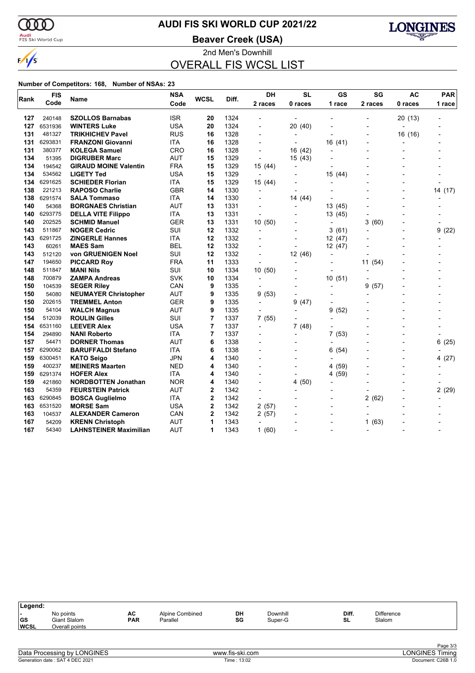

# **AUDI FIS SKI WORLD CUP 2021/22**

<mark>Audi</mark><br>FIS Ski World Cup

**Beaver Creek (USA)**



2nd Men's Downhill OVERALL FIS WCSL LIST

| Rank | <b>FIS</b> | Name                          | <b>NSA</b> | <b>WCSL</b> | Diff. | <b>DH</b>                | <b>SL</b>      | <b>GS</b>      | SG         | <b>AC</b>                | <b>PAR</b> |
|------|------------|-------------------------------|------------|-------------|-------|--------------------------|----------------|----------------|------------|--------------------------|------------|
|      | Code       |                               | Code       |             |       | 2 races                  | 0 races        | 1 race         | 2 races    | 0 races                  | 1 race     |
| 127  | 240148     | <b>SZOLLOS Barnabas</b>       | <b>ISR</b> | 20          | 1324  |                          |                |                |            | 20 (13)                  |            |
| 127  | 6531936    | <b>WINTERS Luke</b>           | <b>USA</b> | 20          | 1324  | $\overline{a}$           | 20 (40)        |                |            |                          |            |
| 131  | 481327     | <b>TRIKHICHEV Pavel</b>       | <b>RUS</b> | 16          | 1328  | $\overline{\phantom{a}}$ |                |                |            | 16 (16)                  |            |
| 131  | 6293831    | <b>FRANZONI Giovanni</b>      | <b>ITA</b> | 16          | 1328  |                          |                | 16 (41)        |            |                          |            |
| 131  | 380377     | <b>KOLEGA Samuel</b>          | CRO        | 16          | 1328  | $\overline{\phantom{a}}$ | 16 (42)        | $\overline{a}$ |            |                          |            |
| 134  | 51395      | <b>DIGRUBER Marc</b>          | <b>AUT</b> | 15          | 1329  | $\overline{a}$           | 15 (43)        |                |            |                          |            |
| 134  | 194542     | <b>GIRAUD MOINE Valentin</b>  | <b>FRA</b> | 15          | 1329  | 15 (44)                  |                |                |            |                          |            |
| 134  | 534562     | <b>LIGETY Ted</b>             | <b>USA</b> | 15          | 1329  | $\overline{\phantom{a}}$ |                | 15 (44)        |            |                          |            |
| 134  | 6291625    | <b>SCHIEDER Florian</b>       | <b>ITA</b> | 15          | 1329  | 15 (44)                  |                |                |            |                          |            |
| 138  | 221213     | <b>RAPOSO Charlie</b>         | <b>GBR</b> | 14          | 1330  | $\overline{a}$           |                |                |            |                          | 14 (17)    |
| 138  | 6291574    | <b>SALA Tommaso</b>           | ITA        | 14          | 1330  | $\overline{a}$           | 14 (44)        |                |            | $\overline{a}$           |            |
| 140  | 54368      | <b>BORGNAES Christian</b>     | <b>AUT</b> | 13          | 1331  |                          |                | 13 (45)        |            |                          |            |
| 140  | 6293775    | <b>DELLA VITE Filippo</b>     | <b>ITA</b> | 13          | 1331  | $\overline{a}$           |                | 13 (45)        |            |                          |            |
| 140  | 202525     | <b>SCHMID Manuel</b>          | <b>GER</b> | 13          | 1331  | 10(50)                   |                | $\overline{a}$ | 3<br>(60)  |                          |            |
| 143  | 511867     | <b>NOGER Cedric</b>           | SUI        | 12          | 1332  | $\overline{a}$           |                | 3(61)          |            | $\overline{\phantom{0}}$ | 9<br>(22)  |
| 143  | 6291725    | <b>ZINGERLE Hannes</b>        | ITA        | 12          | 1332  |                          |                | 12(47)         |            |                          |            |
| 143  | 60261      | <b>MAES Sam</b>               | <b>BEL</b> | 12          | 1332  |                          |                | 12(47)         |            |                          |            |
| 143  | 512120     | von GRUENIGEN Noel            | SUI        | 12          | 1332  | $\overline{a}$           | 12 (46)        | $\overline{a}$ |            |                          |            |
| 147  | 194650     | <b>PICCARD Roy</b>            | FRA        | 11          | 1333  | $\overline{\phantom{a}}$ |                | $\overline{a}$ | 11<br>(54) |                          |            |
| 148  | 511847     | <b>MANI Nils</b>              | SUI        | 10          | 1334  | 10(50)                   |                |                |            |                          |            |
| 148  | 700879     | <b>ZAMPA Andreas</b>          | <b>SVK</b> | 10          | 1334  | $\overline{a}$           |                | 10(51)         |            |                          |            |
| 150  | 104539     | <b>SEGER Riley</b>            | CAN        | 9           | 1335  |                          |                | $\overline{a}$ | 9<br>(57)  |                          |            |
| 150  | 54080      | <b>NEUMAYER Christopher</b>   | <b>AUT</b> | 9           | 1335  | 9(53)                    | $\blacksquare$ |                |            |                          |            |
| 150  | 202615     | <b>TREMMEL Anton</b>          | <b>GER</b> | 9           | 1335  | $\overline{\phantom{0}}$ | 9<br>(47)      |                |            |                          |            |
| 150  | 54104      | <b>WALCH Magnus</b>           | <b>AUT</b> | 9           | 1335  |                          |                | (52)<br>9      |            |                          |            |
| 154  | 512039     | <b>ROULIN Gilles</b>          | SUI        | 7           | 1337  | 7(55)                    |                |                |            |                          |            |
| 154  | 6531160    | <b>LEEVER Alex</b>            | USA        | 7           | 1337  | $\overline{\phantom{a}}$ | 7(48)          |                |            |                          |            |
| 154  | 294890     | <b>NANI Roberto</b>           | <b>ITA</b> | 7           | 1337  |                          |                | (53)<br>7      |            |                          |            |
| 157  | 54471      | <b>DORNER Thomas</b>          | <b>AUT</b> | 6           | 1338  |                          |                |                |            |                          | 6(25)      |
| 157  | 6290062    | <b>BARUFFALDI Stefano</b>     | <b>ITA</b> | 6           | 1338  |                          |                | 6<br>(54)      |            |                          |            |
| 159  | 6300451    | <b>KATO Seigo</b>             | <b>JPN</b> | 4           | 1340  |                          |                | $\overline{a}$ |            | $\overline{a}$           | 4(27)      |
| 159  | 400237     | <b>MEINERS Maarten</b>        | <b>NED</b> | 4           | 1340  |                          |                | 4 (59)         |            |                          |            |
| 159  | 6291374    | <b>HOFER Alex</b>             | <b>ITA</b> | 4           | 1340  |                          |                | 4 (59)         |            |                          |            |
| 159  | 421860     | <b>NORDBOTTEN Jonathan</b>    | <b>NOR</b> | 4           | 1340  |                          | 4(50)          |                |            |                          |            |
| 163  | 54359      | <b>FEURSTEIN Patrick</b>      | AUT        | 2           | 1342  |                          |                |                |            |                          | 2(29)      |
| 163  | 6290845    | <b>BOSCA Guglielmo</b>        | <b>ITA</b> | $\mathbf 2$ | 1342  | $\overline{a}$           |                |                | 2<br>(62)  |                          |            |
| 163  | 6531520    | <b>MORSE Sam</b>              | <b>USA</b> | $\mathbf 2$ | 1342  | 2(57)                    |                |                |            |                          |            |
| 163  | 104537     | <b>ALEXANDER Cameron</b>      | CAN        | 2           | 1342  | 2(57)                    |                |                |            |                          |            |
| 167  | 54209      | <b>KRENN Christoph</b>        | <b>AUT</b> | 1           | 1343  | $\overline{\phantom{a}}$ |                |                | (63)<br>1  |                          |            |
| 167  | 54340      | <b>LAHNSTEINER Maximilian</b> | <b>AUT</b> | 1           | 1343  | 1(60)                    |                |                |            |                          |            |

| Legend:                  |                                             |                  |                             |          |                     |             |                             |  |
|--------------------------|---------------------------------------------|------------------|-----------------------------|----------|---------------------|-------------|-----------------------------|--|
| <b>GS</b><br><b>WCSL</b> | No points<br>Giant Slalom<br>Overall points | AC<br><b>PAR</b> | Alpine Combined<br>Parallel | DH<br>SG | Downhill<br>Super-G | Diff.<br>SL | <b>Difference</b><br>Slalom |  |
|                          |                                             |                  |                             |          |                     |             |                             |  |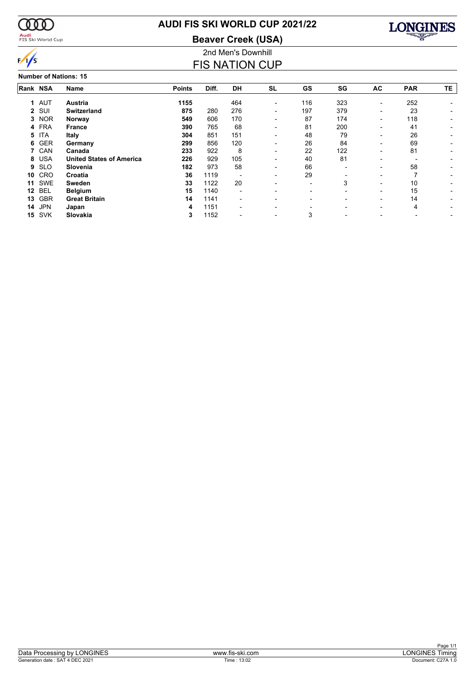

# **AUDI FIS SKI WORLD CUP 2021/22**

**Beaver Creek (USA)**



### 2nd Men's Downhill FIS NATION CUP

**Number of Nations: 15**

|             | Rank NSA   | <b>Name</b>                     | <b>Points</b> | Diff. | <b>DH</b>                | <b>SL</b>                | GS                       | SG  | AC                       | <b>PAR</b> | <b>TE</b> |
|-------------|------------|---------------------------------|---------------|-------|--------------------------|--------------------------|--------------------------|-----|--------------------------|------------|-----------|
| $\mathbf 1$ | AUT        | <b>Austria</b>                  | 1155          |       | 464                      | $\overline{\phantom{0}}$ | 116                      | 323 | $\overline{\phantom{0}}$ | 252        |           |
|             | 2 SUI      | <b>Switzerland</b>              | 875           | 280   | 276                      | $\overline{\phantom{0}}$ | 197                      | 379 |                          | 23         |           |
| 3           | <b>NOR</b> | Norway                          | 549           | 606   | 170                      |                          | 87                       | 174 |                          | 118        |           |
|             | 4 FRA      | <b>France</b>                   | 390           | 765   | 68                       |                          | 81                       | 200 |                          | 41         |           |
| 5           | <b>ITA</b> | Italy                           | 304           | 851   | 151                      |                          | 48                       | 79  |                          | 26         |           |
| 6           | <b>GER</b> | Germany                         | 299           | 856   | 120                      |                          | 26                       | 84  |                          | 69         |           |
|             | 7 CAN      | Canada                          | 233           | 922   | 8                        | $\overline{\phantom{0}}$ | 22                       | 122 |                          | 81         |           |
| 8           | <b>USA</b> | <b>United States of America</b> | 226           | 929   | 105                      |                          | 40                       | 81  |                          |            |           |
| 9           | <b>SLO</b> | Slovenia                        | 182           | 973   | 58                       |                          | 66                       |     |                          | 58         |           |
| 10          | CRO        | Croatia                         | 36            | 1119  |                          | -                        | 29                       |     |                          |            |           |
| 11          | SWE        | Sweden                          | 33            | 1122  | 20                       | $\overline{\phantom{0}}$ | $\overline{\phantom{a}}$ | 3   |                          | 10         |           |
| 12          | <b>BEL</b> | <b>Belgium</b>                  | 15            | 1140  | $\overline{\phantom{0}}$ |                          |                          |     |                          | 15         |           |
| 13          | <b>GBR</b> | <b>Great Britain</b>            | 14            | 1141  |                          |                          |                          |     |                          | 14         |           |
| 14          | <b>JPN</b> | Japan                           | 4             | 1151  |                          |                          |                          |     |                          | 4          |           |
| 15          | <b>SVK</b> | Slovakia                        | 3             | 1152  |                          |                          | 3                        |     |                          |            |           |
|             |            |                                 |               |       |                          |                          |                          |     |                          |            |           |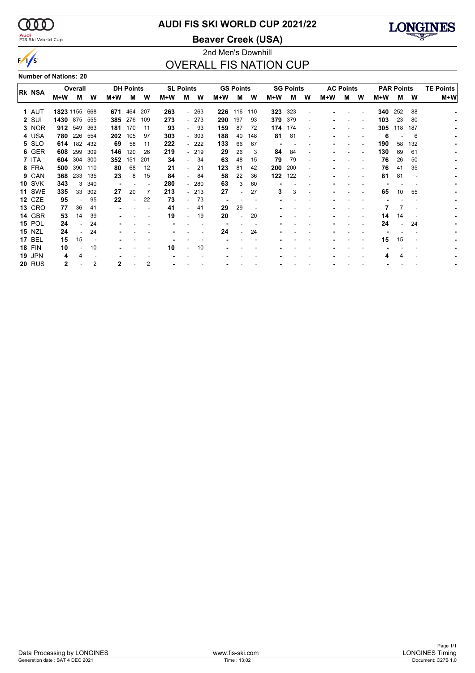$\alpha\alpha$ 

 $\sqrt{s}$ 

## <mark>Audi</mark><br>FIS Ski World Cup

# **AUDI FIS SKI WORLD CUP 2021/22**

**Beaver Creek (USA)**



### 2nd Men's Downhill OVERALL FIS NATION CUP

**Number of Nations: 20**

|               |           | Overall |     |     | <b>DH Points</b> |     |     | <b>SL Points</b>         |        |     | <b>GS Points</b>         |     |     | <b>SG Points</b> |                          |     | <b>AC Points</b> |   |     | <b>PAR Points</b> |                          | <b>TE Points</b> |
|---------------|-----------|---------|-----|-----|------------------|-----|-----|--------------------------|--------|-----|--------------------------|-----|-----|------------------|--------------------------|-----|------------------|---|-----|-------------------|--------------------------|------------------|
| Rk NSA        | M+W       | м       | w   | M+W | м                | W   | M+W | м                        | W      | M+W | м                        | W   | M+W | м                | w                        | M+W | м                | W | M+W | М                 | W                        | M+W              |
| 1 AUT         | 1823 1155 |         | 668 | 671 | 464              | 207 | 263 |                          | $-263$ | 226 | 116                      | 110 | 323 | 323              |                          |     |                  |   | 340 | 252               | 88                       |                  |
| 2 SUI         | 1430      | 875     | 555 | 385 | 276              | 109 | 273 |                          | $-273$ | 290 | 197                      | 93  | 379 | 379              | $\overline{\phantom{a}}$ |     |                  |   | 103 | 23                | 80                       |                  |
| 3 NOR         | 912       | 549     | 363 | 181 | 170              | 11  | 93  |                          | - 93   | 159 | 87                       | 72  | 174 | 174              |                          |     |                  |   | 305 | 118               | 187                      |                  |
| 4 USA         | 780       | 226     | 554 | 202 | 105              | 97  | 303 |                          | $-303$ | 188 | 40                       | 148 | 81  | 81               |                          |     |                  |   | 6   |                   | 6                        |                  |
| 5 SLO         | 614       | 182     | 432 | 69  | 58               | 11  | 222 |                          | - 222  | 133 | 66                       | 67  |     |                  |                          |     |                  |   | 190 | 58                | 132                      |                  |
| 6 GER         | 608       | 299     | 309 | 146 | 120              | 26  | 219 |                          | $-219$ | 29  | 26                       | 3   | 84  | 84               |                          |     |                  |   | 130 | 69                | 61                       |                  |
| 7 ITA         | 604       | 304     | 300 | 352 | 151              | 201 | 34  |                          | 34     | 63  | 48                       | 15  | 79  | 79               |                          |     |                  |   | 76  | 26                | 50                       |                  |
| 8 FRA         | 500       | 390     | 110 | 80  | 68               | 12  | 21  |                          | 21     | 123 | 81                       | 42  | 200 | 200              | $\overline{\phantom{a}}$ |     |                  |   | 76  | 41                | 35                       |                  |
| 9 CAN         | 368       | 233     | 135 | 23  | 8                | 15  | 84  | $\overline{\phantom{0}}$ | 84     | 58  | 22                       | 36  | 122 | 122              | $\overline{\phantom{a}}$ |     |                  |   | 81  | 81                | $\overline{\phantom{a}}$ |                  |
| <b>10 SVK</b> | 343       | 3       | 340 |     |                  |     | 280 |                          | - 280  | 63  | 3                        | 60  |     |                  |                          |     |                  |   |     |                   |                          |                  |
| <b>11 SWE</b> | 335       | 33      | 302 | 27  | 20               | 7   | 213 |                          | - 213  | 27  |                          | 27  | 3   | 3                |                          |     |                  |   | 65  | 10                | 55                       |                  |
| 12 CZE        | 95        |         | 95  | 22  |                  | 22  | 73  |                          | 73     |     |                          |     |     |                  |                          |     |                  |   |     |                   |                          |                  |
| <b>13 CRO</b> | 77        | 36      | 41  |     |                  |     | 41  |                          | 41     | 29  | 29                       |     |     |                  |                          |     |                  |   |     |                   |                          |                  |
| 14 GBR        |           | 14      |     |     |                  |     |     |                          |        |     |                          |     |     |                  |                          |     |                  |   |     |                   |                          |                  |
|               | 53        |         | 39  |     |                  |     | 19  |                          | 19     | 20  | $\overline{\phantom{0}}$ | 20  |     |                  |                          |     |                  |   | 14  | 14                |                          |                  |
| <b>15 POL</b> | 24        |         | 24  |     |                  |     |     |                          |        |     |                          |     |     |                  |                          |     |                  |   | 24  |                   | 24                       |                  |
| <b>15 NZL</b> | 24        |         | 24  |     |                  |     |     |                          |        | 24  |                          | 24  |     |                  |                          |     |                  |   |     |                   |                          |                  |
| <b>17 BEL</b> | 15        | 15      |     |     |                  |     |     |                          |        |     |                          |     |     |                  |                          |     |                  |   | 15  | 15                |                          |                  |
| <b>18 FIN</b> | 10        |         | 10  |     |                  |     | 10  |                          | 10     |     |                          |     |     |                  |                          |     |                  |   |     |                   |                          |                  |
| <b>19 JPN</b> | 4         | 4       |     |     |                  |     |     |                          |        |     |                          |     |     |                  |                          |     |                  |   |     |                   |                          |                  |
| <b>20 RUS</b> | 2         |         | 2   | 2   |                  | 2   |     |                          |        |     |                          |     |     |                  |                          |     |                  |   |     |                   |                          |                  |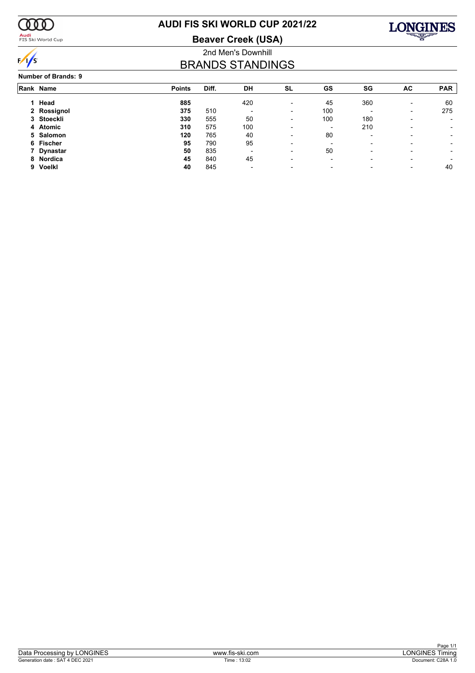

### <mark>Audi</mark><br>FIS Ski World Cup

# **AUDI FIS SKI WORLD CUP 2021/22**

**Beaver Creek (USA)**



### 2nd Men's Downhill BRANDS STANDINGS

| <b>Number of Brands: 9</b> |  |
|----------------------------|--|
|----------------------------|--|

|    | Rank Name   | <b>Points</b> | Diff. | DH                       | SL                       | GS                       | SG                       | AC                       | <b>PAR</b> |
|----|-------------|---------------|-------|--------------------------|--------------------------|--------------------------|--------------------------|--------------------------|------------|
|    | 1 Head      | 885           |       | 420                      | $\overline{\phantom{a}}$ | 45                       | 360                      | $\overline{\phantom{0}}$ | 60         |
|    | 2 Rossignol | 375           | 510   | $\overline{\phantom{0}}$ | $\blacksquare$           | 100                      |                          | -                        | 275        |
|    | 3 Stoeckli  | 330           | 555   | 50                       | $\overline{\phantom{a}}$ | 100                      | 180                      |                          |            |
|    | 4 Atomic    | 310           | 575   | 100                      | $\overline{\phantom{0}}$ | -                        | 210                      |                          |            |
|    | 5 Salomon   | 120           | 765   | 40                       | $\overline{\phantom{a}}$ | 80                       | $\overline{\phantom{0}}$ |                          | -          |
|    | 6 Fischer   | 95            | 790   | 95                       | $\overline{\phantom{0}}$ | $\overline{\phantom{0}}$ |                          |                          | -          |
|    | 7 Dynastar  | 50            | 835   | $\overline{\phantom{0}}$ | $\overline{\phantom{a}}$ | 50                       | $\overline{\phantom{0}}$ |                          | -          |
|    | 8 Nordica   | 45            | 840   | 45                       | $\overline{\phantom{0}}$ | $\overline{\phantom{0}}$ |                          |                          |            |
| 9. | Voelkl      | 40            | 845   | $\overline{\phantom{0}}$ | $\overline{\phantom{a}}$ | -                        |                          |                          | 40         |